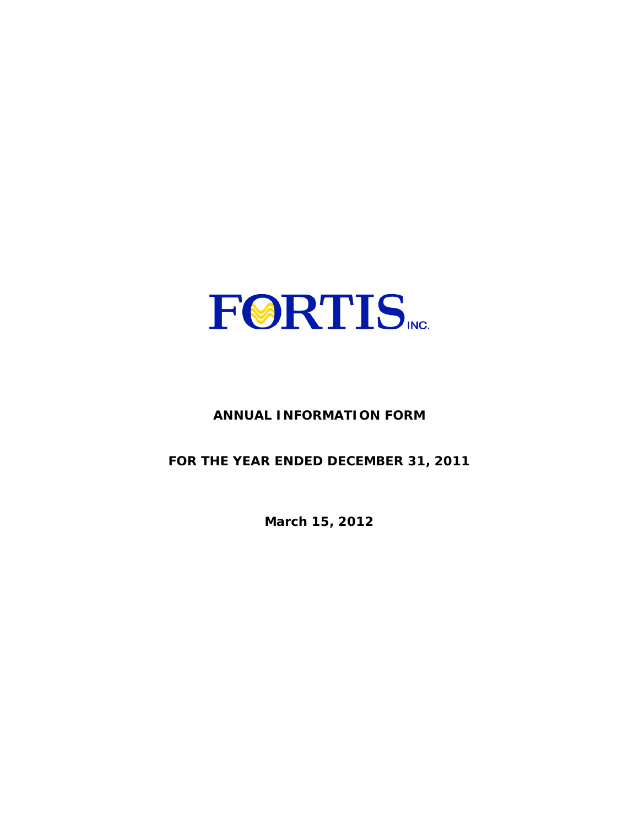

# **ANNUAL INFORMATION FORM**

**FOR THE YEAR ENDED DECEMBER 31, 2011** 

**March 15, 2012**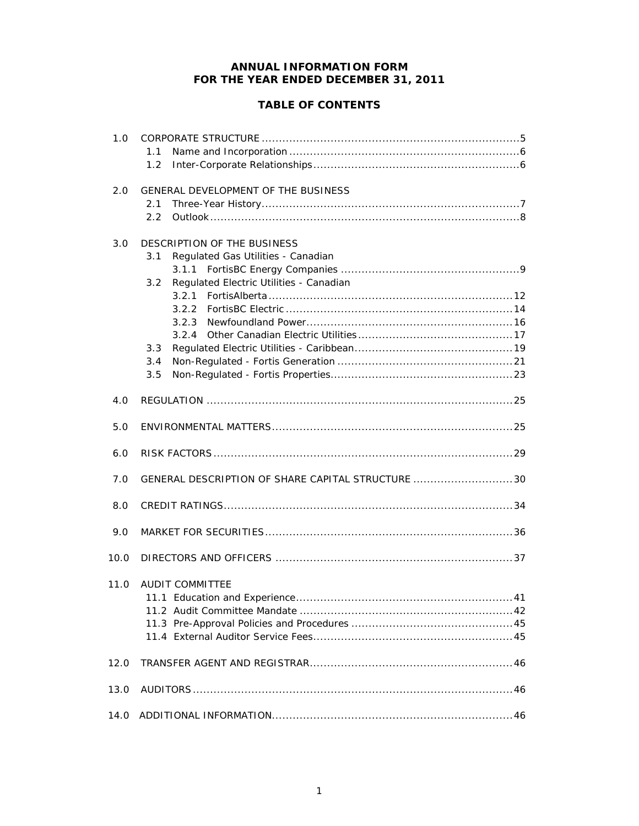# **ANNUAL INFORMATION FORM FOR THE YEAR ENDED DECEMBER 31, 2011**

# **TABLE OF CONTENTS**

| 1.0  | 1.1                                               |
|------|---------------------------------------------------|
|      | 1.2                                               |
| 2.0  | GENERAL DEVELOPMENT OF THE BUSINESS<br>2.1        |
|      | 2.2                                               |
| 3.0  | DESCRIPTION OF THE BUSINESS                       |
|      | Regulated Gas Utilities - Canadian<br>3.1         |
|      | Regulated Electric Utilities - Canadian<br>3.2    |
|      |                                                   |
|      |                                                   |
|      |                                                   |
|      | 3.3                                               |
|      | 3.4                                               |
|      | 3.5                                               |
| 4.0  |                                                   |
| 5.0  |                                                   |
| 6.0  |                                                   |
| 7.0  | GENERAL DESCRIPTION OF SHARE CAPITAL STRUCTURE 30 |
| 8.0  |                                                   |
| 9.0  |                                                   |
| 10.0 |                                                   |
| 11.0 | <b>AUDIT COMMITTEE</b>                            |
| 12.0 |                                                   |
| 13.0 |                                                   |
| 14.0 |                                                   |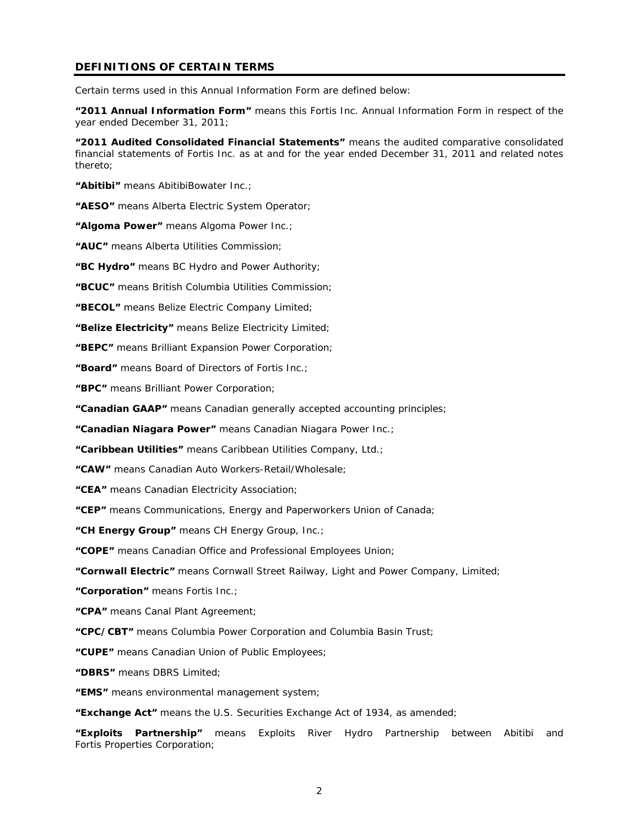## **DEFINITIONS OF CERTAIN TERMS**

Certain terms used in this Annual Information Form are defined below:

**"2011 Annual Information Form"** means this Fortis Inc. Annual Information Form in respect of the year ended December 31, 2011;

**"2011 Audited Consolidated Financial Statements"** means the audited comparative consolidated financial statements of Fortis Inc. as at and for the year ended December 31, 2011 and related notes thereto;

**"Abitibi"** means AbitibiBowater Inc.;

**"AESO"** means Alberta Electric System Operator;

**"Algoma Power"** means Algoma Power Inc.;

**"AUC"** means Alberta Utilities Commission;

**"BC Hydro"** means BC Hydro and Power Authority;

**"BCUC"** means British Columbia Utilities Commission;

**"BECOL"** means Belize Electric Company Limited;

**"Belize Electricity"** means Belize Electricity Limited;

**"BEPC"** means Brilliant Expansion Power Corporation;

**"Board"** means Board of Directors of Fortis Inc.;

**"BPC"** means Brilliant Power Corporation;

**"Canadian GAAP"** means Canadian generally accepted accounting principles;

**"Canadian Niagara Power"** means Canadian Niagara Power Inc.;

**"Caribbean Utilities"** means Caribbean Utilities Company, Ltd.;

**"CAW"** means Canadian Auto Workers-Retail/Wholesale;

**"CEA"** means Canadian Electricity Association;

**"CEP"** means Communications, Energy and Paperworkers Union of Canada;

**"CH Energy Group"** means CH Energy Group, Inc.;

**"COPE"** means Canadian Office and Professional Employees Union;

**"Cornwall Electric"** means Cornwall Street Railway, Light and Power Company, Limited;

**"Corporation"** means Fortis Inc.;

**"CPA"** means Canal Plant Agreement;

**"CPC/CBT"** means Columbia Power Corporation and Columbia Basin Trust;

**"CUPE"** means Canadian Union of Public Employees;

**"DBRS"** means DBRS Limited;

**"EMS"** means environmental management system;

**"Exchange Act"** means the *U.S. Securities Exchange Act of 1934*, as amended;

**"Exploits Partnership"** means Exploits River Hydro Partnership between Abitibi and Fortis Properties Corporation;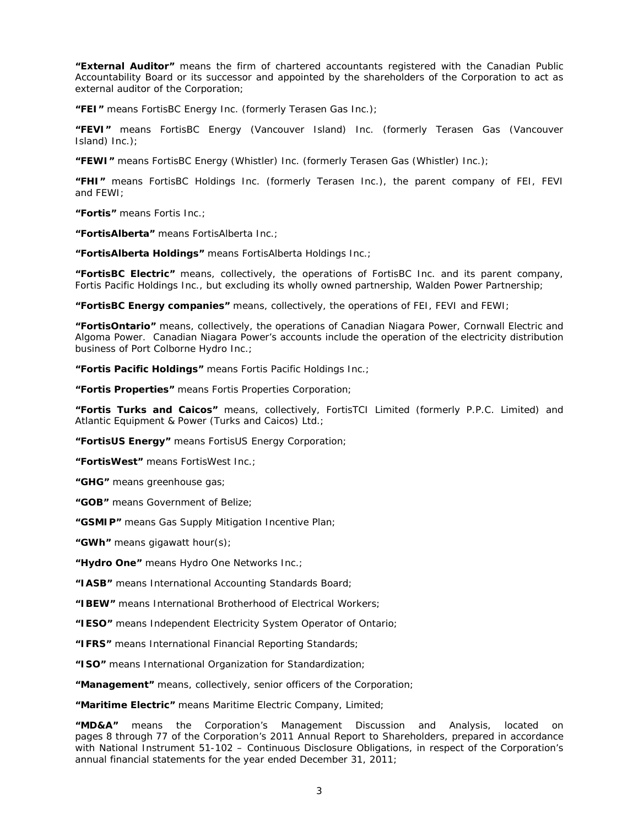**"External Auditor"** means the firm of chartered accountants registered with the Canadian Public Accountability Board or its successor and appointed by the shareholders of the Corporation to act as external auditor of the Corporation;

**"FEI"** means FortisBC Energy Inc. (formerly Terasen Gas Inc.);

**"FEVI"** means FortisBC Energy (Vancouver Island) Inc. (formerly Terasen Gas (Vancouver Island) Inc.);

**"FEWI"** means FortisBC Energy (Whistler) Inc. (formerly Terasen Gas (Whistler) Inc.);

**"FHI"** means FortisBC Holdings Inc. (formerly Terasen Inc.), the parent company of FEI, FEVI and FEWI;

**"Fortis"** means Fortis Inc.;

**"FortisAlberta"** means FortisAlberta Inc.;

**"FortisAlberta Holdings"** means FortisAlberta Holdings Inc.;

**"FortisBC Electric"** means, collectively, the operations of FortisBC Inc. and its parent company, Fortis Pacific Holdings Inc., but excluding its wholly owned partnership, Walden Power Partnership;

**"FortisBC Energy companies"** means, collectively, the operations of FEI, FEVI and FEWI;

**"FortisOntario"** means, collectively, the operations of Canadian Niagara Power, Cornwall Electric and Algoma Power. Canadian Niagara Power's accounts include the operation of the electricity distribution business of Port Colborne Hydro Inc.;

**"Fortis Pacific Holdings"** means Fortis Pacific Holdings Inc.;

**"Fortis Properties"** means Fortis Properties Corporation;

**"Fortis Turks and Caicos"** means, collectively, FortisTCI Limited (formerly P.P.C. Limited) and Atlantic Equipment & Power (Turks and Caicos) Ltd.;

**"FortisUS Energy"** means FortisUS Energy Corporation;

**"FortisWest"** means FortisWest Inc.;

**"GHG"** means greenhouse gas;

**"GOB"** means Government of Belize;

**"GSMIP"** means Gas Supply Mitigation Incentive Plan;

**"GWh"** means gigawatt hour(s);

**"Hydro One"** means Hydro One Networks Inc.;

**"IASB"** means International Accounting Standards Board;

**"IBEW"** means International Brotherhood of Electrical Workers;

**"IESO"** means Independent Electricity System Operator of Ontario;

**"IFRS"** means International Financial Reporting Standards;

**"ISO"** means International Organization for Standardization;

**"Management"** means, collectively, senior officers of the Corporation;

**"Maritime Electric"** means Maritime Electric Company, Limited;

**"MD&A"** means the Corporation's Management Discussion and Analysis, located on pages 8 through 77 of the Corporation's 2011 Annual Report to Shareholders, prepared in accordance with National Instrument 51-102 – *Continuous Disclosure Obligations,* in respect of the Corporation's annual financial statements for the year ended December 31, 2011;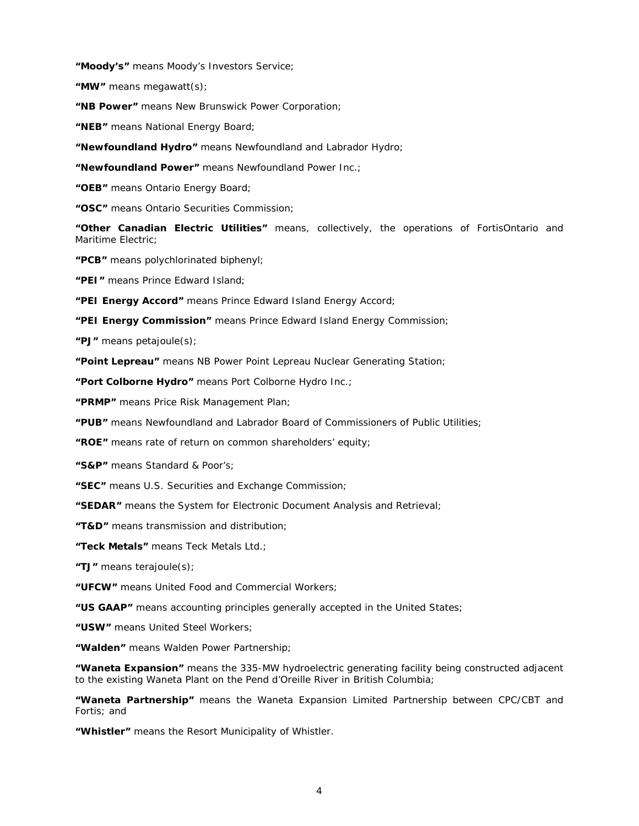**"Moody's"** means Moody's Investors Service;

**"MW"** means megawatt(s);

**"NB Power"** means New Brunswick Power Corporation;

**"NEB"** means National Energy Board;

**"Newfoundland Hydro"** means Newfoundland and Labrador Hydro;

**"Newfoundland Power"** means Newfoundland Power Inc.;

**"OEB"** means Ontario Energy Board;

**"OSC"** means Ontario Securities Commission;

**"Other Canadian Electric Utilities"** means, collectively, the operations of FortisOntario and Maritime Electric;

**"PCB"** means polychlorinated biphenyl;

**"PEI"** means Prince Edward Island;

**"PEI Energy Accord"** means Prince Edward Island Energy Accord;

**"PEI Energy Commission"** means Prince Edward Island Energy Commission;

**"PJ"** means petajoule(s);

**"Point Lepreau"** means NB Power Point Lepreau Nuclear Generating Station;

**"Port Colborne Hydro"** means Port Colborne Hydro Inc.;

**"PRMP"** means Price Risk Management Plan;

**"PUB"** means Newfoundland and Labrador Board of Commissioners of Public Utilities;

**"ROE"** means rate of return on common shareholders' equity;

**"S&P"** means Standard & Poor's;

**"SEC"** means U.S. Securities and Exchange Commission;

**"SEDAR"** means the System for Electronic Document Analysis and Retrieval;

**"T&D"** means transmission and distribution;

**"Teck Metals"** means Teck Metals Ltd.;

**"TJ"** means terajoule(s);

**"UFCW"** means United Food and Commercial Workers;

**"US GAAP"** means accounting principles generally accepted in the United States;

**"USW"** means United Steel Workers;

**"Walden"** means Walden Power Partnership;

**"Waneta Expansion"** means the 335-MW hydroelectric generating facility being constructed adjacent to the existing Waneta Plant on the Pend d'Oreille River in British Columbia;

**"Waneta Partnership"** means the Waneta Expansion Limited Partnership between CPC/CBT and Fortis; and

**"Whistler"** means the Resort Municipality of Whistler.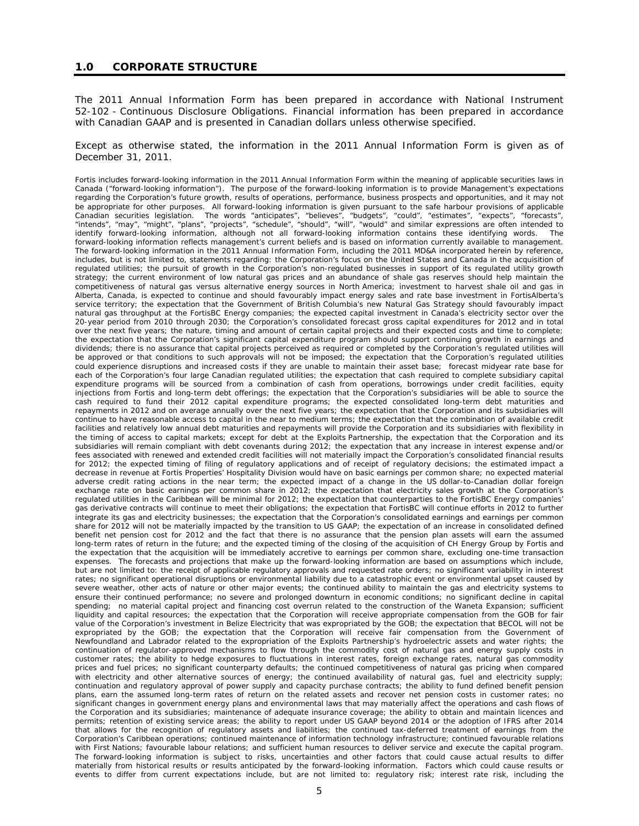#### **1.0 CORPORATE STRUCTURE**

The 2011 Annual Information Form has been prepared in accordance with National Instrument 52-102 - *Continuous Disclosure Obligations*. Financial information has been prepared in accordance with Canadian GAAP and is presented in Canadian dollars unless otherwise specified.

Except as otherwise stated, the information in the 2011 Annual Information Form is given as of December 31, 2011.

*Fortis includes forward-looking information in the 2011 Annual Information Form within the meaning of applicable securities laws in Canada ("forward-looking information"). The purpose of the forward-looking information is to provide Management's expectations regarding the Corporation's future growth, results of operations, performance, business prospects and opportunities, and it may not be appropriate for other purposes. All forward-looking information is given pursuant to the safe harbour provisions of applicable Canadian securities legislation. The words "anticipates", "believes", "budgets", "could", "estimates", "expects", "forecasts", "intends", "may", "might", "plans", "projects", "schedule", "should", "will", "would" and similar expressions are often intended to identify forward-looking information, although not all forward-looking information contains these identifying words. The forward-looking information reflects management's current beliefs and is based on information currently available to management. The forward-looking information in the 2011 Annual Information Form, including the 2011 MD&A incorporated herein by reference,*  includes, but is not limited to, statements regarding: the Corporation's focus on the United States and Canada in the acquisition of *regulated utilities; the pursuit of growth in the Corporation's non-regulated businesses in support of its regulated utility growth strategy; the current environment of low natural gas prices and an abundance of shale gas reserves should help maintain the competitiveness of natural gas versus alternative energy sources in North America; investment to harvest shale oil and gas in Alberta, Canada, is expected to continue and should favourably impact energy sales and rate base investment in FortisAlberta's service territory; the expectation that the Government of British Columbia's new Natural Gas Strategy should favourably impact natural gas throughput at the FortisBC Energy companies; the expected capital investment in Canada's electricity sector over the 20-year period from 2010 through 2030; the Corporation's consolidated forecast gross capital expenditures for 2012 and in total over the next five years; the nature, timing and amount of certain capital projects and their expected costs and time to complete; the expectation that the Corporation's significant capital expenditure program should support continuing growth in earnings and dividends; there is no assurance that capital projects perceived as required or completed by the Corporation's regulated utilities will be approved or that conditions to such approvals will not be imposed; the expectation that the Corporation's regulated utilities could experience disruptions and increased costs if they are unable to maintain their asset base; forecast midyear rate base for*  each of the Corporation's four large Canadian regulated utilities; the expectation that cash required to complete subsidiary capital *expenditure programs will be sourced from a combination of cash from operations, borrowings under credit facilities, equity injections from Fortis and long-term debt offerings; the expectation that the Corporation's subsidiaries will be able to source the cash required to fund their 2012 capital expenditure programs; the expected consolidated long-term debt maturities and repayments in 2012 and on average annually over the next five years; the expectation that the Corporation and its subsidiaries will continue to have reasonable access to capital in the near to medium terms; the expectation that the combination of available credit*  facilities and relatively low annual debt maturities and repayments will provide the Corporation and its subsidiaries with flexibility in *the timing of access to capital markets; except for debt at the Exploits Partnership, the expectation that the Corporation and its subsidiaries will remain compliant with debt covenants during 2012; the expectation that any increase in interest expense and/or fees associated with renewed and extended credit facilities will not materially impact the Corporation's consolidated financial results for 2012; the expected timing of filing of regulatory applications and of receipt of regulatory decisions; the estimated impact a decrease in revenue at Fortis Properties' Hospitality Division would have on basic earnings per common share; no expected material adverse credit rating actions in the near term; the expected impact of a change in the US dollar-to-Canadian dollar foreign*  exchange rate on basic earnings per common share in 2012; the expectation that electricity sales growth at the Corporation's *regulated utilities in the Caribbean will be minimal for 2012; the expectation that counterparties to the FortisBC Energy companies'*  gas derivative contracts will continue to meet their obligations; the expectation that FortisBC will continue efforts in 2012 to further *integrate its gas and electricity businesses; the expectation that the Corporation's consolidated earnings and earnings per common share for 2012 will not be materially impacted by the transition to US GAAP; the expectation of an increase in consolidated defined*  benefit net pension cost for 2012 and the fact that there is no assurance that the pension plan assets will earn the assumed *long-term rates of return in the future; and the expected timing of the closing of the acquisition of CH Energy Group by Fortis and the expectation that the acquisition will be immediately accretive to earnings per common share, excluding one-time transaction* expenses. The forecasts and projections that make up the forward-looking information are based on assumptions which include, *but are not limited to: the receipt of applicable regulatory approvals and requested rate orders; no significant variability in interest rates; no significant operational disruptions or environmental liability due to a catastrophic event or environmental upset caused by severe weather, other acts of nature or other major events; the continued ability to maintain the gas and electricity systems to ensure their continued performance; no severe and prolonged downturn in economic conditions; no significant decline in capital*  spending; no material capital project and financing cost overrun related to the construction of the Waneta Expansion; sufficient *liquidity and capital resources; the expectation that the Corporation will receive appropriate compensation from the GOB for fair value of the Corporation's investment in Belize Electricity that was expropriated by the GOB; the expectation that BECOL will not be*  expropriated by the GOB; the expectation that the Corporation will receive fair compensation from the Government of *Newfoundland and Labrador related to the expropriation of the Exploits Partnership's hydroelectric assets and water rights; the continuation of regulator-approved mechanisms to flow through the commodity cost of natural gas and energy supply costs in customer rates; the ability to hedge exposures to fluctuations in interest rates, foreign exchange rates, natural gas commodity prices and fuel prices; no significant counterparty defaults; the continued competitiveness of natural gas pricing when compared with electricity and other alternative sources of energy; the continued availability of natural gas, fuel and electricity supply; continuation and regulatory approval of power supply and capacity purchase contracts; the ability to fund defined benefit pension plans, earn the assumed long-term rates of return on the related assets and recover net pension costs in customer rates; no significant changes in government energy plans and environmental laws that may materially affect the operations and cash flows of the Corporation and its subsidiaries; maintenance of adequate insurance coverage; the ability to obtain and maintain licences and permits; retention of existing service areas; the ability to report under US GAAP beyond 2014 or the adoption of IFRS after 2014 that allows for the recognition of regulatory assets and liabilities; the continued tax-deferred treatment of earnings from the Corporation's Caribbean operations; continued maintenance of information technology infrastructure; continued favourable relations with First Nations; favourable labour relations; and sufficient human resources to deliver service and execute the capital program. The forward-looking information is subject to risks, uncertainties and other factors that could cause actual results to differ materially from historical results or results anticipated by the forward-looking information. Factors which could cause results or events to differ from current expectations include, but are not limited to: regulatory risk; interest rate risk, including the*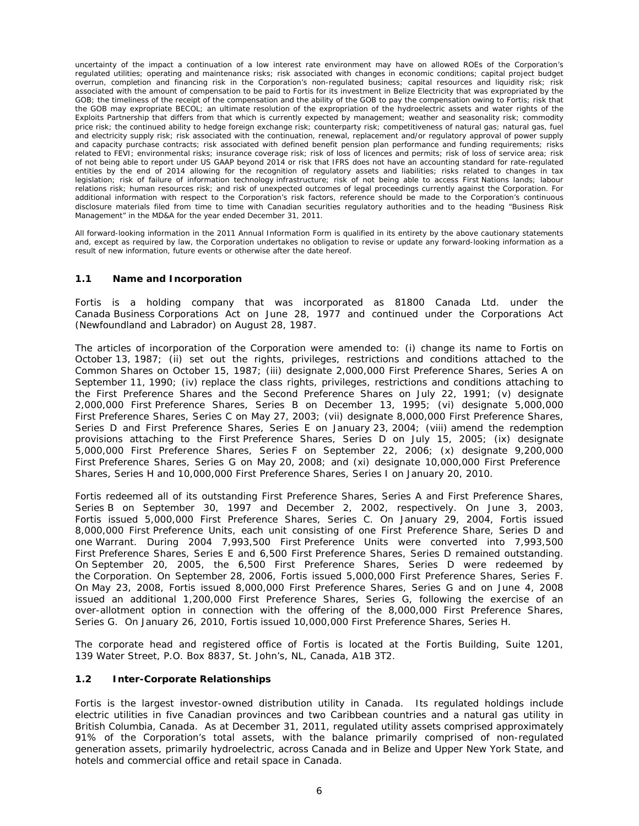*uncertainty of the impact a continuation of a low interest rate environment may have on allowed ROEs of the Corporation's regulated utilities; operating and maintenance risks; risk associated with changes in economic conditions; capital project budget overrun, completion and financing risk in the Corporation's non-regulated business; capital resources and liquidity risk; risk associated with the amount of compensation to be paid to Fortis for its investment in Belize Electricity that was expropriated by the GOB*; the timeliness of the receipt of the compensation and the ability of the GOB to pay the compensation owing to Fortis; risk that *the GOB may expropriate BECOL; an ultimate resolution of the expropriation of the hydroelectric assets and water rights of the Exploits Partnership that differs from that which is currently expected by management; weather and seasonality risk; commodity price risk; the continued ability to hedge foreign exchange risk; counterparty risk; competitiveness of natural gas; natural gas, fuel and electricity supply risk; risk associated with the continuation, renewal, replacement and/or regulatory approval of power supply and capacity purchase contracts; risk associated with defined benefit pension plan performance and funding requirements; risks related to FEVI; environmental risks; insurance coverage risk; risk of loss of licences and permits; risk of loss of service area; risk of not being able to report under US GAAP beyond 2014 or risk that IFRS does not have an accounting standard for rate-regulated entities by the end of 2014 allowing for the recognition of regulatory assets and liabilities; risks related to changes in tax legislation; risk of failure of information technology infrastructure; risk of not being able to access First Nations lands; labour relations risk; human resources risk; and risk of unexpected outcomes of legal proceedings currently against the Corporation. For additional information with respect to the Corporation's risk factors, reference should be made to the Corporation's continuous disclosure materials filed from time to time with Canadian securities regulatory authorities and to the heading "Business Risk Management" in the MD&A for the year ended December 31, 2011.* 

*All forward-looking information in the 2011 Annual Information Form is qualified in its entirety by the above cautionary statements and, except as required by law, the Corporation undertakes no obligation to revise or update any forward-looking information as a result of new information, future events or otherwise after the date hereof.* 

# **1.1 Name and Incorporation**

Fortis is a holding company that was incorporated as 81800 Canada Ltd. under the *Canada Business Corporations Act* on June 28, 1977 and continued under the *Corporations Act* (Newfoundland and Labrador) on August 28, 1987.

The articles of incorporation of the Corporation were amended to: (i) change its name to Fortis on October 13, 1987; (ii) set out the rights, privileges, restrictions and conditions attached to the Common Shares on October 15, 1987; (iii) designate 2,000,000 First Preference Shares, Series A on September 11, 1990; (iv) replace the class rights, privileges, restrictions and conditions attaching to the First Preference Shares and the Second Preference Shares on July 22, 1991; (v) designate 2,000,000 First Preference Shares, Series B on December 13, 1995; (vi) designate 5,000,000 First Preference Shares, Series C on May 27, 2003; (vii) designate 8,000,000 First Preference Shares, Series D and First Preference Shares, Series E on January 23, 2004; (viii) amend the redemption provisions attaching to the First Preference Shares, Series D on July 15, 2005; (ix) designate 5,000,000 First Preference Shares, Series F on September 22, 2006; (x) designate 9,200,000 First Preference Shares, Series G on May 20, 2008; and (xi) designate 10,000,000 First Preference Shares, Series H and 10,000,000 First Preference Shares, Series I on January 20, 2010.

Fortis redeemed all of its outstanding First Preference Shares, Series A and First Preference Shares, Series B on September 30, 1997 and December 2, 2002, respectively. On June 3, 2003, Fortis issued 5,000,000 First Preference Shares, Series C. On January 29, 2004, Fortis issued 8,000,000 First Preference Units, each unit consisting of one First Preference Share, Series D and one Warrant. During 2004 7,993,500 First Preference Units were converted into 7,993,500 First Preference Shares, Series E and 6,500 First Preference Shares, Series D remained outstanding. On September 20, 2005, the 6,500 First Preference Shares, Series D were redeemed by the Corporation. On September 28, 2006, Fortis issued 5,000,000 First Preference Shares, Series F. On May 23, 2008, Fortis issued 8,000,000 First Preference Shares, Series G and on June 4, 2008 issued an additional 1,200,000 First Preference Shares, Series G, following the exercise of an over-allotment option in connection with the offering of the 8,000,000 First Preference Shares, Series G. On January 26, 2010, Fortis issued 10,000,000 First Preference Shares, Series H.

The corporate head and registered office of Fortis is located at the Fortis Building, Suite 1201, 139 Water Street, P.O. Box 8837, St. John's, NL, Canada, A1B 3T2.

# **1.2 Inter-Corporate Relationships**

Fortis is the largest investor-owned distribution utility in Canada. Its regulated holdings include electric utilities in five Canadian provinces and two Caribbean countries and a natural gas utility in British Columbia, Canada. As at December 31, 2011, regulated utility assets comprised approximately 91% of the Corporation's total assets, with the balance primarily comprised of non-regulated generation assets, primarily hydroelectric, across Canada and in Belize and Upper New York State, and hotels and commercial office and retail space in Canada.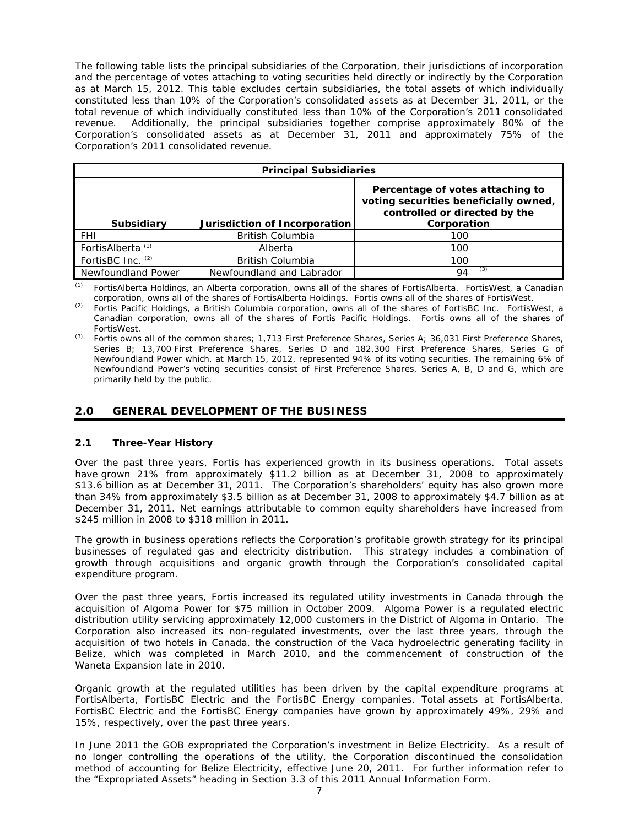The following table lists the principal subsidiaries of the Corporation, their jurisdictions of incorporation and the percentage of votes attaching to voting securities held directly or indirectly by the Corporation as at March 15, 2012. This table excludes certain subsidiaries, the total assets of which individually constituted less than 10% of the Corporation's consolidated assets as at December 31, 2011, or the total revenue of which individually constituted less than 10% of the Corporation's 2011 consolidated revenue. Additionally, the principal subsidiaries together comprise approximately 80% of the Corporation's consolidated assets as at December 31, 2011 and approximately 75% of the Corporation's 2011 consolidated revenue.

| <b>Principal Subsidiaries</b> |                               |                                                                                                                           |  |  |  |
|-------------------------------|-------------------------------|---------------------------------------------------------------------------------------------------------------------------|--|--|--|
| <b>Subsidiary</b>             | Jurisdiction of Incorporation | Percentage of votes attaching to<br>voting securities beneficially owned,<br>controlled or directed by the<br>Corporation |  |  |  |
| <b>FHI</b>                    | <b>British Columbia</b>       | 100                                                                                                                       |  |  |  |
| FortisAlberta <sup>(1)</sup>  | Alberta                       | 100                                                                                                                       |  |  |  |
| FortisBC Inc. (2)             | <b>British Columbia</b>       | 100                                                                                                                       |  |  |  |
| Newfoundland Power            | Newfoundland and Labrador     | (3)<br>QΔ                                                                                                                 |  |  |  |

*(1) FortisAlberta Holdings, an Alberta corporation, owns all of the shares of FortisAlberta. FortisWest, a Canadian corporation, owns all of the shares of FortisAlberta Holdings. Fortis owns all of the shares of FortisWest.* 

*(2) Fortis Pacific Holdings, a British Columbia corporation, owns all of the shares of FortisBC Inc. FortisWest, a Canadian corporation, owns all of the shares of Fortis Pacific Holdings. Fortis owns all of the shares of FortisWest.* 

*(3) Fortis owns all of the common shares; 1,713 First Preference Shares, Series A; 36,031 First Preference Shares, Series B; 13,700 First Preference Shares, Series D and 182,300 First Preference Shares, Series G of Newfoundland Power which, at March 15, 2012, represented 94% of its voting securities. The remaining 6% of Newfoundland Power's voting securities consist of First Preference Shares, Series A, B, D and G, which are primarily held by the public.* 

# **2.0 GENERAL DEVELOPMENT OF THE BUSINESS**

# **2.1 Three-Year History**

Over the past three years, Fortis has experienced growth in its business operations. Total assets have grown 21% from approximately \$11.2 billion as at December 31, 2008 to approximately \$13.6 billion as at December 31, 2011. The Corporation's shareholders' equity has also grown more than 34% from approximately \$3.5 billion as at December 31, 2008 to approximately \$4.7 billion as at December 31, 2011. Net earnings attributable to common equity shareholders have increased from \$245 million in 2008 to \$318 million in 2011.

The growth in business operations reflects the Corporation's profitable growth strategy for its principal businesses of regulated gas and electricity distribution. This strategy includes a combination of growth through acquisitions and organic growth through the Corporation's consolidated capital expenditure program.

Over the past three years, Fortis increased its regulated utility investments in Canada through the acquisition of Algoma Power for \$75 million in October 2009. Algoma Power is a regulated electric distribution utility servicing approximately 12,000 customers in the District of Algoma in Ontario. The Corporation also increased its non-regulated investments, over the last three years, through the acquisition of two hotels in Canada, the construction of the Vaca hydroelectric generating facility in Belize, which was completed in March 2010, and the commencement of construction of the Waneta Expansion late in 2010.

Organic growth at the regulated utilities has been driven by the capital expenditure programs at FortisAlberta, FortisBC Electric and the FortisBC Energy companies. Total assets at FortisAlberta, FortisBC Electric and the FortisBC Energy companies have grown by approximately 49%, 29% and 15%, respectively, over the past three years.

In June 2011 the GOB expropriated the Corporation's investment in Belize Electricity. As a result of no longer controlling the operations of the utility, the Corporation discontinued the consolidation method of accounting for Belize Electricity, effective June 20, 2011. For further information refer to the "Expropriated Assets" heading in Section 3.3 of this 2011 Annual Information Form.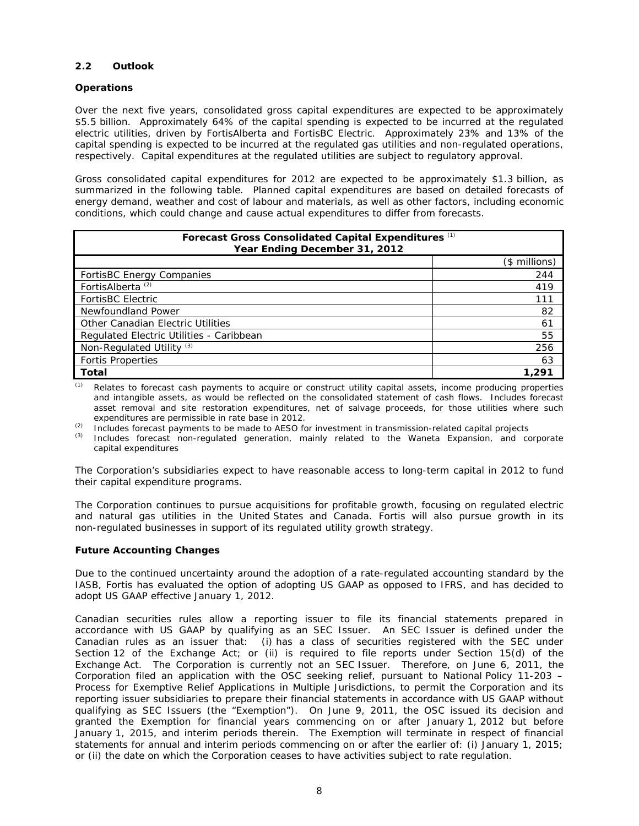# **2.2 Outlook**

## *Operations*

Over the next five years, consolidated gross capital expenditures are expected to be approximately \$5.5 billion. Approximately 64% of the capital spending is expected to be incurred at the regulated electric utilities, driven by FortisAlberta and FortisBC Electric. Approximately 23% and 13% of the capital spending is expected to be incurred at the regulated gas utilities and non-regulated operations, respectively. Capital expenditures at the regulated utilities are subject to regulatory approval.

Gross consolidated capital expenditures for 2012 are expected to be approximately \$1.3 billion, as summarized in the following table. Planned capital expenditures are based on detailed forecasts of energy demand, weather and cost of labour and materials, as well as other factors, including economic conditions, which could change and cause actual expenditures to differ from forecasts.

| Forecast Gross Consolidated Capital Expenditures (1)<br>Year Ending December 31, 2012 |               |  |  |  |
|---------------------------------------------------------------------------------------|---------------|--|--|--|
|                                                                                       | (\$ millions) |  |  |  |
| <b>FortisBC Energy Companies</b>                                                      | 244           |  |  |  |
| FortisAlberta <sup>(2)</sup>                                                          | 419           |  |  |  |
| <b>FortisBC Electric</b>                                                              | 111           |  |  |  |
| Newfoundland Power                                                                    | 82            |  |  |  |
| Other Canadian Electric Utilities                                                     | 61            |  |  |  |
| Regulated Electric Utilities - Caribbean                                              | 55            |  |  |  |
| Non-Regulated Utility <sup>(3)</sup>                                                  | 256           |  |  |  |
| <b>Fortis Properties</b>                                                              | 63            |  |  |  |
| Total                                                                                 | 1,291         |  |  |  |

*(1) Relates to forecast cash payments to acquire or construct utility capital assets, income producing properties and intangible assets, as would be reflected on the consolidated statement of cash flows. Includes forecast asset removal and site restoration expenditures, net of salvage proceeds, for those utilities where such expenditures are permissible in rate base in 2012.* 

- *(2) Includes forecast payments to be made to AESO for investment in transmission-related capital projects*
- *(3) Includes forecast non-regulated generation, mainly related to the Waneta Expansion, and corporate capital expenditures*

The Corporation's subsidiaries expect to have reasonable access to long-term capital in 2012 to fund their capital expenditure programs.

The Corporation continues to pursue acquisitions for profitable growth, focusing on regulated electric and natural gas utilities in the United States and Canada. Fortis will also pursue growth in its non-regulated businesses in support of its regulated utility growth strategy.

### *Future Accounting Changes*

Due to the continued uncertainty around the adoption of a rate-regulated accounting standard by the IASB, Fortis has evaluated the option of adopting US GAAP as opposed to IFRS, and has decided to adopt US GAAP effective January 1, 2012.

Canadian securities rules allow a reporting issuer to file its financial statements prepared in accordance with US GAAP by qualifying as an SEC Issuer. An SEC Issuer is defined under the Canadian rules as an issuer that: (i) has a class of securities registered with the SEC under Section 12 of the Exchange Act; or (ii) is required to file reports under Section 15(d) of the Exchange Act. The Corporation is currently not an SEC Issuer. Therefore, on June 6, 2011, the Corporation filed an application with the OSC seeking relief, pursuant to National Policy 11-203 – *Process for Exemptive Relief Applications in Multiple Jurisdictions*, to permit the Corporation and its reporting issuer subsidiaries to prepare their financial statements in accordance with US GAAP without qualifying as SEC Issuers (the "Exemption"). On June 9, 2011, the OSC issued its decision and granted the Exemption for financial years commencing on or after January 1, 2012 but before January 1, 2015, and interim periods therein. The Exemption will terminate in respect of financial statements for annual and interim periods commencing on or after the earlier of: (i) January 1, 2015; or (ii) the date on which the Corporation ceases to have activities subject to rate regulation.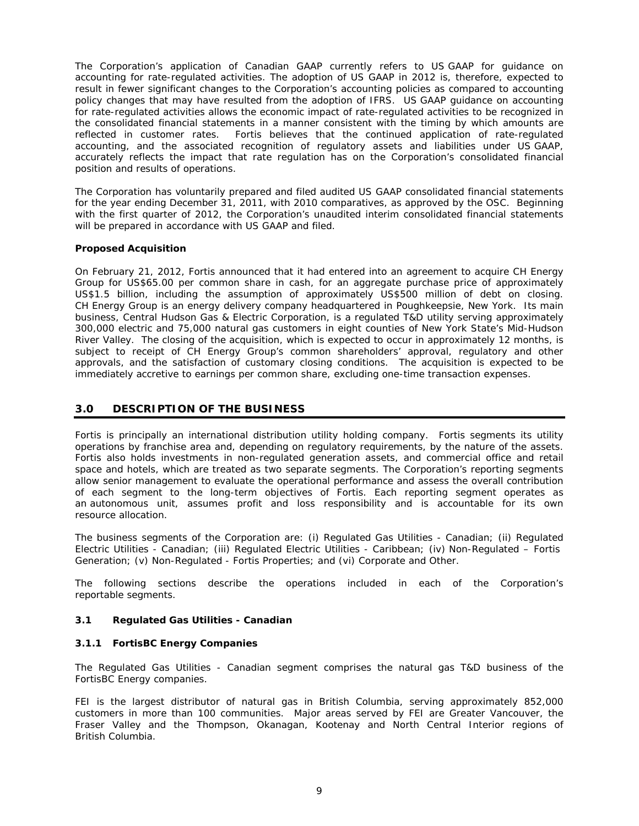The Corporation's application of Canadian GAAP currently refers to US GAAP for guidance on accounting for rate-regulated activities. The adoption of US GAAP in 2012 is, therefore, expected to result in fewer significant changes to the Corporation's accounting policies as compared to accounting policy changes that may have resulted from the adoption of IFRS. US GAAP guidance on accounting for rate-regulated activities allows the economic impact of rate-regulated activities to be recognized in the consolidated financial statements in a manner consistent with the timing by which amounts are reflected in customer rates. Fortis believes that the continued application of rate-regulated accounting, and the associated recognition of regulatory assets and liabilities under US GAAP, accurately reflects the impact that rate regulation has on the Corporation's consolidated financial position and results of operations.

The Corporation has voluntarily prepared and filed audited US GAAP consolidated financial statements for the year ending December 31, 2011, with 2010 comparatives, as approved by the OSC. Beginning with the first quarter of 2012, the Corporation's unaudited interim consolidated financial statements will be prepared in accordance with US GAAP and filed.

# *Proposed Acquisition*

On February 21, 2012, Fortis announced that it had entered into an agreement to acquire CH Energy Group for US\$65.00 per common share in cash, for an aggregate purchase price of approximately US\$1.5 billion, including the assumption of approximately US\$500 million of debt on closing. CH Energy Group is an energy delivery company headquartered in Poughkeepsie, New York. Its main business, Central Hudson Gas & Electric Corporation, is a regulated T&D utility serving approximately 300,000 electric and 75,000 natural gas customers in eight counties of New York State's Mid-Hudson River Valley. The closing of the acquisition, which is expected to occur in approximately 12 months, is subject to receipt of CH Energy Group's common shareholders' approval, regulatory and other approvals, and the satisfaction of customary closing conditions. The acquisition is expected to be immediately accretive to earnings per common share, excluding one-time transaction expenses.

# **3.0 DESCRIPTION OF THE BUSINESS**

Fortis is principally an international distribution utility holding company. Fortis segments its utility operations by franchise area and, depending on regulatory requirements, by the nature of the assets. Fortis also holds investments in non-regulated generation assets, and commercial office and retail space and hotels, which are treated as two separate segments. The Corporation's reporting segments allow senior management to evaluate the operational performance and assess the overall contribution of each segment to the long-term objectives of Fortis. Each reporting segment operates as an autonomous unit, assumes profit and loss responsibility and is accountable for its own resource allocation.

The business segments of the Corporation are: (i) Regulated Gas Utilities - Canadian; (ii) Regulated Electric Utilities - Canadian; (iii) Regulated Electric Utilities - Caribbean; (iv) Non-Regulated – Fortis Generation; (v) Non-Regulated - Fortis Properties; and (vi) Corporate and Other.

The following sections describe the operations included in each of the Corporation's reportable segments.

# **3.1 Regulated Gas Utilities - Canadian**

# **3.1.1** *FortisBC Energy Companies*

The Regulated Gas Utilities - Canadian segment comprises the natural gas T&D business of the FortisBC Energy companies.

FEI is the largest distributor of natural gas in British Columbia, serving approximately 852,000 customers in more than 100 communities. Major areas served by FEI are Greater Vancouver, the Fraser Valley and the Thompson, Okanagan, Kootenay and North Central Interior regions of British Columbia.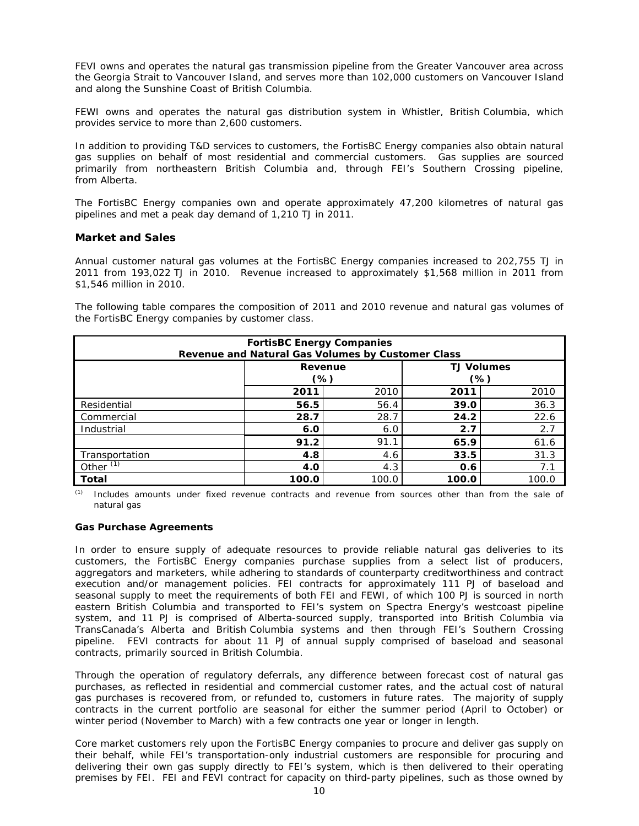FEVI owns and operates the natural gas transmission pipeline from the Greater Vancouver area across the Georgia Strait to Vancouver Island, and serves more than 102,000 customers on Vancouver Island and along the Sunshine Coast of British Columbia.

FEWI owns and operates the natural gas distribution system in Whistler, British Columbia, which provides service to more than 2,600 customers.

In addition to providing T&D services to customers, the FortisBC Energy companies also obtain natural gas supplies on behalf of most residential and commercial customers. Gas supplies are sourced primarily from northeastern British Columbia and, through FEI's Southern Crossing pipeline, from Alberta.

The FortisBC Energy companies own and operate approximately 47,200 kilometres of natural gas pipelines and met a peak day demand of 1,210 TJ in 2011.

# *Market and Sales*

Annual customer natural gas volumes at the FortisBC Energy companies increased to 202,755 TJ in 2011 from 193,022 TJ in 2010. Revenue increased to approximately \$1,568 million in 2011 from \$1,546 million in 2010.

The following table compares the composition of 2011 and 2010 revenue and natural gas volumes of the FortisBC Energy companies by customer class.

| <b>FortisBC Energy Companies</b><br>Revenue and Natural Gas Volumes by Customer Class |                              |       |       |       |  |  |
|---------------------------------------------------------------------------------------|------------------------------|-------|-------|-------|--|--|
| <b>TJ Volumes</b><br>Revenue                                                          |                              |       |       |       |  |  |
|                                                                                       |                              | (%)   | (%)   |       |  |  |
|                                                                                       | 2010<br>2010<br>2011<br>2011 |       |       |       |  |  |
| Residential                                                                           | 56.5                         | 56.4  | 39.0  | 36.3  |  |  |
| Commercial                                                                            | 28.7                         | 28.7  | 24.2  | 22.6  |  |  |
| Industrial                                                                            | 6.0                          | 6.0   | 2.7   | 2.7   |  |  |
|                                                                                       | 91.2                         | 91.1  | 65.9  | 61.6  |  |  |
| Transportation                                                                        | 4.8                          | 4.6   | 33.5  | 31.3  |  |  |
| Other $(1)$<br>7.1<br>4.3<br>4.0<br>0.6                                               |                              |       |       |       |  |  |
| Total                                                                                 | 100.0                        | 100.0 | 100.0 | 100.0 |  |  |

*(1) Includes amounts under fixed revenue contracts and revenue from sources other than from the sale of natural gas* 

## *Gas Purchase Agreements*

In order to ensure supply of adequate resources to provide reliable natural gas deliveries to its customers, the FortisBC Energy companies purchase supplies from a select list of producers, aggregators and marketers, while adhering to standards of counterparty creditworthiness and contract execution and/or management policies. FEI contracts for approximately 111 PJ of baseload and seasonal supply to meet the requirements of both FEI and FEWI, of which 100 PJ is sourced in north eastern British Columbia and transported to FEI's system on Spectra Energy's westcoast pipeline system, and 11 PJ is comprised of Alberta-sourced supply, transported into British Columbia via TransCanada's Alberta and British Columbia systems and then through FEI's Southern Crossing pipeline. FEVI contracts for about 11 PJ of annual supply comprised of baseload and seasonal contracts, primarily sourced in British Columbia.

Through the operation of regulatory deferrals, any difference between forecast cost of natural gas purchases, as reflected in residential and commercial customer rates, and the actual cost of natural gas purchases is recovered from, or refunded to, customers in future rates. The majority of supply contracts in the current portfolio are seasonal for either the summer period (April to October) or winter period (November to March) with a few contracts one year or longer in length.

Core market customers rely upon the FortisBC Energy companies to procure and deliver gas supply on their behalf, while FEI's transportation-only industrial customers are responsible for procuring and delivering their own gas supply directly to FEI's system, which is then delivered to their operating premises by FEI. FEI and FEVI contract for capacity on third-party pipelines, such as those owned by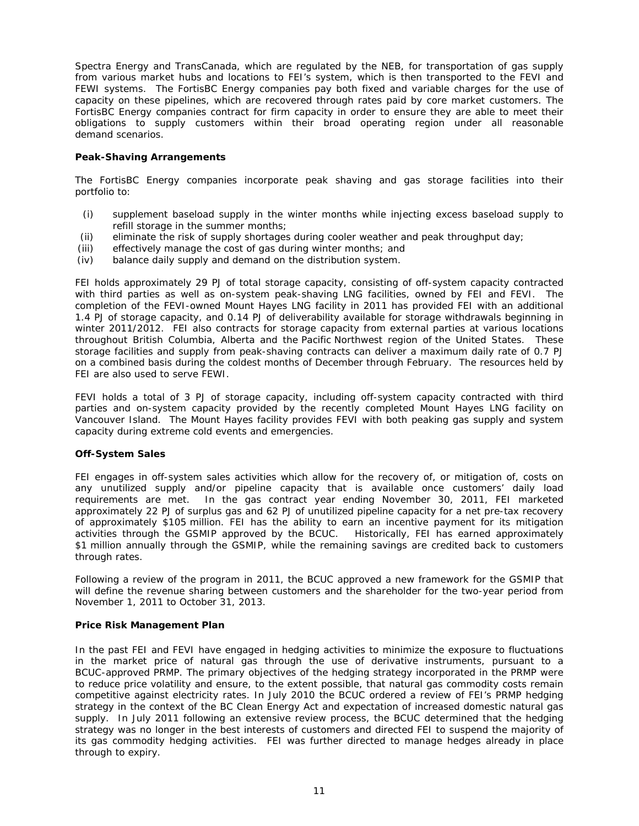Spectra Energy and TransCanada, which are regulated by the NEB, for transportation of gas supply from various market hubs and locations to FEI's system, which is then transported to the FEVI and FEWI systems. The FortisBC Energy companies pay both fixed and variable charges for the use of capacity on these pipelines, which are recovered through rates paid by core market customers. The FortisBC Energy companies contract for firm capacity in order to ensure they are able to meet their obligations to supply customers within their broad operating region under all reasonable demand scenarios.

# *Peak-Shaving Arrangements*

The FortisBC Energy companies incorporate peak shaving and gas storage facilities into their portfolio to:

- (i) supplement baseload supply in the winter months while injecting excess baseload supply to refill storage in the summer months;
- (ii) eliminate the risk of supply shortages during cooler weather and peak throughput day;
- (iii) effectively manage the cost of gas during winter months; and
- (iv) balance daily supply and demand on the distribution system.

FEI holds approximately 29 PJ of total storage capacity, consisting of off-system capacity contracted with third parties as well as on-system peak-shaving LNG facilities, owned by FEI and FEVI. The completion of the FEVI-owned Mount Hayes LNG facility in 2011 has provided FEI with an additional 1.4 PJ of storage capacity, and 0.14 PJ of deliverability available for storage withdrawals beginning in winter 2011/2012. FEI also contracts for storage capacity from external parties at various locations throughout British Columbia, Alberta and the Pacific Northwest region of the United States. These storage facilities and supply from peak-shaving contracts can deliver a maximum daily rate of 0.7 PJ on a combined basis during the coldest months of December through February. The resources held by FEI are also used to serve FEWI.

FEVI holds a total of 3 PJ of storage capacity, including off-system capacity contracted with third parties and on-system capacity provided by the recently completed Mount Hayes LNG facility on Vancouver Island. The Mount Hayes facility provides FEVI with both peaking gas supply and system capacity during extreme cold events and emergencies.

### *Off-System Sales*

FEI engages in off-system sales activities which allow for the recovery of, or mitigation of, costs on any unutilized supply and/or pipeline capacity that is available once customers' daily load requirements are met. In the gas contract year ending November 30, 2011, FEI marketed approximately 22 PJ of surplus gas and 62 PJ of unutilized pipeline capacity for a net pre-tax recovery of approximately \$105 million. FEI has the ability to earn an incentive payment for its mitigation activities through the GSMIP approved by the BCUC. Historically, FEI has earned approximately \$1 million annually through the GSMIP, while the remaining savings are credited back to customers through rates.

Following a review of the program in 2011, the BCUC approved a new framework for the GSMIP that will define the revenue sharing between customers and the shareholder for the two-year period from November 1, 2011 to October 31, 2013.

### *Price Risk Management Plan*

In the past FEI and FEVI have engaged in hedging activities to minimize the exposure to fluctuations in the market price of natural gas through the use of derivative instruments, pursuant to a BCUC-approved PRMP. The primary objectives of the hedging strategy incorporated in the PRMP were to reduce price volatility and ensure, to the extent possible, that natural gas commodity costs remain competitive against electricity rates. In July 2010 the BCUC ordered a review of FEI's PRMP hedging strategy in the context of the *BC Clean Energy Act* and expectation of increased domestic natural gas supply. In July 2011 following an extensive review process, the BCUC determined that the hedging strategy was no longer in the best interests of customers and directed FEI to suspend the majority of its gas commodity hedging activities. FEI was further directed to manage hedges already in place through to expiry.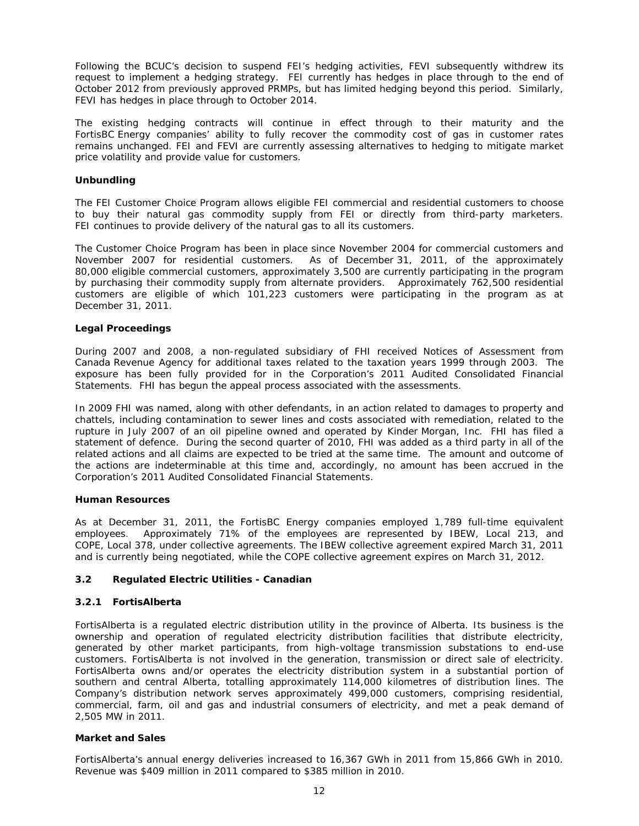Following the BCUC's decision to suspend FEI's hedging activities, FEVI subsequently withdrew its request to implement a hedging strategy. FEI currently has hedges in place through to the end of October 2012 from previously approved PRMPs, but has limited hedging beyond this period. Similarly, FEVI has hedges in place through to October 2014.

The existing hedging contracts will continue in effect through to their maturity and the FortisBC Energy companies' ability to fully recover the commodity cost of gas in customer rates remains unchanged. FEI and FEVI are currently assessing alternatives to hedging to mitigate market price volatility and provide value for customers.

## *Unbundling*

The FEI Customer Choice Program allows eligible FEI commercial and residential customers to choose to buy their natural gas commodity supply from FEI or directly from third-party marketers. FEI continues to provide delivery of the natural gas to all its customers.

The Customer Choice Program has been in place since November 2004 for commercial customers and November 2007 for residential customers. As of December 31, 2011, of the approximately 80,000 eligible commercial customers, approximately 3,500 are currently participating in the program by purchasing their commodity supply from alternate providers. Approximately 762,500 residential customers are eligible of which 101,223 customers were participating in the program as at December 31, 2011.

## *Legal Proceedings*

During 2007 and 2008, a non-regulated subsidiary of FHI received Notices of Assessment from Canada Revenue Agency for additional taxes related to the taxation years 1999 through 2003. The exposure has been fully provided for in the Corporation's 2011 Audited Consolidated Financial Statements. FHI has begun the appeal process associated with the assessments.

In 2009 FHI was named, along with other defendants, in an action related to damages to property and chattels, including contamination to sewer lines and costs associated with remediation, related to the rupture in July 2007 of an oil pipeline owned and operated by Kinder Morgan, Inc. FHI has filed a statement of defence. During the second quarter of 2010, FHI was added as a third party in all of the related actions and all claims are expected to be tried at the same time. The amount and outcome of the actions are indeterminable at this time and, accordingly, no amount has been accrued in the Corporation's 2011 Audited Consolidated Financial Statements.

### *Human Resources*

As at December 31, 2011, the FortisBC Energy companies employed 1,789 full-time equivalent employees. Approximately 71% of the employees are represented by IBEW, Local 213, and COPE, Local 378, under collective agreements. The IBEW collective agreement expired March 31, 2011 and is currently being negotiated, while the COPE collective agreement expires on March 31, 2012.

# **3.2 Regulated Electric Utilities - Canadian**

## **3.2.1** *FortisAlberta*

FortisAlberta is a regulated electric distribution utility in the province of Alberta. Its business is the ownership and operation of regulated electricity distribution facilities that distribute electricity, generated by other market participants, from high-voltage transmission substations to end-use customers. FortisAlberta is not involved in the generation, transmission or direct sale of electricity. FortisAlberta owns and/or operates the electricity distribution system in a substantial portion of southern and central Alberta, totalling approximately 114,000 kilometres of distribution lines. The Company's distribution network serves approximately 499,000 customers, comprising residential, commercial, farm, oil and gas and industrial consumers of electricity, and met a peak demand of 2,505 MW in 2011.

### *Market and Sales*

FortisAlberta's annual energy deliveries increased to 16,367 GWh in 2011 from 15,866 GWh in 2010. Revenue was \$409 million in 2011 compared to \$385 million in 2010.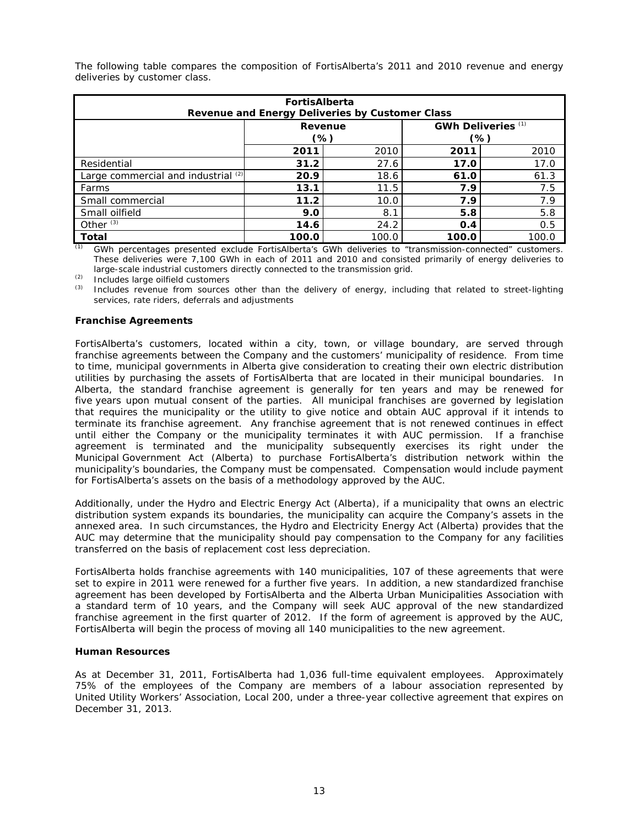| <b>FortisAlberta</b><br>Revenue and Energy Deliveries by Customer Class |                                          |       |       |       |  |  |  |
|-------------------------------------------------------------------------|------------------------------------------|-------|-------|-------|--|--|--|
|                                                                         | GWh Deliveries <sup>(1)</sup><br>Revenue |       |       |       |  |  |  |
|                                                                         |                                          | (%)   | (%)   |       |  |  |  |
| 2010<br>2010<br>2011<br>2011                                            |                                          |       |       |       |  |  |  |
| Residential                                                             | 31.2                                     | 27.6  | 17.0  | 17.0  |  |  |  |
| Large commercial and industrial $(2)$                                   | 20.9                                     | 18.6  | 61.0  | 61.3  |  |  |  |
| Farms                                                                   | 13.1                                     | 11.5  | 7.9   | 7.5   |  |  |  |
| Small commercial                                                        | 11.2                                     | 10.0  | 7.9   | 7.9   |  |  |  |
| Small oilfield                                                          | 9.0                                      | 8.1   | 5.8   | 5.8   |  |  |  |
| Other $(3)$                                                             | 14.6                                     | 24.2  | 0.4   | 0.5   |  |  |  |
| <b>Total</b>                                                            | 100.0                                    | 100.0 | 100.0 | 100.0 |  |  |  |

The following table compares the composition of FortisAlberta's 2011 and 2010 revenue and energy deliveries by customer class.

*(1) GWh percentages presented exclude FortisAlberta's GWh deliveries to "transmission-connected" customers. These deliveries were 7,100 GWh in each of 2011 and 2010 and consisted primarily of energy deliveries to large-scale industrial customers directly connected to the transmission grid.* 

*(2) Includes large oilfield customers* 

*(3) Includes revenue from sources other than the delivery of energy, including that related to street-lighting services, rate riders, deferrals and adjustments* 

# *Franchise Agreements*

FortisAlberta's customers, located within a city, town, or village boundary, are served through franchise agreements between the Company and the customers' municipality of residence. From time to time, municipal governments in Alberta give consideration to creating their own electric distribution utilities by purchasing the assets of FortisAlberta that are located in their municipal boundaries. In Alberta, the standard franchise agreement is generally for ten years and may be renewed for five years upon mutual consent of the parties. All municipal franchises are governed by legislation that requires the municipality or the utility to give notice and obtain AUC approval if it intends to terminate its franchise agreement. Any franchise agreement that is not renewed continues in effect until either the Company or the municipality terminates it with AUC permission. If a franchise agreement is terminated and the municipality subsequently exercises its right under the *Municipal Government Act* (Alberta) to purchase FortisAlberta's distribution network within the municipality's boundaries, the Company must be compensated. Compensation would include payment for FortisAlberta's assets on the basis of a methodology approved by the AUC.

Additionally, under the *Hydro and Electric Energy Act* (Alberta), if a municipality that owns an electric distribution system expands its boundaries, the municipality can acquire the Company's assets in the annexed area. In such circumstances, the *Hydro and Electricity Energy Act* (Alberta) provides that the AUC may determine that the municipality should pay compensation to the Company for any facilities transferred on the basis of replacement cost less depreciation.

FortisAlberta holds franchise agreements with 140 municipalities, 107 of these agreements that were set to expire in 2011 were renewed for a further five years. In addition, a new standardized franchise agreement has been developed by FortisAlberta and the Alberta Urban Municipalities Association with a standard term of 10 years, and the Company will seek AUC approval of the new standardized franchise agreement in the first quarter of 2012. If the form of agreement is approved by the AUC, FortisAlberta will begin the process of moving all 140 municipalities to the new agreement.

# *Human Resources*

As at December 31, 2011, FortisAlberta had 1,036 full-time equivalent employees. Approximately 75% of the employees of the Company are members of a labour association represented by United Utility Workers' Association, Local 200, under a three-year collective agreement that expires on December 31, 2013.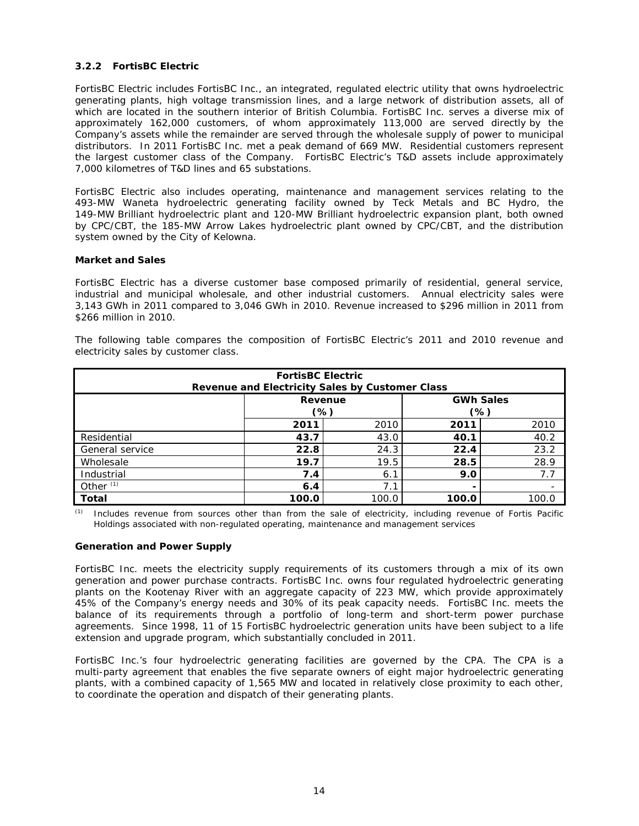# **3.2.2** *FortisBC Electric*

FortisBC Electric includes FortisBC Inc., an integrated, regulated electric utility that owns hydroelectric generating plants, high voltage transmission lines, and a large network of distribution assets, all of which are located in the southern interior of British Columbia. FortisBC Inc. serves a diverse mix of approximately 162,000 customers, of whom approximately 113,000 are served directly by the Company's assets while the remainder are served through the wholesale supply of power to municipal distributors. In 2011 FortisBC Inc. met a peak demand of 669 MW. Residential customers represent the largest customer class of the Company. FortisBC Electric's T&D assets include approximately 7,000 kilometres of T&D lines and 65 substations.

FortisBC Electric also includes operating, maintenance and management services relating to the 493-MW Waneta hydroelectric generating facility owned by Teck Metals and BC Hydro, the 149-MW Brilliant hydroelectric plant and 120-MW Brilliant hydroelectric expansion plant, both owned by CPC/CBT, the 185-MW Arrow Lakes hydroelectric plant owned by CPC/CBT, and the distribution system owned by the City of Kelowna.

# *Market and Sales*

FortisBC Electric has a diverse customer base composed primarily of residential, general service, industrial and municipal wholesale, and other industrial customers. Annual electricity sales were 3,143 GWh in 2011 compared to 3,046 GWh in 2010. Revenue increased to \$296 million in 2011 from \$266 million in 2010.

The following table compares the composition of FortisBC Electric's 2011 and 2010 revenue and electricity sales by customer class.

| <b>FortisBC Electric</b><br>Revenue and Electricity Sales by Customer Class |                                  |      |      |      |  |  |  |
|-----------------------------------------------------------------------------|----------------------------------|------|------|------|--|--|--|
| <b>GWh Sales</b><br>Revenue<br>(%)<br>(%)                                   |                                  |      |      |      |  |  |  |
|                                                                             | 2011                             | 2010 | 2011 | 2010 |  |  |  |
| Residential                                                                 | 43.7                             | 43.0 | 40.1 | 40.2 |  |  |  |
| General service                                                             | 22.8                             | 24.3 | 22.4 | 23.2 |  |  |  |
| Wholesale                                                                   | 19.7                             | 19.5 | 28.5 | 28.9 |  |  |  |
| Industrial                                                                  | 7.4                              | 6.1  | 9.0  | 7.7  |  |  |  |
| Other $(1)$<br>7.1<br>6.4                                                   |                                  |      |      |      |  |  |  |
| <b>Total</b>                                                                | 100.0<br>100.0<br>100.0<br>100.0 |      |      |      |  |  |  |

*(1) Includes revenue from sources other than from the sale of electricity, including revenue of Fortis Pacific Holdings associated with non-regulated operating, maintenance and management services*

### *Generation and Power Supply*

FortisBC Inc. meets the electricity supply requirements of its customers through a mix of its own generation and power purchase contracts. FortisBC Inc. owns four regulated hydroelectric generating plants on the Kootenay River with an aggregate capacity of 223 MW, which provide approximately 45% of the Company's energy needs and 30% of its peak capacity needs. FortisBC Inc. meets the balance of its requirements through a portfolio of long-term and short-term power purchase agreements. Since 1998, 11 of 15 FortisBC hydroelectric generation units have been subject to a life extension and upgrade program, which substantially concluded in 2011.

FortisBC Inc.'s four hydroelectric generating facilities are governed by the CPA. The CPA is a multi-party agreement that enables the five separate owners of eight major hydroelectric generating plants, with a combined capacity of 1,565 MW and located in relatively close proximity to each other, to coordinate the operation and dispatch of their generating plants.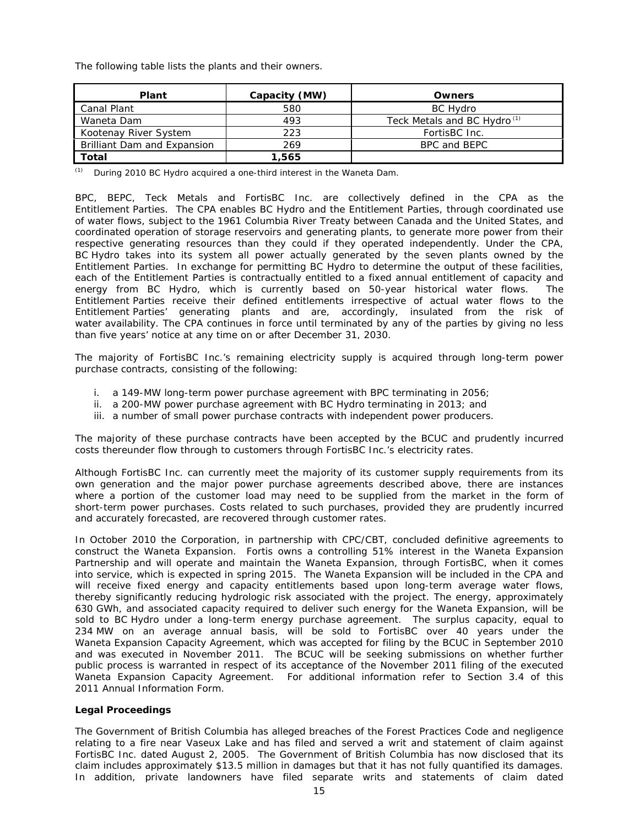The following table lists the plants and their owners.

| <b>Plant</b>                | Capacity (MW) | <b>Owners</b>                           |
|-----------------------------|---------------|-----------------------------------------|
| Canal Plant                 | 580           | <b>BC Hydro</b>                         |
| Waneta Dam                  | 493           | Teck Metals and BC Hydro <sup>(1)</sup> |
| Kootenay River System       | 223           | FortisBC Inc.                           |
| Brilliant Dam and Expansion | 269           | BPC and BEPC                            |
| Total                       | 1,565         |                                         |

*(1) During 2010 BC Hydro acquired a one-third interest in the Waneta Dam.* 

BPC, BEPC, Teck Metals and FortisBC Inc. are collectively defined in the CPA as the Entitlement Parties. The CPA enables BC Hydro and the Entitlement Parties, through coordinated use of water flows, subject to the 1961 Columbia River Treaty between Canada and the United States, and coordinated operation of storage reservoirs and generating plants, to generate more power from their respective generating resources than they could if they operated independently. Under the CPA, BC Hydro takes into its system all power actually generated by the seven plants owned by the Entitlement Parties. In exchange for permitting BC Hydro to determine the output of these facilities, each of the Entitlement Parties is contractually entitled to a fixed annual entitlement of capacity and energy from BC Hydro, which is currently based on 50-year historical water flows. The Entitlement Parties receive their defined entitlements irrespective of actual water flows to the Entitlement Parties' generating plants and are, accordingly, insulated from the risk of water availability. The CPA continues in force until terminated by any of the parties by giving no less than five years' notice at any time on or after December 31, 2030.

The majority of FortisBC Inc.'s remaining electricity supply is acquired through long-term power purchase contracts, consisting of the following:

- i. a 149-MW long-term power purchase agreement with BPC terminating in 2056;
- ii. a 200-MW power purchase agreement with BC Hydro terminating in 2013; and
- iii. a number of small power purchase contracts with independent power producers.

The majority of these purchase contracts have been accepted by the BCUC and prudently incurred costs thereunder flow through to customers through FortisBC Inc.'s electricity rates.

Although FortisBC Inc. can currently meet the majority of its customer supply requirements from its own generation and the major power purchase agreements described above, there are instances where a portion of the customer load may need to be supplied from the market in the form of short-term power purchases. Costs related to such purchases, provided they are prudently incurred and accurately forecasted, are recovered through customer rates.

In October 2010 the Corporation, in partnership with CPC/CBT, concluded definitive agreements to construct the Waneta Expansion. Fortis owns a controlling 51% interest in the Waneta Expansion Partnership and will operate and maintain the Waneta Expansion, through FortisBC, when it comes into service, which is expected in spring 2015. The Waneta Expansion will be included in the CPA and will receive fixed energy and capacity entitlements based upon long-term average water flows, thereby significantly reducing hydrologic risk associated with the project. The energy, approximately 630 GWh, and associated capacity required to deliver such energy for the Waneta Expansion, will be sold to BC Hydro under a long-term energy purchase agreement. The surplus capacity, equal to 234 MW on an average annual basis, will be sold to FortisBC over 40 years under the Waneta Expansion Capacity Agreement, which was accepted for filing by the BCUC in September 2010 and was executed in November 2011. The BCUC will be seeking submissions on whether further public process is warranted in respect of its acceptance of the November 2011 filing of the executed Waneta Expansion Capacity Agreement. For additional information refer to Section 3.4 of this 2011 Annual Information Form.

### *Legal Proceedings*

The Government of British Columbia has alleged breaches of the Forest Practices Code and negligence relating to a fire near Vaseux Lake and has filed and served a writ and statement of claim against FortisBC Inc. dated August 2, 2005. The Government of British Columbia has now disclosed that its claim includes approximately \$13.5 million in damages but that it has not fully quantified its damages. In addition, private landowners have filed separate writs and statements of claim dated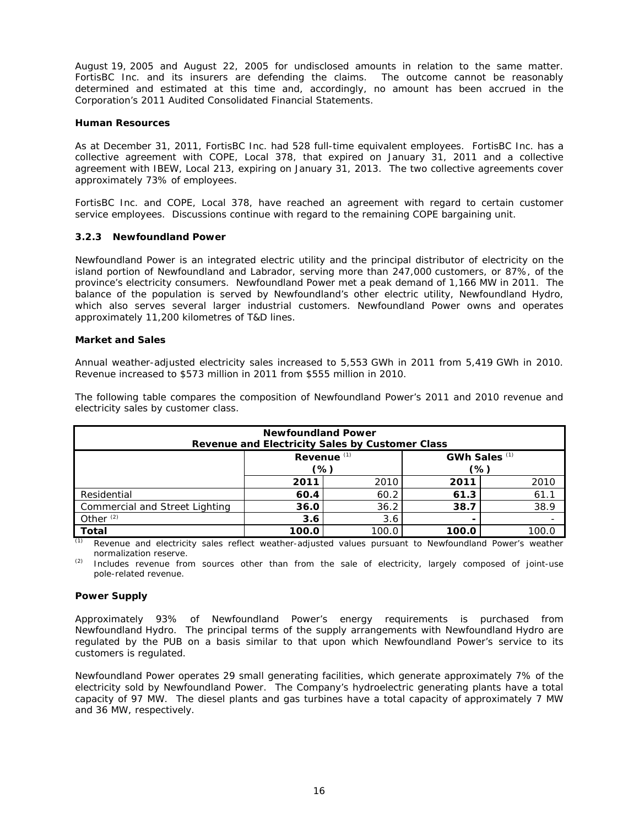August 19, 2005 and August 22, 2005 for undisclosed amounts in relation to the same matter. FortisBC Inc. and its insurers are defending the claims. The outcome cannot be reasonably determined and estimated at this time and, accordingly, no amount has been accrued in the Corporation's 2011 Audited Consolidated Financial Statements.

## *Human Resources*

As at December 31, 2011, FortisBC Inc. had 528 full-time equivalent employees. FortisBC Inc. has a collective agreement with COPE, Local 378, that expired on January 31, 2011 and a collective agreement with IBEW, Local 213, expiring on January 31, 2013. The two collective agreements cover approximately 73% of employees.

FortisBC Inc. and COPE, Local 378, have reached an agreement with regard to certain customer service employees. Discussions continue with regard to the remaining COPE bargaining unit.

# **3.2.3** *Newfoundland Power*

Newfoundland Power is an integrated electric utility and the principal distributor of electricity on the island portion of Newfoundland and Labrador, serving more than 247,000 customers, or 87%, of the province's electricity consumers. Newfoundland Power met a peak demand of 1,166 MW in 2011. The balance of the population is served by Newfoundland's other electric utility, Newfoundland Hydro, which also serves several larger industrial customers. Newfoundland Power owns and operates approximately 11,200 kilometres of T&D lines.

## *Market and Sales*

Annual weather-adjusted electricity sales increased to 5,553 GWh in 2011 from 5,419 GWh in 2010. Revenue increased to \$573 million in 2011 from \$555 million in 2010.

| <b>Newfoundland Power</b><br>Revenue and Electricity Sales by Customer Class |       |       |       |       |  |  |
|------------------------------------------------------------------------------|-------|-------|-------|-------|--|--|
| Revenue $(1)$<br>GWh Sales $(1)$<br>(%)<br>(%)                               |       |       |       |       |  |  |
|                                                                              | 2011  | 2010  | 2011  | 2010  |  |  |
| Residential                                                                  | 60.4  | 60.2  | 61.3  | 61.1  |  |  |
| Commercial and Street Lighting                                               | 36.0  | 36.2  | 38.7  | 38.9  |  |  |
| Other $(2)$<br>3.6<br>3.6                                                    |       |       |       |       |  |  |
| Total                                                                        | 100.0 | 100.0 | 100.0 | 100.C |  |  |

The following table compares the composition of Newfoundland Power's 2011 and 2010 revenue and electricity sales by customer class.

*(1) Revenue and electricity sales reflect weather-adjusted values pursuant to Newfoundland Power's weather normalization reserve.* 

*(2) Includes revenue from sources other than from the sale of electricity, largely composed of joint-use pole-related revenue.* 

### *Power Supply*

Approximately 93% of Newfoundland Power's energy requirements is purchased from Newfoundland Hydro. The principal terms of the supply arrangements with Newfoundland Hydro are regulated by the PUB on a basis similar to that upon which Newfoundland Power's service to its customers is regulated.

Newfoundland Power operates 29 small generating facilities, which generate approximately 7% of the electricity sold by Newfoundland Power. The Company's hydroelectric generating plants have a total capacity of 97 MW. The diesel plants and gas turbines have a total capacity of approximately 7 MW and 36 MW, respectively.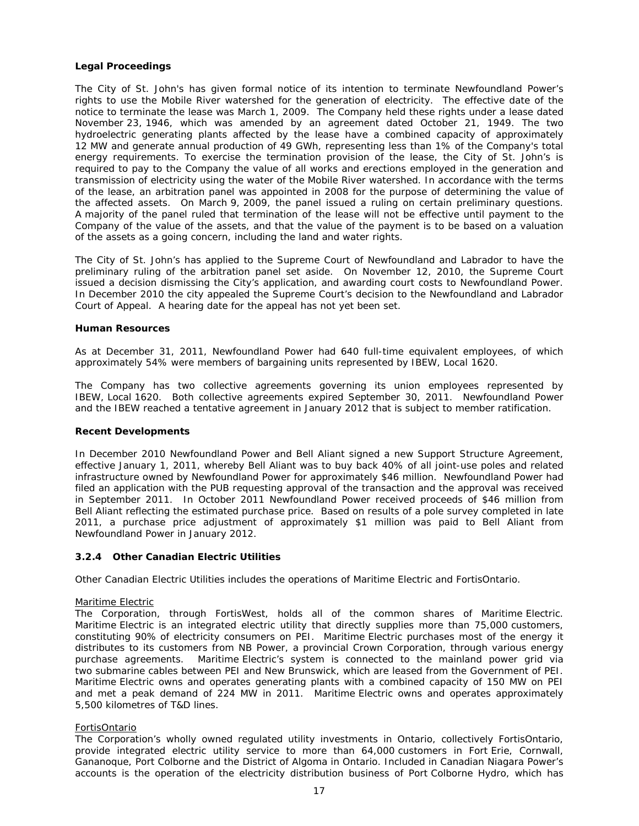# *Legal Proceedings*

The City of St. John's has given formal notice of its intention to terminate Newfoundland Power's rights to use the Mobile River watershed for the generation of electricity. The effective date of the notice to terminate the lease was March 1, 2009. The Company held these rights under a lease dated November 23, 1946, which was amended by an agreement dated October 21, 1949. The two hydroelectric generating plants affected by the lease have a combined capacity of approximately 12 MW and generate annual production of 49 GWh, representing less than 1% of the Company's total energy requirements. To exercise the termination provision of the lease, the City of St. John's is required to pay to the Company the value of all works and erections employed in the generation and transmission of electricity using the water of the Mobile River watershed. In accordance with the terms of the lease, an arbitration panel was appointed in 2008 for the purpose of determining the value of the affected assets. On March 9, 2009, the panel issued a ruling on certain preliminary questions. A majority of the panel ruled that termination of the lease will not be effective until payment to the Company of the value of the assets, and that the value of the payment is to be based on a valuation of the assets as a going concern, including the land and water rights.

The City of St. John's has applied to the Supreme Court of Newfoundland and Labrador to have the preliminary ruling of the arbitration panel set aside. On November 12, 2010, the Supreme Court issued a decision dismissing the City's application, and awarding court costs to Newfoundland Power. In December 2010 the city appealed the Supreme Court's decision to the Newfoundland and Labrador Court of Appeal. A hearing date for the appeal has not yet been set.

### *Human Resources*

As at December 31, 2011, Newfoundland Power had 640 full-time equivalent employees, of which approximately 54% were members of bargaining units represented by IBEW, Local 1620.

The Company has two collective agreements governing its union employees represented by IBEW, Local 1620. Both collective agreements expired September 30, 2011. Newfoundland Power and the IBEW reached a tentative agreement in January 2012 that is subject to member ratification.

### *Recent Developments*

In December 2010 Newfoundland Power and Bell Aliant signed a new Support Structure Agreement, effective January 1, 2011, whereby Bell Aliant was to buy back 40% of all joint-use poles and related infrastructure owned by Newfoundland Power for approximately \$46 million. Newfoundland Power had filed an application with the PUB requesting approval of the transaction and the approval was received in September 2011. In October 2011 Newfoundland Power received proceeds of \$46 million from Bell Aliant reflecting the estimated purchase price. Based on results of a pole survey completed in late 2011, a purchase price adjustment of approximately \$1 million was paid to Bell Aliant from Newfoundland Power in January 2012.

## **3.2.4** *Other Canadian Electric Utilities*

Other Canadian Electric Utilities includes the operations of Maritime Electric and FortisOntario.

### Maritime Electric

The Corporation, through FortisWest, holds all of the common shares of Maritime Electric. Maritime Electric is an integrated electric utility that directly supplies more than 75,000 customers, constituting 90% of electricity consumers on PEI. Maritime Electric purchases most of the energy it distributes to its customers from NB Power, a provincial Crown Corporation, through various energy purchase agreements. Maritime Electric's system is connected to the mainland power grid via two submarine cables between PEI and New Brunswick, which are leased from the Government of PEI. Maritime Electric owns and operates generating plants with a combined capacity of 150 MW on PEI and met a peak demand of 224 MW in 2011. Maritime Electric owns and operates approximately 5,500 kilometres of T&D lines.

### FortisOntario

The Corporation's wholly owned regulated utility investments in Ontario, collectively FortisOntario, provide integrated electric utility service to more than 64,000 customers in Fort Erie, Cornwall, Gananoque, Port Colborne and the District of Algoma in Ontario. Included in Canadian Niagara Power's accounts is the operation of the electricity distribution business of Port Colborne Hydro, which has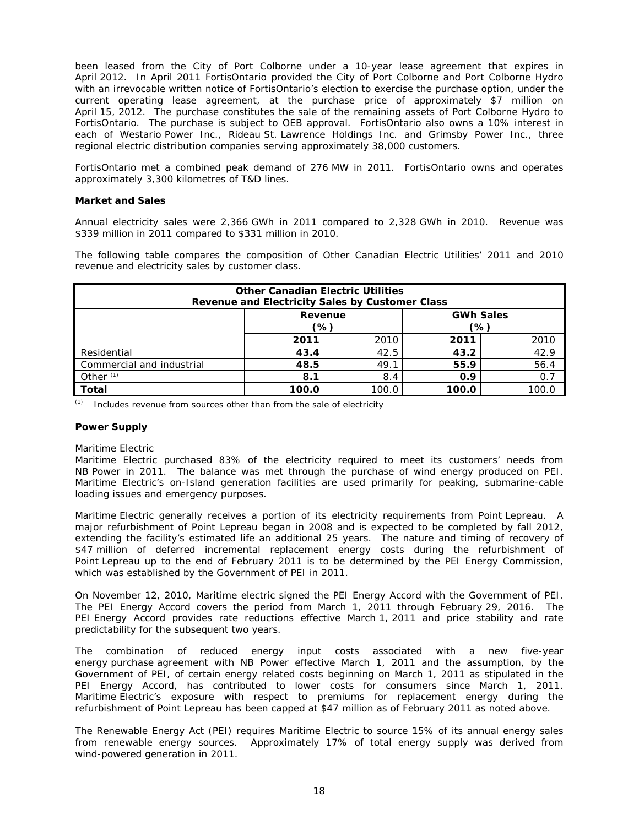been leased from the City of Port Colborne under a 10-year lease agreement that expires in April 2012. In April 2011 FortisOntario provided the City of Port Colborne and Port Colborne Hydro with an irrevocable written notice of FortisOntario's election to exercise the purchase option, under the current operating lease agreement, at the purchase price of approximately \$7 million on April 15, 2012. The purchase constitutes the sale of the remaining assets of Port Colborne Hydro to FortisOntario. The purchase is subject to OEB approval. FortisOntario also owns a 10% interest in each of Westario Power Inc., Rideau St. Lawrence Holdings Inc. and Grimsby Power Inc., three regional electric distribution companies serving approximately 38,000 customers.

FortisOntario met a combined peak demand of 276 MW in 2011. FortisOntario owns and operates approximately 3,300 kilometres of T&D lines.

## *Market and Sales*

Annual electricity sales were 2,366 GWh in 2011 compared to 2,328 GWh in 2010. Revenue was \$339 million in 2011 compared to \$331 million in 2010.

The following table compares the composition of Other Canadian Electric Utilities' 2011 and 2010 revenue and electricity sales by customer class.

| <b>Other Canadian Electric Utilities</b><br>Revenue and Electricity Sales by Customer Class |                              |       |       |       |  |  |
|---------------------------------------------------------------------------------------------|------------------------------|-------|-------|-------|--|--|
| <b>GWh Sales</b><br>Revenue<br>(%)<br>(%)                                                   |                              |       |       |       |  |  |
| 2010<br>2010<br>2011<br>2011                                                                |                              |       |       |       |  |  |
| Residential                                                                                 | 43.4                         | 42.5  | 43.2  | 42.9  |  |  |
| Commercial and industrial                                                                   | 56.4<br>48.5<br>49.1<br>55.9 |       |       |       |  |  |
| Other $(1)$<br>0.7<br>8.4<br>8.1<br>0.9                                                     |                              |       |       |       |  |  |
| <b>Total</b>                                                                                | 100.0                        | 100.0 | 100.0 | 100.0 |  |  |

*(1) Includes revenue from sources other than from the sale of electricity*

### *Power Supply*

### Maritime Electric

Maritime Electric purchased 83% of the electricity required to meet its customers' needs from NB Power in 2011. The balance was met through the purchase of wind energy produced on PEI. Maritime Electric's on-Island generation facilities are used primarily for peaking, submarine-cable loading issues and emergency purposes.

Maritime Electric generally receives a portion of its electricity requirements from Point Lepreau. A major refurbishment of Point Lepreau began in 2008 and is expected to be completed by fall 2012, extending the facility's estimated life an additional 25 years. The nature and timing of recovery of \$47 million of deferred incremental replacement energy costs during the refurbishment of Point Lepreau up to the end of February 2011 is to be determined by the PEI Energy Commission, which was established by the Government of PEI in 2011.

On November 12, 2010, Maritime electric signed the PEI Energy Accord with the Government of PEI. The PEI Energy Accord covers the period from March 1, 2011 through February 29, 2016. The PEI Energy Accord provides rate reductions effective March 1, 2011 and price stability and rate predictability for the subsequent two years.

The combination of reduced energy input costs associated with a new five-year energy purchase agreement with NB Power effective March 1, 2011 and the assumption, by the Government of PEI, of certain energy related costs beginning on March 1, 2011 as stipulated in the PEI Energy Accord, has contributed to lower costs for consumers since March 1, 2011. Maritime Electric's exposure with respect to premiums for replacement energy during the refurbishment of Point Lepreau has been capped at \$47 million as of February 2011 as noted above.

The *Renewable Energy Act* (PEI) requires Maritime Electric to source 15% of its annual energy sales from renewable energy sources. Approximately 17% of total energy supply was derived from wind-powered generation in 2011.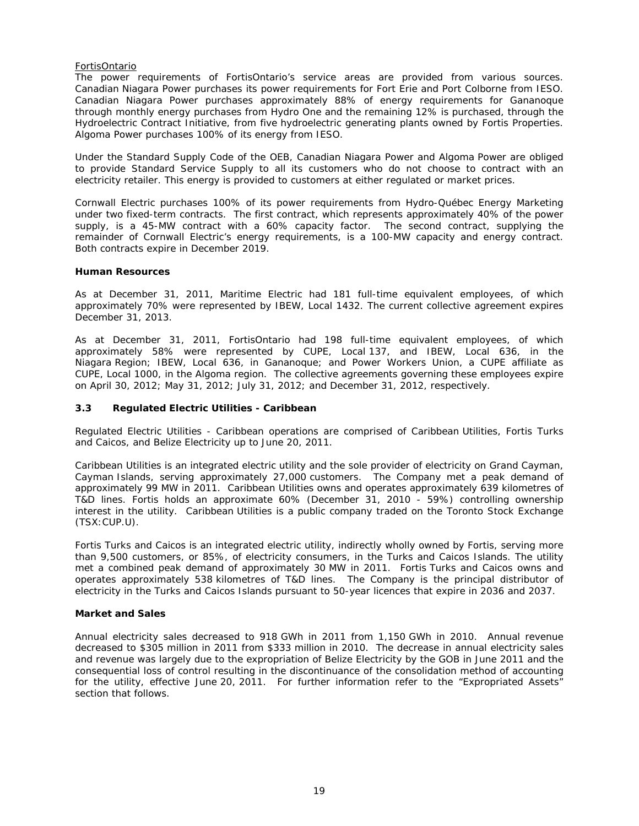## FortisOntario

The power requirements of FortisOntario's service areas are provided from various sources. Canadian Niagara Power purchases its power requirements for Fort Erie and Port Colborne from IESO. Canadian Niagara Power purchases approximately 88% of energy requirements for Gananoque through monthly energy purchases from Hydro One and the remaining 12% is purchased, through the Hydroelectric Contract Initiative, from five hydroelectric generating plants owned by Fortis Properties. Algoma Power purchases 100% of its energy from IESO.

Under the Standard Supply Code of the OEB, Canadian Niagara Power and Algoma Power are obliged to provide Standard Service Supply to all its customers who do not choose to contract with an electricity retailer. This energy is provided to customers at either regulated or market prices.

Cornwall Electric purchases 100% of its power requirements from Hydro-Québec Energy Marketing under two fixed-term contracts. The first contract, which represents approximately 40% of the power supply, is a 45-MW contract with a 60% capacity factor. The second contract, supplying the remainder of Cornwall Electric's energy requirements, is a 100-MW capacity and energy contract. Both contracts expire in December 2019.

## *Human Resources*

As at December 31, 2011, Maritime Electric had 181 full-time equivalent employees, of which approximately 70% were represented by IBEW, Local 1432. The current collective agreement expires December 31, 2013.

As at December 31, 2011, FortisOntario had 198 full-time equivalent employees, of which approximately 58% were represented by CUPE, Local 137, and IBEW, Local 636, in the Niagara Region; IBEW, Local 636, in Gananoque; and Power Workers Union, a CUPE affiliate as CUPE, Local 1000, in the Algoma region. The collective agreements governing these employees expire on April 30, 2012; May 31, 2012; July 31, 2012; and December 31, 2012, respectively.

## **3.3** *Regulated Electric Utilities - Caribbean*

Regulated Electric Utilities - Caribbean operations are comprised of Caribbean Utilities, Fortis Turks and Caicos, and Belize Electricity up to June 20, 2011.

Caribbean Utilities is an integrated electric utility and the sole provider of electricity on Grand Cayman, Cayman Islands, serving approximately 27,000 customers. The Company met a peak demand of approximately 99 MW in 2011. Caribbean Utilities owns and operates approximately 639 kilometres of T&D lines. Fortis holds an approximate 60% (December 31, 2010 - 59%) controlling ownership interest in the utility. Caribbean Utilities is a public company traded on the Toronto Stock Exchange (TSX:CUP.U).

Fortis Turks and Caicos is an integrated electric utility, indirectly wholly owned by Fortis, serving more than 9,500 customers, or 85%, of electricity consumers, in the Turks and Caicos Islands. The utility met a combined peak demand of approximately 30 MW in 2011. Fortis Turks and Caicos owns and operates approximately 538 kilometres of T&D lines. The Company is the principal distributor of electricity in the Turks and Caicos Islands pursuant to 50-year licences that expire in 2036 and 2037.

# *Market and Sales*

Annual electricity sales decreased to 918 GWh in 2011 from 1,150 GWh in 2010. Annual revenue decreased to \$305 million in 2011 from \$333 million in 2010. The decrease in annual electricity sales and revenue was largely due to the expropriation of Belize Electricity by the GOB in June 2011 and the consequential loss of control resulting in the discontinuance of the consolidation method of accounting for the utility, effective June 20, 2011. For further information refer to the "Expropriated Assets" section that follows.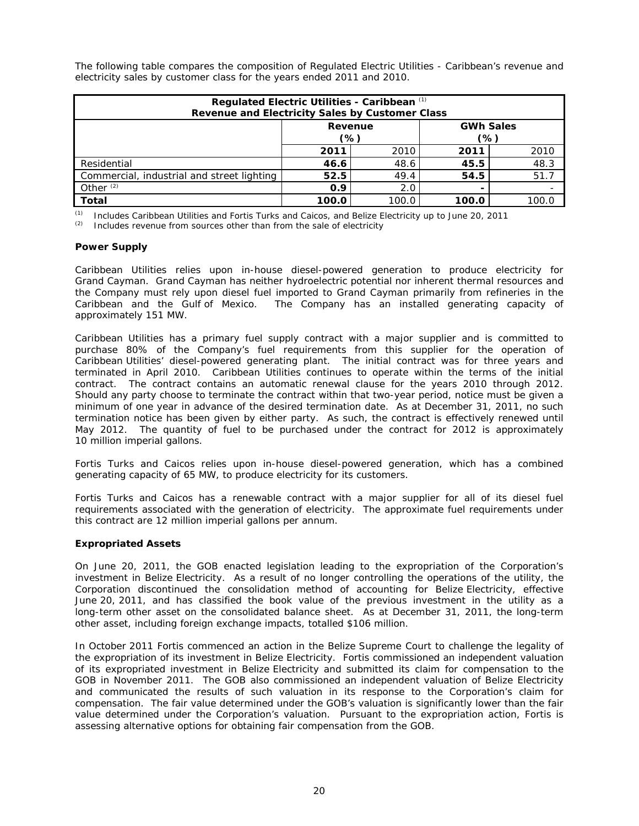The following table compares the composition of Regulated Electric Utilities - Caribbean's revenue and electricity sales by customer class for the years ended 2011 and 2010.

| Regulated Electric Utilities - Caribbean (1)<br>Revenue and Electricity Sales by Customer Class |       |       |       |       |  |  |
|-------------------------------------------------------------------------------------------------|-------|-------|-------|-------|--|--|
| <b>GWh Sales</b><br>Revenue<br>$\frac{1}{2}$<br>(%)                                             |       |       |       |       |  |  |
|                                                                                                 | 2011  | 2010  | 2011  | 2010  |  |  |
| Residential                                                                                     | 46.6  | 48.6  | 45.5  | 48.3  |  |  |
| Commercial, industrial and street lighting                                                      | 52.5  | 49.4  | 54.5  | 51.7  |  |  |
| Other $(2)$<br>0.9<br>2.0                                                                       |       |       |       |       |  |  |
| Total                                                                                           | 100.0 | 100.0 | 100.0 | 100.0 |  |  |

*(1) Includes Caribbean Utilities and Fortis Turks and Caicos, and Belize Electricity up to June 20, 2011* 

*(2) Includes revenue from sources other than from the sale of electricity* 

# *Power Supply*

Caribbean Utilities relies upon in-house diesel-powered generation to produce electricity for Grand Cayman. Grand Cayman has neither hydroelectric potential nor inherent thermal resources and the Company must rely upon diesel fuel imported to Grand Cayman primarily from refineries in the Caribbean and the Gulf of Mexico. The Company has an installed generating capacity of approximately 151 MW.

Caribbean Utilities has a primary fuel supply contract with a major supplier and is committed to purchase 80% of the Company's fuel requirements from this supplier for the operation of Caribbean Utilities' diesel-powered generating plant. The initial contract was for three years and terminated in April 2010. Caribbean Utilities continues to operate within the terms of the initial contract. The contract contains an automatic renewal clause for the years 2010 through 2012. Should any party choose to terminate the contract within that two-year period, notice must be given a minimum of one year in advance of the desired termination date. As at December 31, 2011, no such termination notice has been given by either party. As such, the contract is effectively renewed until May 2012. The quantity of fuel to be purchased under the contract for 2012 is approximately 10 million imperial gallons.

Fortis Turks and Caicos relies upon in-house diesel-powered generation, which has a combined generating capacity of 65 MW, to produce electricity for its customers.

Fortis Turks and Caicos has a renewable contract with a major supplier for all of its diesel fuel requirements associated with the generation of electricity. The approximate fuel requirements under this contract are 12 million imperial gallons per annum.

# *Expropriated Assets*

On June 20, 2011, the GOB enacted legislation leading to the expropriation of the Corporation's investment in Belize Electricity. As a result of no longer controlling the operations of the utility, the Corporation discontinued the consolidation method of accounting for Belize Electricity, effective June 20, 2011, and has classified the book value of the previous investment in the utility as a long-term other asset on the consolidated balance sheet. As at December 31, 2011, the long-term other asset, including foreign exchange impacts, totalled \$106 million.

In October 2011 Fortis commenced an action in the Belize Supreme Court to challenge the legality of the expropriation of its investment in Belize Electricity. Fortis commissioned an independent valuation of its expropriated investment in Belize Electricity and submitted its claim for compensation to the GOB in November 2011. The GOB also commissioned an independent valuation of Belize Electricity and communicated the results of such valuation in its response to the Corporation's claim for compensation. The fair value determined under the GOB's valuation is significantly lower than the fair value determined under the Corporation's valuation. Pursuant to the expropriation action, Fortis is assessing alternative options for obtaining fair compensation from the GOB.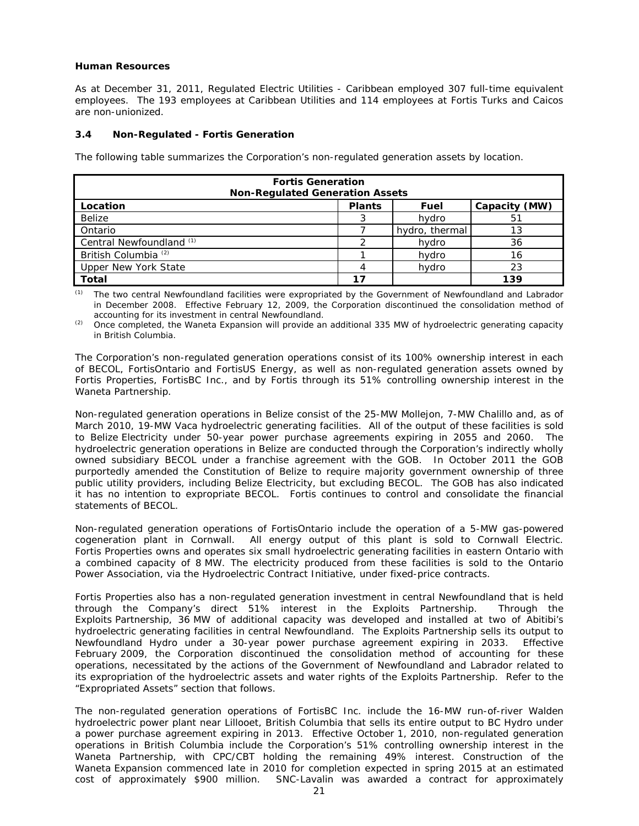## *Human Resources*

As at December 31, 2011, Regulated Electric Utilities - Caribbean employed 307 full-time equivalent employees. The 193 employees at Caribbean Utilities and 114 employees at Fortis Turks and Caicos are non-unionized.

## **3.4 Non-Regulated - Fortis Generation**

The following table summarizes the Corporation's non-regulated generation assets by location.

| <b>Fortis Generation</b><br><b>Non-Regulated Generation Assets</b> |    |                |     |  |  |  |
|--------------------------------------------------------------------|----|----------------|-----|--|--|--|
| <b>Plants</b><br>Location<br>Capacity (MW)<br>Fuel                 |    |                |     |  |  |  |
| Belize                                                             |    | hydro          | 51  |  |  |  |
| Ontario                                                            |    | hydro, thermal | 13  |  |  |  |
| Central Newfoundland (1)                                           |    | hydro          | 36  |  |  |  |
| British Columbia <sup>(2)</sup>                                    |    | hydro          | 16  |  |  |  |
| Upper New York State<br>hydro<br>23                                |    |                |     |  |  |  |
| Total                                                              | 17 |                | 139 |  |  |  |

*(1) The two central Newfoundland facilities were expropriated by the Government of Newfoundland and Labrador in December 2008. Effective February 12, 2009, the Corporation discontinued the consolidation method of accounting for its investment in central Newfoundland.*

*(2) Once completed, the Waneta Expansion will provide an additional 335 MW of hydroelectric generating capacity in British Columbia.*

The Corporation's non-regulated generation operations consist of its 100% ownership interest in each of BECOL, FortisOntario and FortisUS Energy, as well as non-regulated generation assets owned by Fortis Properties, FortisBC Inc., and by Fortis through its 51% controlling ownership interest in the Waneta Partnership.

Non-regulated generation operations in Belize consist of the 25-MW Mollejon, 7-MW Chalillo and, as of March 2010, 19-MW Vaca hydroelectric generating facilities. All of the output of these facilities is sold to Belize Electricity under 50-year power purchase agreements expiring in 2055 and 2060. The hydroelectric generation operations in Belize are conducted through the Corporation's indirectly wholly owned subsidiary BECOL under a franchise agreement with the GOB. In October 2011 the GOB purportedly amended the Constitution of Belize to require majority government ownership of three public utility providers, including Belize Electricity, but excluding BECOL. The GOB has also indicated it has no intention to expropriate BECOL. Fortis continues to control and consolidate the financial statements of BECOL.

Non-regulated generation operations of FortisOntario include the operation of a 5-MW gas-powered cogeneration plant in Cornwall. All energy output of this plant is sold to Cornwall Electric. Fortis Properties owns and operates six small hydroelectric generating facilities in eastern Ontario with a combined capacity of 8 MW. The electricity produced from these facilities is sold to the Ontario Power Association, via the Hydroelectric Contract Initiative, under fixed-price contracts.

Fortis Properties also has a non-regulated generation investment in central Newfoundland that is held through the Company's direct 51% interest in the Exploits Partnership. Through the Exploits Partnership, 36 MW of additional capacity was developed and installed at two of Abitibi's hydroelectric generating facilities in central Newfoundland. The Exploits Partnership sells its output to Newfoundland Hydro under a 30-year power purchase agreement expiring in 2033. Effective February 2009, the Corporation discontinued the consolidation method of accounting for these operations, necessitated by the actions of the Government of Newfoundland and Labrador related to its expropriation of the hydroelectric assets and water rights of the Exploits Partnership. Refer to the "Expropriated Assets" section that follows.

The non-regulated generation operations of FortisBC Inc. include the 16-MW run-of-river Walden hydroelectric power plant near Lillooet, British Columbia that sells its entire output to BC Hydro under a power purchase agreement expiring in 2013. Effective October 1, 2010, non-regulated generation operations in British Columbia include the Corporation's 51% controlling ownership interest in the Waneta Partnership, with CPC/CBT holding the remaining 49% interest. Construction of the Waneta Expansion commenced late in 2010 for completion expected in spring 2015 at an estimated cost of approximately \$900 million. SNC-Lavalin was awarded a contract for approximately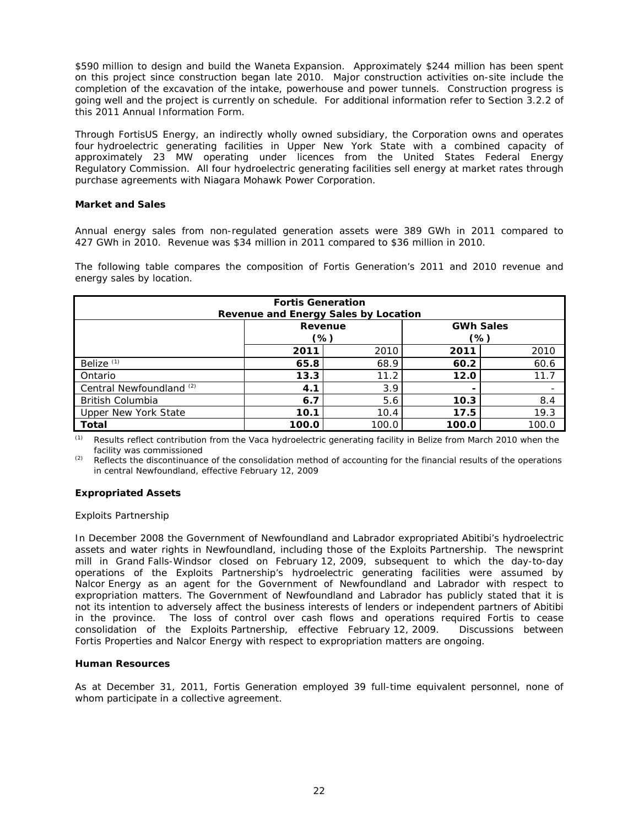\$590 million to design and build the Waneta Expansion. Approximately \$244 million has been spent on this project since construction began late 2010. Major construction activities on-site include the completion of the excavation of the intake, powerhouse and power tunnels. Construction progress is going well and the project is currently on schedule. For additional information refer to Section 3.2.2 of this 2011 Annual Information Form.

Through FortisUS Energy, an indirectly wholly owned subsidiary, the Corporation owns and operates four hydroelectric generating facilities in Upper New York State with a combined capacity of approximately 23 MW operating under licences from the United States Federal Energy Regulatory Commission. All four hydroelectric generating facilities sell energy at market rates through purchase agreements with Niagara Mohawk Power Corporation.

## *Market and Sales*

Annual energy sales from non-regulated generation assets were 389 GWh in 2011 compared to 427 GWh in 2010. Revenue was \$34 million in 2011 compared to \$36 million in 2010.

The following table compares the composition of Fortis Generation's 2011 and 2010 revenue and energy sales by location.

| <b>Fortis Generation</b><br>Revenue and Energy Sales by Location |                                  |      |                          |      |  |  |  |
|------------------------------------------------------------------|----------------------------------|------|--------------------------|------|--|--|--|
|                                                                  | <b>GWh Sales</b><br>Revenue      |      |                          |      |  |  |  |
|                                                                  | (%)<br>(%)                       |      |                          |      |  |  |  |
| 2010<br>2011<br>2011                                             |                                  |      |                          | 2010 |  |  |  |
| Belize <sup>(1)</sup>                                            | 65.8                             | 68.9 | 60.2                     | 60.6 |  |  |  |
| Ontario                                                          | 13.3                             | 11.2 | 12.0                     | 11.7 |  |  |  |
| Central Newfoundland <sup>(2)</sup>                              | 4.1                              | 3.9  | $\overline{\phantom{0}}$ |      |  |  |  |
| <b>British Columbia</b><br>5.6<br>8.4<br>6.7<br>10.3             |                                  |      |                          |      |  |  |  |
| 19.3<br>Upper New York State<br>10.4<br>17.5<br>10.1             |                                  |      |                          |      |  |  |  |
| <b>Total</b>                                                     | 100.0<br>100.0<br>100.0<br>100.0 |      |                          |      |  |  |  |

*(1) Results reflect contribution from the Vaca hydroelectric generating facility in Belize from March 2010 when the facility was commissioned* 

*(2) Reflects the discontinuance of the consolidation method of accounting for the financial results of the operations in central Newfoundland, effective February 12, 2009* 

# *Expropriated Assets*

### *Exploits Partnership*

In December 2008 the Government of Newfoundland and Labrador expropriated Abitibi's hydroelectric assets and water rights in Newfoundland, including those of the Exploits Partnership. The newsprint mill in Grand Falls-Windsor closed on February 12, 2009, subsequent to which the day-to-day operations of the Exploits Partnership's hydroelectric generating facilities were assumed by Nalcor Energy as an agent for the Government of Newfoundland and Labrador with respect to expropriation matters. The Government of Newfoundland and Labrador has publicly stated that it is not its intention to adversely affect the business interests of lenders or independent partners of Abitibi in the province. The loss of control over cash flows and operations required Fortis to cease consolidation of the Exploits Partnership, effective February 12, 2009. Discussions between Fortis Properties and Nalcor Energy with respect to expropriation matters are ongoing.

# *Human Resources*

As at December 31, 2011, Fortis Generation employed 39 full-time equivalent personnel, none of whom participate in a collective agreement.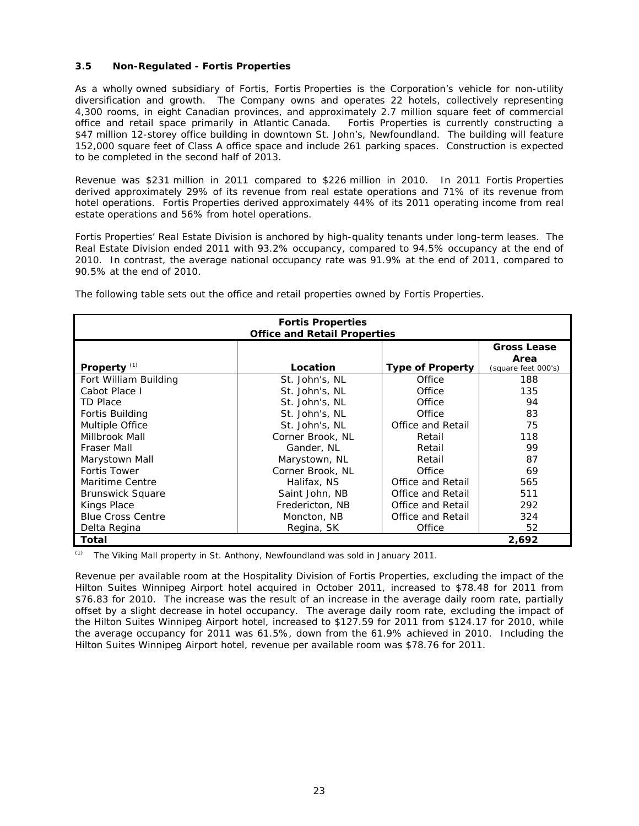# **3.5 Non-Regulated - Fortis Properties**

As a wholly owned subsidiary of Fortis, Fortis Properties is the Corporation's vehicle for non-utility diversification and growth. The Company owns and operates 22 hotels, collectively representing 4,300 rooms, in eight Canadian provinces, and approximately 2.7 million square feet of commercial office and retail space primarily in Atlantic Canada. Fortis Properties is currently constructing a \$47 million 12-storey office building in downtown St. John's, Newfoundland. The building will feature 152,000 square feet of Class A office space and include 261 parking spaces. Construction is expected to be completed in the second half of 2013.

Revenue was \$231 million in 2011 compared to \$226 million in 2010. In 2011 Fortis Properties derived approximately 29% of its revenue from real estate operations and 71% of its revenue from hotel operations. Fortis Properties derived approximately 44% of its 2011 operating income from real estate operations and 56% from hotel operations.

Fortis Properties' Real Estate Division is anchored by high-quality tenants under long-term leases. The Real Estate Division ended 2011 with 93.2% occupancy, compared to 94.5% occupancy at the end of 2010. In contrast, the average national occupancy rate was 91.9% at the end of 2011, compared to 90.5% at the end of 2010.

The following table sets out the office and retail properties owned by Fortis Properties.

| <b>Fortis Properties</b><br><b>Office and Retail Properties</b> |                  |                         |                                                   |
|-----------------------------------------------------------------|------------------|-------------------------|---------------------------------------------------|
| Property $(1)$                                                  | Location         | <b>Type of Property</b> | <b>Gross Lease</b><br>Area<br>(square feet 000's) |
| Fort William Building                                           | St. John's, NL   | Office                  | 188                                               |
| Cabot Place I                                                   | St. John's, NL   | Office                  | 135                                               |
| <b>TD Place</b>                                                 | St. John's, NL   | Office                  | 94                                                |
| Fortis Building                                                 | St. John's, NL   | Office                  | 83                                                |
| Multiple Office                                                 | St. John's, NL   | Office and Retail       | 75                                                |
| Millbrook Mall                                                  | Corner Brook, NL | Retail                  | 118                                               |
| Fraser Mall                                                     | Gander, NL       | Retail                  | 99                                                |
| Marystown Mall                                                  | Marystown, NL    | Retail                  | 87                                                |
| Fortis Tower                                                    | Corner Brook, NL | Office                  | 69                                                |
| Maritime Centre                                                 | Halifax, NS      | Office and Retail       | 565                                               |
| <b>Brunswick Square</b>                                         | Saint John, NB   | Office and Retail       | 511                                               |
| Kings Place                                                     | Fredericton, NB  | Office and Retail       | 292                                               |
| <b>Blue Cross Centre</b>                                        | Moncton, NB      | Office and Retail       | 324                                               |
| Delta Regina                                                    | Regina, SK       | Office                  | 52                                                |
| Total                                                           |                  |                         | 2.692                                             |

*(1) The Viking Mall property in St. Anthony, Newfoundland was sold in January 2011.* 

Revenue per available room at the Hospitality Division of Fortis Properties, excluding the impact of the Hilton Suites Winnipeg Airport hotel acquired in October 2011, increased to \$78.48 for 2011 from \$76.83 for 2010. The increase was the result of an increase in the average daily room rate, partially offset by a slight decrease in hotel occupancy. The average daily room rate, excluding the impact of the Hilton Suites Winnipeg Airport hotel, increased to \$127.59 for 2011 from \$124.17 for 2010, while the average occupancy for 2011 was 61.5%, down from the 61.9% achieved in 2010. Including the Hilton Suites Winnipeg Airport hotel, revenue per available room was \$78.76 for 2011.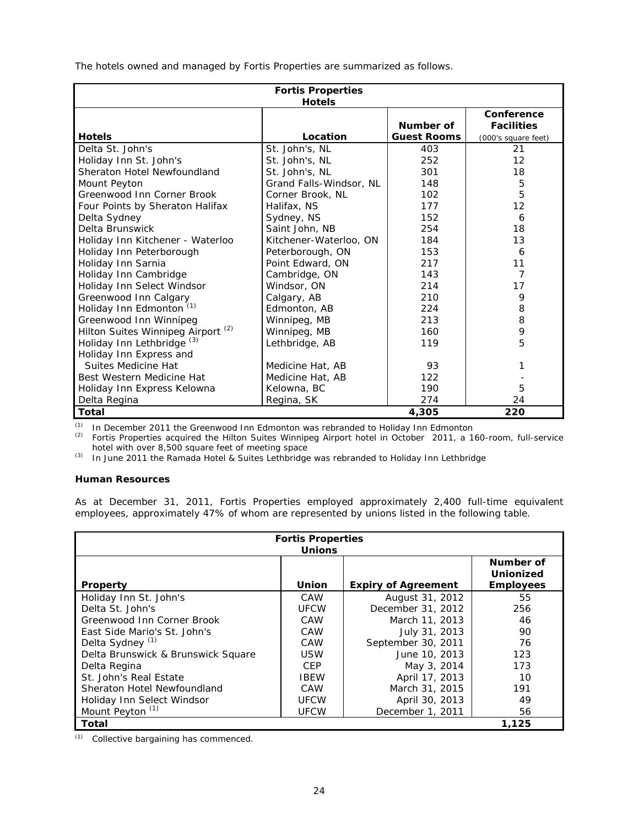The hotels owned and managed by Fortis Properties are summarized as follows.

| <b>Fortis Properties</b><br><b>Hotels</b>     |                         |                    |                                 |
|-----------------------------------------------|-------------------------|--------------------|---------------------------------|
|                                               |                         | Number of          | Conference<br><b>Facilities</b> |
| <b>Hotels</b>                                 | Location                | <b>Guest Rooms</b> | (000's square feet)             |
| Delta St. John's                              | St. John's, NL          | 403                | 21                              |
| Holiday Inn St. John's                        | St. John's, NL          | 252                | 12                              |
| Sheraton Hotel Newfoundland                   | St. John's, NL          | 301                | 18                              |
| Mount Peyton                                  | Grand Falls-Windsor, NL | 148                | 5                               |
| Greenwood Inn Corner Brook                    | Corner Brook, NL        | 102                | 5                               |
| Four Points by Sheraton Halifax               | Halifax, NS             | 177                | 12                              |
| Delta Sydney                                  | Sydney, NS              | 152                | 6                               |
| Delta Brunswick                               | Saint John, NB          | 254                | 18                              |
| Holiday Inn Kitchener - Waterloo              | Kitchener-Waterloo, ON  | 184                | 13                              |
| Holiday Inn Peterborough                      | Peterborough, ON        | 153                | 6                               |
| Holiday Inn Sarnia                            | Point Edward, ON        | 217                | 11                              |
| Holiday Inn Cambridge                         | Cambridge, ON           | 143                | $\overline{7}$                  |
| Holiday Inn Select Windsor                    | Windsor, ON             | 214                | 17                              |
| Greenwood Inn Calgary                         | Calgary, AB             | 210                | 9                               |
| Holiday Inn Edmonton (1)                      | Edmonton, AB            | 224                | 8                               |
| Greenwood Inn Winnipeg                        | Winnipeg, MB            | 213                | 8                               |
| Hilton Suites Winnipeg Airport <sup>(2)</sup> | Winnipeg, MB            | 160                | 9                               |
| Holiday Inn Lethbridge <sup>(3)</sup>         | Lethbridge, AB          | 119                | 5                               |
| Holiday Inn Express and                       |                         |                    |                                 |
| Suites Medicine Hat                           | Medicine Hat, AB        | 93                 | 1                               |
| Best Western Medicine Hat                     | Medicine Hat, AB        | 122                |                                 |
| Holiday Inn Express Kelowna                   | Kelowna, BC             | 190                | 5                               |
| Delta Regina                                  | Regina, SK              | 274                | 24                              |
| Total                                         |                         | 4,305              | 220                             |

*(1) In December 2011 the Greenwood Inn Edmonton was rebranded to Holiday Inn Edmonton* 

*(2) Fortis Properties acquired the Hilton Suites Winnipeg Airport hotel in October 2011, a 160-room, full-service hotel with over 8,500 square feet of meeting space* 

*(3) In June 2011 the Ramada Hotel & Suites Lethbridge was rebranded to Holiday Inn Lethbridge* 

# **Human Resources**

As at December 31, 2011, Fortis Properties employed approximately 2,400 full-time equivalent employees, approximately 47% of whom are represented by unions listed in the following table.

| <b>Fortis Properties</b>           |               |                            |                  |
|------------------------------------|---------------|----------------------------|------------------|
|                                    | <b>Unions</b> |                            |                  |
|                                    |               |                            | Number of        |
|                                    |               |                            | <b>Unionized</b> |
| <b>Property</b>                    | Union         | <b>Expiry of Agreement</b> | <b>Employees</b> |
| Holiday Inn St. John's             | CAW           | August 31, 2012            | 55               |
| Delta St. John's                   | <b>UFCW</b>   | December 31, 2012          | 256              |
| Greenwood Inn Corner Brook         | CAW           | March 11, 2013             | 46               |
| East Side Mario's St. John's       | CAW           | July 31, 2013              | 90               |
| Delta Sydney <sup>(1)</sup>        | CAW           | September 30, 2011         | 76               |
| Delta Brunswick & Brunswick Square | <b>USW</b>    | June 10, 2013              | 123              |
| Delta Regina                       | <b>CEP</b>    | May 3, 2014                | 173              |
| St. John's Real Estate             | <b>IBEW</b>   | April 17, 2013             | 10               |
| Sheraton Hotel Newfoundland        | CAW           | March 31, 2015             | 191              |
| Holiday Inn Select Windsor         | <b>UFCW</b>   | April 30, 2013             | 49               |
| Mount Peyton <sup>(1)</sup>        | <b>UFCW</b>   | December 1, 2011           | 56               |
| Total                              |               |                            | 1,125            |

*(1) Collective bargaining has commenced.*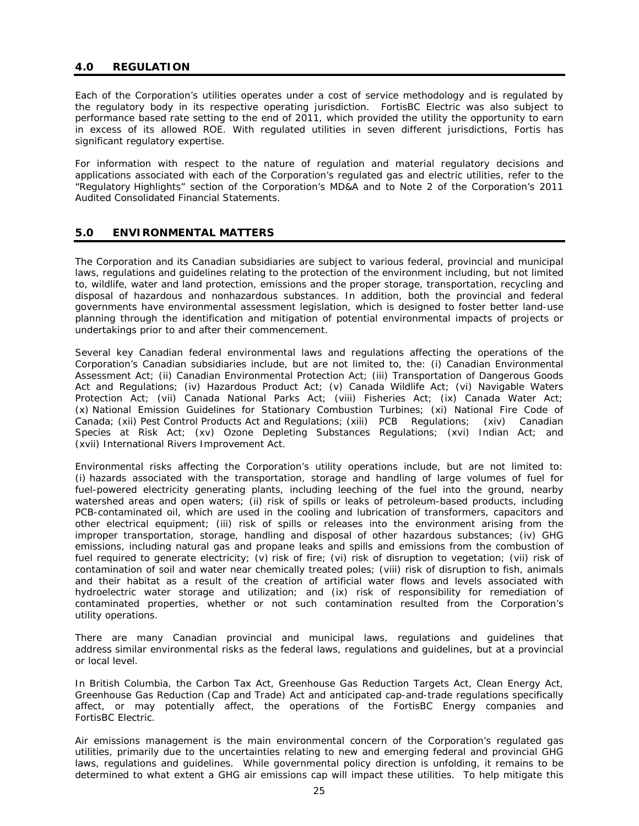# **4.0 REGULATION**

Each of the Corporation's utilities operates under a cost of service methodology and is regulated by the regulatory body in its respective operating jurisdiction. FortisBC Electric was also subject to performance based rate setting to the end of 2011, which provided the utility the opportunity to earn in excess of its allowed ROE. With regulated utilities in seven different jurisdictions, Fortis has significant regulatory expertise.

For information with respect to the nature of regulation and material regulatory decisions and applications associated with each of the Corporation's regulated gas and electric utilities, refer to the "Regulatory Highlights" section of the Corporation's MD&A and to Note 2 of the Corporation's 2011 Audited Consolidated Financial Statements.

# **5.0 ENVIRONMENTAL MATTERS**

The Corporation and its Canadian subsidiaries are subject to various federal, provincial and municipal laws, regulations and guidelines relating to the protection of the environment including, but not limited to, wildlife, water and land protection, emissions and the proper storage, transportation, recycling and disposal of hazardous and nonhazardous substances. In addition, both the provincial and federal governments have environmental assessment legislation, which is designed to foster better land-use planning through the identification and mitigation of potential environmental impacts of projects or undertakings prior to and after their commencement.

Several key Canadian federal environmental laws and regulations affecting the operations of the Corporation's Canadian subsidiaries include, but are not limited to, the: (i) *Canadian Environmental Assessment Act;* (ii) *Canadian Environmental Protection Act*; (iii) *Transportation of Dangerous Goods Act and Regulations*; (iv) *Hazardous Product Act*; (v) *Canada Wildlife Act*; (vi) *Navigable Waters Protection Act*; (vii) *Canada National Parks Act*; (viii) *Fisheries Act;* (ix) *Canada Water Act;*  (x) *National Emission Guidelines for Stationary Combustion Turbines;* (xi) *National Fire Code of Canada;* (xii) *Pest Control Products Act and Regulations;* (xiii) *PCB Regulations;* (xiv) *Canadian Species at Risk Act;* (xv) *Ozone Depleting Substances Regulations;* (xvi) *Indian Act; and*  (xvii) *International Rivers Improvement Act.*

Environmental risks affecting the Corporation's utility operations include, but are not limited to: (i) hazards associated with the transportation, storage and handling of large volumes of fuel for fuel-powered electricity generating plants, including leeching of the fuel into the ground, nearby watershed areas and open waters; (ii) risk of spills or leaks of petroleum-based products, including PCB-contaminated oil, which are used in the cooling and lubrication of transformers, capacitors and other electrical equipment; (iii) risk of spills or releases into the environment arising from the improper transportation, storage, handling and disposal of other hazardous substances; (iv) GHG emissions, including natural gas and propane leaks and spills and emissions from the combustion of fuel required to generate electricity; (v) risk of fire; (vi) risk of disruption to vegetation; (vii) risk of contamination of soil and water near chemically treated poles; (viii) risk of disruption to fish, animals and their habitat as a result of the creation of artificial water flows and levels associated with hydroelectric water storage and utilization; and (ix) risk of responsibility for remediation of contaminated properties, whether or not such contamination resulted from the Corporation's utility operations.

There are many Canadian provincial and municipal laws, regulations and guidelines that address similar environmental risks as the federal laws, regulations and guidelines, but at a provincial or local level.

In British Columbia, the *Carbon Tax Act, Greenhouse Gas Reduction Targets Act, Clean Energy Act, Greenhouse Gas Reduction (Cap and Trade) Act* and anticipated cap-and-trade regulations specifically affect, or may potentially affect, the operations of the FortisBC Energy companies and FortisBC Electric.

Air emissions management is the main environmental concern of the Corporation's regulated gas utilities, primarily due to the uncertainties relating to new and emerging federal and provincial GHG laws, regulations and guidelines. While governmental policy direction is unfolding, it remains to be determined to what extent a GHG air emissions cap will impact these utilities. To help mitigate this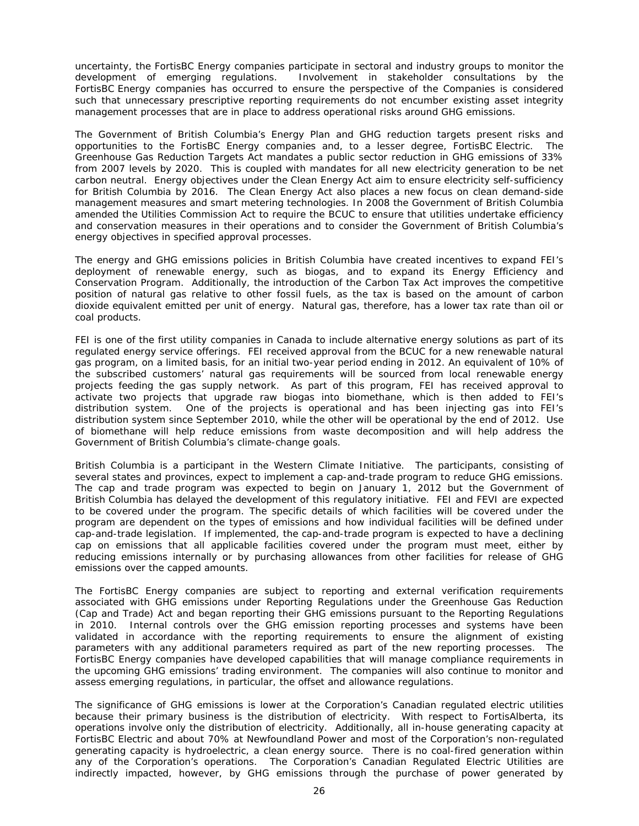uncertainty, the FortisBC Energy companies participate in sectoral and industry groups to monitor the development of emerging regulations. Involvement in stakeholder consultations by the FortisBC Energy companies has occurred to ensure the perspective of the Companies is considered such that unnecessary prescriptive reporting requirements do not encumber existing asset integrity management processes that are in place to address operational risks around GHG emissions.

The Government of British Columbia's Energy Plan and GHG reduction targets present risks and opportunities to the FortisBC Energy companies and, to a lesser degree, FortisBC Electric. The *Greenhouse Gas Reduction Targets Act* mandates a public sector reduction in GHG emissions of 33% from 2007 levels by 2020. This is coupled with mandates for all new electricity generation to be net carbon neutral. Energy objectives under the *Clean Energy Act* aim to ensure electricity self-sufficiency for British Columbia by 2016. The *Clean Energy Act* also places a new focus on clean demand-side management measures and smart metering technologies. In 2008 the Government of British Columbia amended the *Utilities Commission Act* to require the BCUC to ensure that utilities undertake efficiency and conservation measures in their operations and to consider the Government of British Columbia's energy objectives in specified approval processes.

The energy and GHG emissions policies in British Columbia have created incentives to expand FEI's deployment of renewable energy, such as biogas, and to expand its Energy Efficiency and Conservation Program. Additionally, the introduction of the *Carbon Tax Act* improves the competitive position of natural gas relative to other fossil fuels, as the tax is based on the amount of carbon dioxide equivalent emitted per unit of energy. Natural gas, therefore, has a lower tax rate than oil or coal products.

FEI is one of the first utility companies in Canada to include alternative energy solutions as part of its regulated energy service offerings. FEI received approval from the BCUC for a new renewable natural gas program, on a limited basis, for an initial two-year period ending in 2012. An equivalent of 10% of the subscribed customers' natural gas requirements will be sourced from local renewable energy projects feeding the gas supply network. As part of this program, FEI has received approval to activate two projects that upgrade raw biogas into biomethane, which is then added to FEI's distribution system. One of the projects is operational and has been injecting gas into FEI's distribution system since September 2010, while the other will be operational by the end of 2012. Use of biomethane will help reduce emissions from waste decomposition and will help address the Government of British Columbia's climate-change goals.

British Columbia is a participant in the Western Climate Initiative. The participants, consisting of several states and provinces, expect to implement a cap-and-trade program to reduce GHG emissions. The cap and trade program was expected to begin on January 1, 2012 but the Government of British Columbia has delayed the development of this regulatory initiative. FEI and FEVI are expected to be covered under the program. The specific details of which facilities will be covered under the program are dependent on the types of emissions and how individual facilities will be defined under cap-and-trade legislation. If implemented, the cap-and-trade program is expected to have a declining cap on emissions that all applicable facilities covered under the program must meet, either by reducing emissions internally or by purchasing allowances from other facilities for release of GHG emissions over the capped amounts.

The FortisBC Energy companies are subject to reporting and external verification requirements associated with GHG emissions under Reporting Regulations under the *Greenhouse Gas Reduction (Cap and Trade) Act* and began reporting their GHG emissions pursuant to the Reporting Regulations in 2010. Internal controls over the GHG emission reporting processes and systems have been validated in accordance with the reporting requirements to ensure the alignment of existing parameters with any additional parameters required as part of the new reporting processes. The FortisBC Energy companies have developed capabilities that will manage compliance requirements in the upcoming GHG emissions' trading environment. The companies will also continue to monitor and assess emerging regulations, in particular, the offset and allowance regulations.

The significance of GHG emissions is lower at the Corporation's Canadian regulated electric utilities because their primary business is the distribution of electricity. With respect to FortisAlberta, its operations involve only the distribution of electricity. Additionally, all in-house generating capacity at FortisBC Electric and about 70% at Newfoundland Power and most of the Corporation's non-regulated generating capacity is hydroelectric, a clean energy source. There is no coal-fired generation within any of the Corporation's operations. The Corporation's Canadian Regulated Electric Utilities are indirectly impacted, however, by GHG emissions through the purchase of power generated by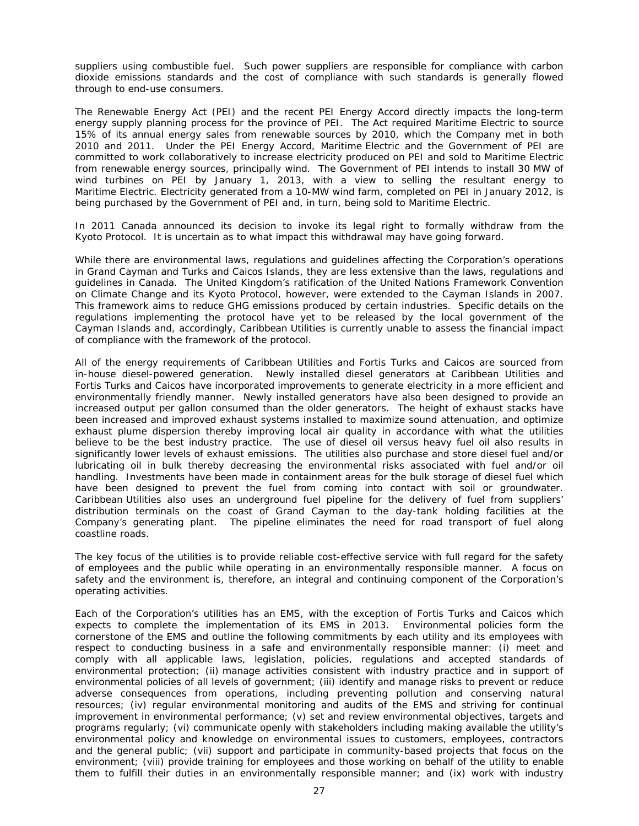suppliers using combustible fuel. Such power suppliers are responsible for compliance with carbon dioxide emissions standards and the cost of compliance with such standards is generally flowed through to end-use consumers.

The *Renewable Energy Act* (PEI) and the recent PEI Energy Accord directly impacts the long-term energy supply planning process for the province of PEI. The Act required Maritime Electric to source 15% of its annual energy sales from renewable sources by 2010, which the Company met in both 2010 and 2011. Under the PEI Energy Accord, Maritime Electric and the Government of PEI are committed to work collaboratively to increase electricity produced on PEI and sold to Maritime Electric from renewable energy sources, principally wind. The Government of PEI intends to install 30 MW of wind turbines on PEI by January 1, 2013, with a view to selling the resultant energy to Maritime Electric. Electricity generated from a 10-MW wind farm, completed on PEI in January 2012, is being purchased by the Government of PEI and, in turn, being sold to Maritime Electric.

In 2011 Canada announced its decision to invoke its legal right to formally withdraw from the Kyoto Protocol. It is uncertain as to what impact this withdrawal may have going forward.

While there are environmental laws, regulations and guidelines affecting the Corporation's operations in Grand Cayman and Turks and Caicos Islands, they are less extensive than the laws, regulations and guidelines in Canada. The United Kingdom's ratification of the United Nations Framework Convention on Climate Change and its Kyoto Protocol, however, were extended to the Cayman Islands in 2007. This framework aims to reduce GHG emissions produced by certain industries. Specific details on the regulations implementing the protocol have yet to be released by the local government of the Cayman Islands and, accordingly, Caribbean Utilities is currently unable to assess the financial impact of compliance with the framework of the protocol.

All of the energy requirements of Caribbean Utilities and Fortis Turks and Caicos are sourced from in-house diesel-powered generation. Newly installed diesel generators at Caribbean Utilities and Fortis Turks and Caicos have incorporated improvements to generate electricity in a more efficient and environmentally friendly manner. Newly installed generators have also been designed to provide an increased output per gallon consumed than the older generators. The height of exhaust stacks have been increased and improved exhaust systems installed to maximize sound attenuation, and optimize exhaust plume dispersion thereby improving local air quality in accordance with what the utilities believe to be the best industry practice. The use of diesel oil versus heavy fuel oil also results in significantly lower levels of exhaust emissions. The utilities also purchase and store diesel fuel and/or lubricating oil in bulk thereby decreasing the environmental risks associated with fuel and/or oil handling. Investments have been made in containment areas for the bulk storage of diesel fuel which have been designed to prevent the fuel from coming into contact with soil or groundwater. Caribbean Utilities also uses an underground fuel pipeline for the delivery of fuel from suppliers' distribution terminals on the coast of Grand Cayman to the day-tank holding facilities at the Company's generating plant. The pipeline eliminates the need for road transport of fuel along coastline roads.

The key focus of the utilities is to provide reliable cost-effective service with full regard for the safety of employees and the public while operating in an environmentally responsible manner. A focus on safety and the environment is, therefore, an integral and continuing component of the Corporation's operating activities.

Each of the Corporation's utilities has an EMS, with the exception of Fortis Turks and Caicos which expects to complete the implementation of its EMS in 2013. Environmental policies form the cornerstone of the EMS and outline the following commitments by each utility and its employees with respect to conducting business in a safe and environmentally responsible manner: (i) meet and comply with all applicable laws, legislation, policies, regulations and accepted standards of environmental protection; (ii) manage activities consistent with industry practice and in support of environmental policies of all levels of government; (iii) identify and manage risks to prevent or reduce adverse consequences from operations, including preventing pollution and conserving natural resources; (iv) regular environmental monitoring and audits of the EMS and striving for continual improvement in environmental performance; (v) set and review environmental objectives, targets and programs regularly; (vi) communicate openly with stakeholders including making available the utility's environmental policy and knowledge on environmental issues to customers, employees, contractors and the general public; (vii) support and participate in community-based projects that focus on the environment; (viii) provide training for employees and those working on behalf of the utility to enable them to fulfill their duties in an environmentally responsible manner; and (ix) work with industry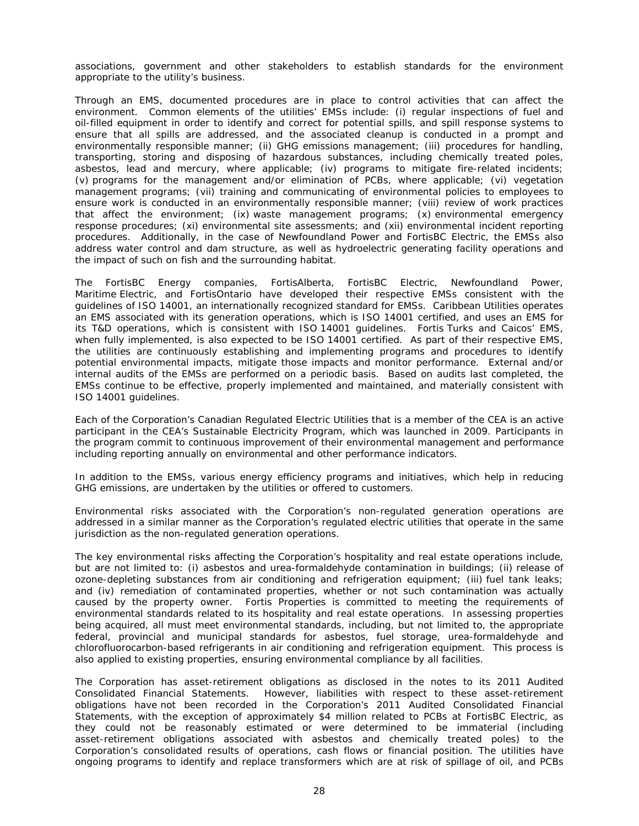associations, government and other stakeholders to establish standards for the environment appropriate to the utility's business.

Through an EMS, documented procedures are in place to control activities that can affect the environment. Common elements of the utilities' EMSs include: (i) regular inspections of fuel and oil-filled equipment in order to identify and correct for potential spills, and spill response systems to ensure that all spills are addressed, and the associated cleanup is conducted in a prompt and environmentally responsible manner; (ii) GHG emissions management; (iii) procedures for handling, transporting, storing and disposing of hazardous substances, including chemically treated poles, asbestos, lead and mercury, where applicable; (iv) programs to mitigate fire-related incidents; (v) programs for the management and/or elimination of PCBs, where applicable; (vi) vegetation management programs; (vii) training and communicating of environmental policies to employees to ensure work is conducted in an environmentally responsible manner; (viii) review of work practices that affect the environment; (ix) waste management programs; (x) environmental emergency response procedures; (xi) environmental site assessments; and (xii) environmental incident reporting procedures. Additionally, in the case of Newfoundland Power and FortisBC Electric, the EMSs also address water control and dam structure, as well as hydroelectric generating facility operations and the impact of such on fish and the surrounding habitat.

The FortisBC Energy companies, FortisAlberta, FortisBC Electric, Newfoundland Power, Maritime Electric, and FortisOntario have developed their respective EMSs consistent with the guidelines of ISO 14001, an internationally recognized standard for EMSs. Caribbean Utilities operates an EMS associated with its generation operations, which is ISO 14001 certified, and uses an EMS for its T&D operations, which is consistent with ISO 14001 guidelines. Fortis Turks and Caicos' EMS, when fully implemented, is also expected to be ISO 14001 certified*.* As part of their respective EMS, the utilities are continuously establishing and implementing programs and procedures to identify potential environmental impacts, mitigate those impacts and monitor performance. External and/or internal audits of the EMSs are performed on a periodic basis. Based on audits last completed, the EMSs continue to be effective, properly implemented and maintained, and materially consistent with ISO 14001 guidelines.

Each of the Corporation's Canadian Regulated Electric Utilities that is a member of the CEA is an active participant in the CEA's Sustainable Electricity Program, which was launched in 2009. Participants in the program commit to continuous improvement of their environmental management and performance including reporting annually on environmental and other performance indicators.

In addition to the EMSs, various energy efficiency programs and initiatives, which help in reducing GHG emissions, are undertaken by the utilities or offered to customers.

Environmental risks associated with the Corporation's non-regulated generation operations are addressed in a similar manner as the Corporation's regulated electric utilities that operate in the same jurisdiction as the non-regulated generation operations.

The key environmental risks affecting the Corporation's hospitality and real estate operations include, but are not limited to: (i) asbestos and urea-formaldehyde contamination in buildings; (ii) release of ozone-depleting substances from air conditioning and refrigeration equipment; (iii) fuel tank leaks; and (iv) remediation of contaminated properties, whether or not such contamination was actually caused by the property owner. Fortis Properties is committed to meeting the requirements of environmental standards related to its hospitality and real estate operations. In assessing properties being acquired, all must meet environmental standards, including, but not limited to, the appropriate federal, provincial and municipal standards for asbestos, fuel storage, urea-formaldehyde and chlorofluorocarbon-based refrigerants in air conditioning and refrigeration equipment. This process is also applied to existing properties, ensuring environmental compliance by all facilities.

The Corporation has asset-retirement obligations as disclosed in the notes to its 2011 Audited Consolidated Financial Statements. However, liabilities with respect to these asset-retirement obligations have not been recorded in the Corporation's 2011 Audited Consolidated Financial Statements, with the exception of approximately \$4 million related to PCBs at FortisBC Electric, as they could not be reasonably estimated or were determined to be immaterial (including asset-retirement obligations associated with asbestos and chemically treated poles) to the Corporation's consolidated results of operations, cash flows or financial position. The utilities have ongoing programs to identify and replace transformers which are at risk of spillage of oil, and PCBs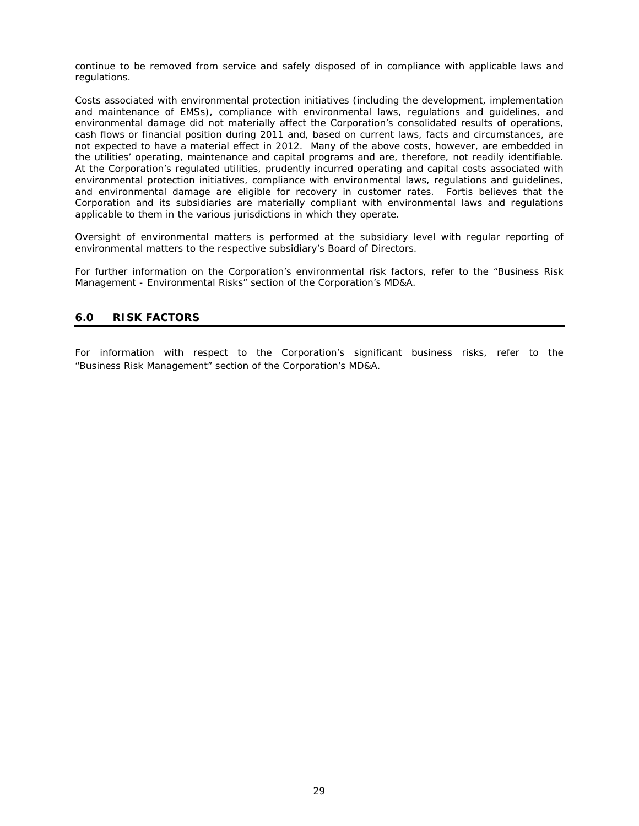continue to be removed from service and safely disposed of in compliance with applicable laws and regulations.

Costs associated with environmental protection initiatives (including the development, implementation and maintenance of EMSs), compliance with environmental laws, regulations and guidelines, and environmental damage did not materially affect the Corporation's consolidated results of operations, cash flows or financial position during 2011 and, based on current laws, facts and circumstances, are not expected to have a material effect in 2012. Many of the above costs, however, are embedded in the utilities' operating, maintenance and capital programs and are, therefore, not readily identifiable. At the Corporation's regulated utilities, prudently incurred operating and capital costs associated with environmental protection initiatives, compliance with environmental laws, regulations and guidelines, and environmental damage are eligible for recovery in customer rates. Fortis believes that the Corporation and its subsidiaries are materially compliant with environmental laws and regulations applicable to them in the various jurisdictions in which they operate.

Oversight of environmental matters is performed at the subsidiary level with regular reporting of environmental matters to the respective subsidiary's Board of Directors.

For further information on the Corporation's environmental risk factors, refer to the "Business Risk Management - Environmental Risks" section of the Corporation's MD&A.

# **6.0 RISK FACTORS**

For information with respect to the Corporation's significant business risks, refer to the "Business Risk Management" section of the Corporation's MD&A.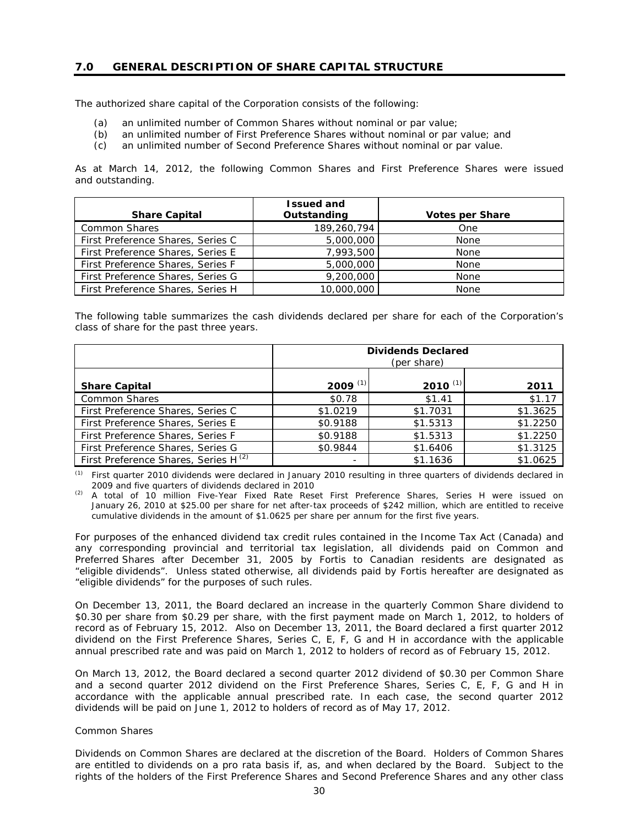# **7.0 GENERAL DESCRIPTION OF SHARE CAPITAL STRUCTURE**

The authorized share capital of the Corporation consists of the following:

- (a) an unlimited number of Common Shares without nominal or par value;
- (b) an unlimited number of First Preference Shares without nominal or par value; and
- (c) an unlimited number of Second Preference Shares without nominal or par value.

As at March 14, 2012, the following Common Shares and First Preference Shares were issued and outstanding.

|                                   | <b>Issued and</b> |                        |
|-----------------------------------|-------------------|------------------------|
| <b>Share Capital</b>              | Outstanding       | <b>Votes per Share</b> |
| Common Shares                     | 189,260,794       | <b>One</b>             |
| First Preference Shares, Series C | 5,000,000         | None                   |
| First Preference Shares, Series E | 7,993,500         | None                   |
| First Preference Shares, Series F | 5,000,000         | None                   |
| First Preference Shares, Series G | 9,200,000         | None                   |
| First Preference Shares, Series H | 10,000,000        | None                   |

The following table summarizes the cash dividends declared per share for each of the Corporation's class of share for the past three years.

|                                                  | <b>Dividends Declared</b><br>(per share) |            |          |
|--------------------------------------------------|------------------------------------------|------------|----------|
| <b>Share Capital</b>                             | 2009 $(1)$                               | 2010 $(1)$ | 2011     |
| <b>Common Shares</b>                             | \$0.78                                   | \$1.41     | \$1.17   |
| First Preference Shares, Series C                | \$1.0219                                 | \$1.7031   | \$1.3625 |
| First Preference Shares, Series E                | \$0.9188                                 | \$1.5313   | \$1.2250 |
| First Preference Shares, Series F                | \$0.9188                                 | \$1.5313   | \$1.2250 |
| First Preference Shares, Series G                | \$0.9844                                 | \$1.6406   | \$1.3125 |
| First Preference Shares, Series H <sup>(2)</sup> |                                          | \$1.1636   | \$1.0625 |

*(1) First quarter 2010 dividends were declared in January 2010 resulting in three quarters of dividends declared in 2009 and five quarters of dividends declared in 2010* 

*(2) A total of 10 million Five-Year Fixed Rate Reset First Preference Shares, Series H were issued on January 26, 2010 at \$25.00 per share for net after-tax proceeds of \$242 million, which are entitled to receive cumulative dividends in the amount of \$1.0625 per share per annum for the first five years.* 

For purposes of the enhanced dividend tax credit rules contained in the Income Tax Act (Canada) and any corresponding provincial and territorial tax legislation, all dividends paid on Common and Preferred Shares after December 31, 2005 by Fortis to Canadian residents are designated as "eligible dividends". Unless stated otherwise, all dividends paid by Fortis hereafter are designated as "eligible dividends" for the purposes of such rules.

On December 13, 2011, the Board declared an increase in the quarterly Common Share dividend to \$0.30 per share from \$0.29 per share, with the first payment made on March 1, 2012, to holders of record as of February 15, 2012. Also on December 13, 2011, the Board declared a first quarter 2012 dividend on the First Preference Shares, Series C, E, F, G and H in accordance with the applicable annual prescribed rate and was paid on March 1, 2012 to holders of record as of February 15, 2012.

On March 13, 2012, the Board declared a second quarter 2012 dividend of \$0.30 per Common Share and a second quarter 2012 dividend on the First Preference Shares, Series C, E, F, G and H in accordance with the applicable annual prescribed rate. In each case, the second quarter 2012 dividends will be paid on June 1, 2012 to holders of record as of May 17, 2012.

#### *Common Shares*

Dividends on Common Shares are declared at the discretion of the Board. Holders of Common Shares are entitled to dividends on a pro rata basis if, as, and when declared by the Board. Subject to the rights of the holders of the First Preference Shares and Second Preference Shares and any other class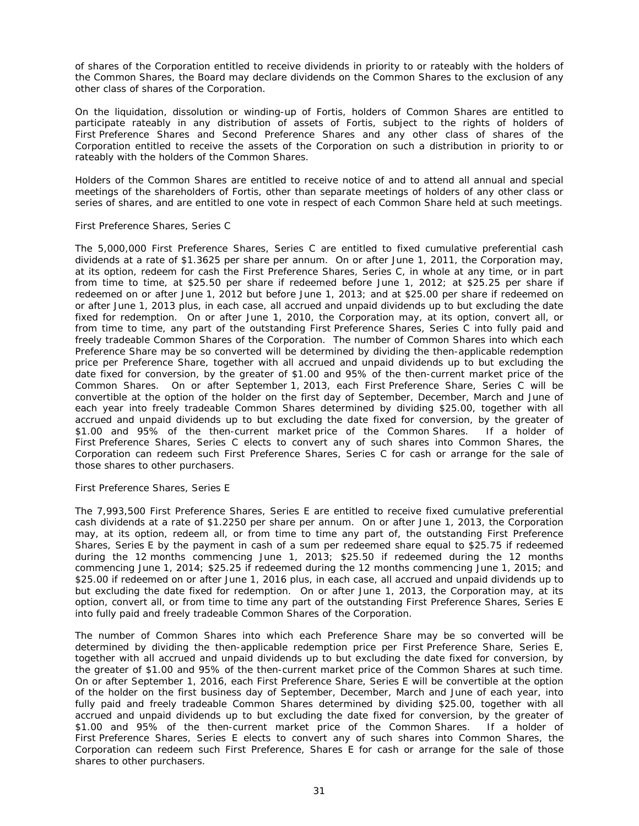of shares of the Corporation entitled to receive dividends in priority to or rateably with the holders of the Common Shares, the Board may declare dividends on the Common Shares to the exclusion of any other class of shares of the Corporation.

On the liquidation, dissolution or winding-up of Fortis, holders of Common Shares are entitled to participate rateably in any distribution of assets of Fortis, subject to the rights of holders of First Preference Shares and Second Preference Shares and any other class of shares of the Corporation entitled to receive the assets of the Corporation on such a distribution in priority to or rateably with the holders of the Common Shares.

Holders of the Common Shares are entitled to receive notice of and to attend all annual and special meetings of the shareholders of Fortis, other than separate meetings of holders of any other class or series of shares, and are entitled to one vote in respect of each Common Share held at such meetings.

## *First Preference Shares, Series C*

The 5,000,000 First Preference Shares, Series C are entitled to fixed cumulative preferential cash dividends at a rate of \$1.3625 per share per annum. On or after June 1, 2011, the Corporation may, at its option, redeem for cash the First Preference Shares, Series C, in whole at any time, or in part from time to time, at \$25.50 per share if redeemed before June 1, 2012; at \$25.25 per share if redeemed on or after June 1, 2012 but before June 1, 2013; and at \$25.00 per share if redeemed on or after June 1, 2013 plus, in each case, all accrued and unpaid dividends up to but excluding the date fixed for redemption. On or after June 1, 2010, the Corporation may, at its option, convert all, or from time to time, any part of the outstanding First Preference Shares, Series C into fully paid and freely tradeable Common Shares of the Corporation. The number of Common Shares into which each Preference Share may be so converted will be determined by dividing the then-applicable redemption price per Preference Share, together with all accrued and unpaid dividends up to but excluding the date fixed for conversion, by the greater of \$1.00 and 95% of the then-current market price of the Common Shares. On or after September 1, 2013, each First Preference Share, Series C will be convertible at the option of the holder on the first day of September, December, March and June of each year into freely tradeable Common Shares determined by dividing \$25.00, together with all accrued and unpaid dividends up to but excluding the date fixed for conversion, by the greater of \$1.00 and 95% of the then-current market price of the Common Shares. If a holder of First Preference Shares, Series C elects to convert any of such shares into Common Shares, the Corporation can redeem such First Preference Shares, Series C for cash or arrange for the sale of those shares to other purchasers.

## *First Preference Shares, Series E*

The 7,993,500 First Preference Shares, Series E are entitled to receive fixed cumulative preferential cash dividends at a rate of \$1.2250 per share per annum. On or after June 1, 2013, the Corporation may, at its option, redeem all, or from time to time any part of, the outstanding First Preference Shares, Series E by the payment in cash of a sum per redeemed share equal to \$25.75 if redeemed during the 12 months commencing June 1, 2013; \$25.50 if redeemed during the 12 months commencing June 1, 2014; \$25.25 if redeemed during the 12 months commencing June 1, 2015; and \$25.00 if redeemed on or after June 1, 2016 plus, in each case, all accrued and unpaid dividends up to but excluding the date fixed for redemption. On or after June 1, 2013, the Corporation may, at its option, convert all, or from time to time any part of the outstanding First Preference Shares, Series E into fully paid and freely tradeable Common Shares of the Corporation.

The number of Common Shares into which each Preference Share may be so converted will be determined by dividing the then-applicable redemption price per First Preference Share, Series E, together with all accrued and unpaid dividends up to but excluding the date fixed for conversion, by the greater of \$1.00 and 95% of the then-current market price of the Common Shares at such time. On or after September 1, 2016, each First Preference Share, Series E will be convertible at the option of the holder on the first business day of September, December, March and June of each year, into fully paid and freely tradeable Common Shares determined by dividing \$25.00, together with all accrued and unpaid dividends up to but excluding the date fixed for conversion, by the greater of \$1.00 and 95% of the then-current market price of the Common Shares. If a holder of First Preference Shares, Series E elects to convert any of such shares into Common Shares, the Corporation can redeem such First Preference, Shares E for cash or arrange for the sale of those shares to other purchasers.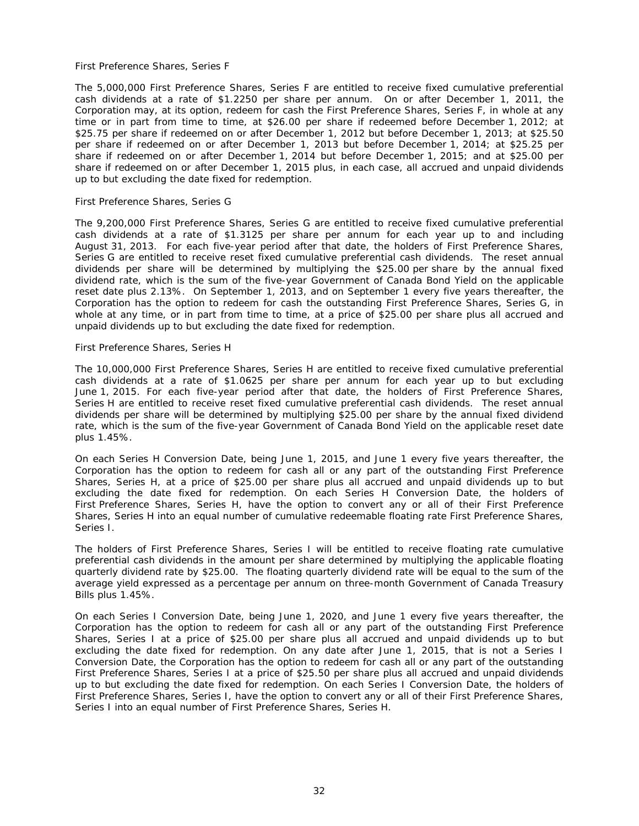#### *First Preference Shares, Series F*

The 5,000,000 First Preference Shares, Series F are entitled to receive fixed cumulative preferential cash dividends at a rate of \$1.2250 per share per annum. On or after December 1, 2011, the Corporation may, at its option, redeem for cash the First Preference Shares, Series F, in whole at any time or in part from time to time, at \$26.00 per share if redeemed before December 1, 2012; at \$25.75 per share if redeemed on or after December 1, 2012 but before December 1, 2013; at \$25.50 per share if redeemed on or after December 1, 2013 but before December 1, 2014; at \$25.25 per share if redeemed on or after December 1, 2014 but before December 1, 2015; and at \$25.00 per share if redeemed on or after December 1, 2015 plus, in each case, all accrued and unpaid dividends up to but excluding the date fixed for redemption.

#### *First Preference Shares, Series G*

The 9,200,000 First Preference Shares, Series G are entitled to receive fixed cumulative preferential cash dividends at a rate of \$1.3125 per share per annum for each year up to and including August 31, 2013. For each five-year period after that date, the holders of First Preference Shares, Series G are entitled to receive reset fixed cumulative preferential cash dividends. The reset annual dividends per share will be determined by multiplying the \$25.00 per share by the annual fixed dividend rate, which is the sum of the five-year Government of Canada Bond Yield on the applicable reset date plus 2.13%. On September 1, 2013, and on September 1 every five years thereafter, the Corporation has the option to redeem for cash the outstanding First Preference Shares, Series G, in whole at any time, or in part from time to time, at a price of \$25.00 per share plus all accrued and unpaid dividends up to but excluding the date fixed for redemption.

#### *First Preference Shares, Series H*

The 10,000,000 First Preference Shares, Series H are entitled to receive fixed cumulative preferential cash dividends at a rate of \$1.0625 per share per annum for each year up to but excluding June 1, 2015. For each five-year period after that date, the holders of First Preference Shares, Series H are entitled to receive reset fixed cumulative preferential cash dividends. The reset annual dividends per share will be determined by multiplying \$25.00 per share by the annual fixed dividend rate, which is the sum of the five-year Government of Canada Bond Yield on the applicable reset date plus 1.45%.

On each Series H Conversion Date, being June 1, 2015, and June 1 every five years thereafter, the Corporation has the option to redeem for cash all or any part of the outstanding First Preference Shares, Series H, at a price of \$25.00 per share plus all accrued and unpaid dividends up to but excluding the date fixed for redemption. On each Series H Conversion Date, the holders of First Preference Shares, Series H, have the option to convert any or all of their First Preference Shares, Series H into an equal number of cumulative redeemable floating rate First Preference Shares, Series I.

The holders of First Preference Shares, Series I will be entitled to receive floating rate cumulative preferential cash dividends in the amount per share determined by multiplying the applicable floating quarterly dividend rate by \$25.00. The floating quarterly dividend rate will be equal to the sum of the average yield expressed as a percentage per annum on three-month Government of Canada Treasury Bills plus 1.45%.

On each Series I Conversion Date, being June 1, 2020, and June 1 every five years thereafter, the Corporation has the option to redeem for cash all or any part of the outstanding First Preference Shares, Series I at a price of \$25.00 per share plus all accrued and unpaid dividends up to but excluding the date fixed for redemption. On any date after June 1, 2015, that is not a Series I Conversion Date, the Corporation has the option to redeem for cash all or any part of the outstanding First Preference Shares, Series I at a price of \$25.50 per share plus all accrued and unpaid dividends up to but excluding the date fixed for redemption. On each Series I Conversion Date, the holders of First Preference Shares, Series I, have the option to convert any or all of their First Preference Shares, Series I into an equal number of First Preference Shares, Series H.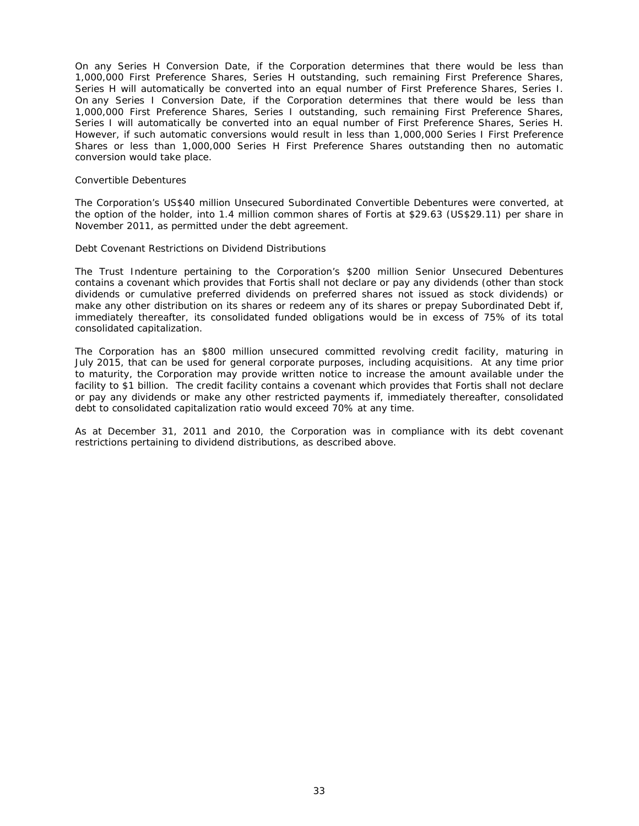On any Series H Conversion Date, if the Corporation determines that there would be less than 1,000,000 First Preference Shares, Series H outstanding, such remaining First Preference Shares, Series H will automatically be converted into an equal number of First Preference Shares, Series I. On any Series I Conversion Date, if the Corporation determines that there would be less than 1,000,000 First Preference Shares, Series I outstanding, such remaining First Preference Shares, Series I will automatically be converted into an equal number of First Preference Shares, Series H. However, if such automatic conversions would result in less than 1,000,000 Series I First Preference Shares or less than 1,000,000 Series H First Preference Shares outstanding then no automatic conversion would take place.

#### *Convertible Debentures*

The Corporation's US\$40 million Unsecured Subordinated Convertible Debentures were converted, at the option of the holder, into 1.4 million common shares of Fortis at \$29.63 (US\$29.11) per share in November 2011, as permitted under the debt agreement.

#### *Debt Covenant Restrictions on Dividend Distributions*

The Trust Indenture pertaining to the Corporation's \$200 million Senior Unsecured Debentures contains a covenant which provides that Fortis shall not declare or pay any dividends (other than stock dividends or cumulative preferred dividends on preferred shares not issued as stock dividends) or make any other distribution on its shares or redeem any of its shares or prepay Subordinated Debt if, immediately thereafter, its consolidated funded obligations would be in excess of 75% of its total consolidated capitalization.

The Corporation has an \$800 million unsecured committed revolving credit facility, maturing in July 2015, that can be used for general corporate purposes, including acquisitions. At any time prior to maturity, the Corporation may provide written notice to increase the amount available under the facility to \$1 billion. The credit facility contains a covenant which provides that Fortis shall not declare or pay any dividends or make any other restricted payments if, immediately thereafter, consolidated debt to consolidated capitalization ratio would exceed 70% at any time.

As at December 31, 2011 and 2010, the Corporation was in compliance with its debt covenant restrictions pertaining to dividend distributions, as described above.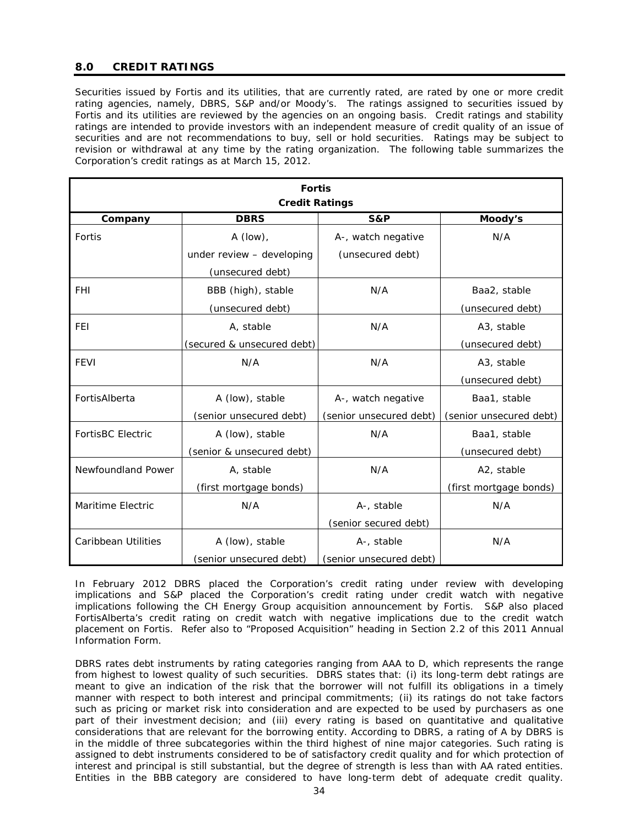# **8.0 CREDIT RATINGS**

Securities issued by Fortis and its utilities, that are currently rated, are rated by one or more credit rating agencies, namely, DBRS, S&P and/or Moody's. The ratings assigned to securities issued by Fortis and its utilities are reviewed by the agencies on an ongoing basis. Credit ratings and stability ratings are intended to provide investors with an independent measure of credit quality of an issue of securities and are not recommendations to buy, sell or hold securities. Ratings may be subject to revision or withdrawal at any time by the rating organization. The following table summarizes the Corporation's credit ratings as at March 15, 2012.

| <b>Fortis</b><br><b>Credit Ratings</b> |                            |                         |                         |
|----------------------------------------|----------------------------|-------------------------|-------------------------|
| Company                                | <b>DBRS</b>                | S&P                     | Moody's                 |
| Fortis                                 | A (low),                   | A-, watch negative      | N/A                     |
|                                        | under review - developing  | (unsecured debt)        |                         |
|                                        | (unsecured debt)           |                         |                         |
| <b>FHI</b>                             | BBB (high), stable         | N/A                     | Baa2, stable            |
|                                        | (unsecured debt)           |                         | (unsecured debt)        |
| <b>FEI</b>                             | A, stable                  | N/A                     | A3, stable              |
|                                        | (secured & unsecured debt) |                         | (unsecured debt)        |
| <b>FEVI</b>                            | N/A                        | N/A                     | A <sub>3</sub> , stable |
|                                        |                            |                         | (unsecured debt)        |
| FortisAlberta                          | A (low), stable            | A-, watch negative      | Baa1, stable            |
|                                        | (senior unsecured debt)    | (senior unsecured debt) | (senior unsecured debt) |
| <b>FortisBC Electric</b>               | A (low), stable            | N/A                     | Baa1, stable            |
|                                        | (senior & unsecured debt)  |                         | (unsecured debt)        |
| Newfoundland Power                     | A, stable                  | N/A                     | A2, stable              |
|                                        | (first mortgage bonds)     |                         | (first mortgage bonds)  |
| Maritime Electric                      | N/A                        | A-, stable              | N/A                     |
|                                        |                            | (senior secured debt)   |                         |
| <b>Caribbean Utilities</b>             | A (low), stable            | A-, stable              | N/A                     |
|                                        | (senior unsecured debt)    | (senior unsecured debt) |                         |

In February 2012 DBRS placed the Corporation's credit rating under review with developing implications and S&P placed the Corporation's credit rating under credit watch with negative implications following the CH Energy Group acquisition announcement by Fortis. S&P also placed FortisAlberta's credit rating on credit watch with negative implications due to the credit watch placement on Fortis. Refer also to "Proposed Acquisition" heading in Section 2.2 of this 2011 Annual Information Form.

DBRS rates debt instruments by rating categories ranging from AAA to D, which represents the range from highest to lowest quality of such securities. DBRS states that: (i) its long-term debt ratings are meant to give an indication of the risk that the borrower will not fulfill its obligations in a timely manner with respect to both interest and principal commitments; (ii) its ratings do not take factors such as pricing or market risk into consideration and are expected to be used by purchasers as one part of their investment decision; and (iii) every rating is based on quantitative and qualitative considerations that are relevant for the borrowing entity. According to DBRS, a rating of A by DBRS is in the middle of three subcategories within the third highest of nine major categories. Such rating is assigned to debt instruments considered to be of satisfactory credit quality and for which protection of interest and principal is still substantial, but the degree of strength is less than with AA rated entities. Entities in the BBB category are considered to have long-term debt of adequate credit quality.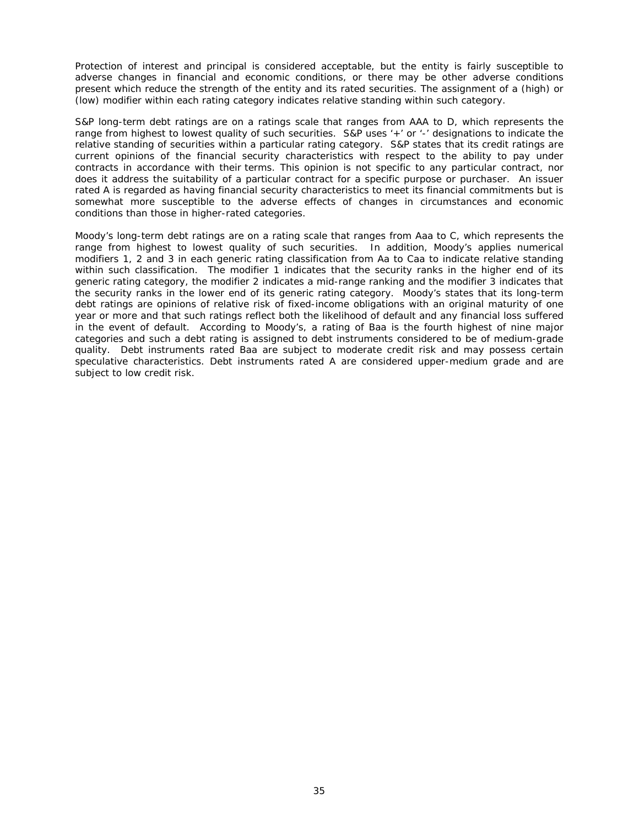Protection of interest and principal is considered acceptable, but the entity is fairly susceptible to adverse changes in financial and economic conditions, or there may be other adverse conditions present which reduce the strength of the entity and its rated securities. The assignment of a (high) or (low) modifier within each rating category indicates relative standing within such category.

S&P long-term debt ratings are on a ratings scale that ranges from AAA to D, which represents the range from highest to lowest quality of such securities. S&P uses '+' or '-' designations to indicate the relative standing of securities within a particular rating category. S&P states that its credit ratings are current opinions of the financial security characteristics with respect to the ability to pay under contracts in accordance with their terms. This opinion is not specific to any particular contract, nor does it address the suitability of a particular contract for a specific purpose or purchaser. An issuer rated A is regarded as having financial security characteristics to meet its financial commitments but is somewhat more susceptible to the adverse effects of changes in circumstances and economic conditions than those in higher-rated categories.

Moody's long-term debt ratings are on a rating scale that ranges from Aaa to C, which represents the range from highest to lowest quality of such securities. In addition, Moody's applies numerical modifiers 1, 2 and 3 in each generic rating classification from Aa to Caa to indicate relative standing within such classification. The modifier 1 indicates that the security ranks in the higher end of its generic rating category, the modifier 2 indicates a mid-range ranking and the modifier 3 indicates that the security ranks in the lower end of its generic rating category. Moody's states that its long-term debt ratings are opinions of relative risk of fixed-income obligations with an original maturity of one year or more and that such ratings reflect both the likelihood of default and any financial loss suffered in the event of default. According to Moody's, a rating of Baa is the fourth highest of nine major categories and such a debt rating is assigned to debt instruments considered to be of medium-grade quality. Debt instruments rated Baa are subject to moderate credit risk and may possess certain speculative characteristics. Debt instruments rated A are considered upper-medium grade and are subject to low credit risk.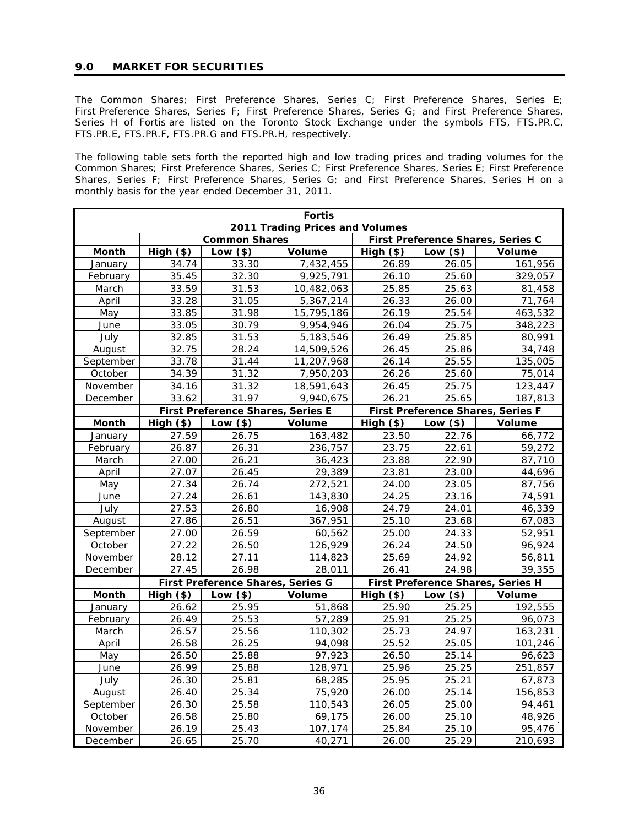## **9.0 MARKET FOR SECURITIES**

The Common Shares; First Preference Shares, Series C; First Preference Shares, Series E; First Preference Shares, Series F; First Preference Shares, Series G; and First Preference Shares, Series H of Fortis are listed on the Toronto Stock Exchange under the symbols FTS, FTS.PR.C, FTS.PR.E, FTS.PR.F, FTS.PR.G and FTS.PR.H, respectively.

The following table sets forth the reported high and low trading prices and trading volumes for the Common Shares; First Preference Shares, Series C; First Preference Shares, Series E; First Preference Shares, Series F; First Preference Shares, Series G; and First Preference Shares, Series H on a monthly basis for the year ended December 31, 2011.

| <b>Fortis</b>                                                                                |                    |                |                                   |                |                |                                   |
|----------------------------------------------------------------------------------------------|--------------------|----------------|-----------------------------------|----------------|----------------|-----------------------------------|
| 2011 Trading Prices and Volumes<br>First Preference Shares, Series C<br><b>Common Shares</b> |                    |                |                                   |                |                |                                   |
|                                                                                              |                    |                |                                   |                |                |                                   |
| Month                                                                                        | High (\$)          | Low $(*)$      | Volume                            | High (\$)      | Low $(*)$      | Volume                            |
| January                                                                                      | 34.74              | 33.30          | 7,432,455                         | 26.89          | 26.05          | 161,956                           |
| February                                                                                     | 35.45              | 32.30          | 9,925,791                         | 26.10          | 25.60          | 329,057                           |
| March<br>April                                                                               | 33.59<br>33.28     | 31.53<br>31.05 | 10,482,063                        | 25.85          | 25.63<br>26.00 | 81,458<br>71,764                  |
|                                                                                              | 33.85              | 31.98          | 5,367,214<br>15,795,186           | 26.33<br>26.19 | 25.54          | 463,532                           |
| May                                                                                          |                    |                |                                   |                |                |                                   |
| June                                                                                         | 33.05              | 30.79          | 9,954,946                         | 26.04          | 25.75          | 348,223                           |
| July                                                                                         | 32.85              | 31.53<br>28.24 | 5,183,546                         | 26.49          | 25.85          | 80,991                            |
| August                                                                                       | 32.75              |                | 14,509,526                        | 26.45          | 25.86          | 34,748                            |
| September                                                                                    | 33.78              | 31.44<br>31.32 | 11,207,968                        | 26.14          | 25.55          | 135,005<br>75,014                 |
| October                                                                                      | 34.39<br>34.16     | 31.32          | 7,950,203<br>18,591,643           | 26.26          | 25.60<br>25.75 | 123,447                           |
| November                                                                                     | 33.62              | 31.97          |                                   | 26.45<br>26.21 | 25.65          |                                   |
| December                                                                                     |                    |                | 9,940,675                         |                |                | 187,813                           |
|                                                                                              |                    |                | First Preference Shares, Series E |                |                | First Preference Shares, Series F |
| Month                                                                                        | High (\$)<br>27.59 | Low $(*)$      | Volume                            | High (\$)      | Low $(*)$      | Volume                            |
| January                                                                                      |                    | 26.75          | 163,482                           | 23.50          | 22.76          | 66,772                            |
| February                                                                                     | 26.87              | 26.31          | 236,757                           | 23.75          | 22.61          | 59,272                            |
| March                                                                                        | 27.00              | 26.21          | 36,423                            | 23.88          | 22.90          | 87,710                            |
| April                                                                                        | 27.07              | 26.45          | 29,389                            | 23.81          | 23.00          | 44,696                            |
| May                                                                                          | 27.34              | 26.74          | 272,521                           | 24.00          | 23.05          | 87,756                            |
| June<br>July                                                                                 | 27.24<br>27.53     | 26.61<br>26.80 | 143,830<br>16,908                 | 24.25          | 23.16<br>24.01 | 74,591<br>46,339                  |
|                                                                                              | 27.86              |                |                                   | 24.79<br>25.10 |                | 67,083                            |
| August                                                                                       |                    | 26.51          | 367,951                           |                | 23.68<br>24.33 |                                   |
| September                                                                                    | 27.00<br>27.22     | 26.59<br>26.50 | 60,562                            | 25.00<br>26.24 | 24.50          | 52,951<br>96,924                  |
| October<br>November                                                                          | 28.12              | 27.11          | 126,929<br>114,823                | 25.69          | 24.92          | 56,811                            |
| December                                                                                     | 27.45              | 26.98          | 28,011                            | 26.41          | 24.98          | 39,355                            |
|                                                                                              |                    |                | First Preference Shares, Series G |                |                | First Preference Shares, Series H |
| Month                                                                                        | High (\$)          | Low $(*)$      | <b>Volume</b>                     | High (\$)      | Low $(*)$      | <b>Volume</b>                     |
| January                                                                                      | 26.62              | 25.95          | 51,868                            | 25.90          | 25.25          | 192,555                           |
| February                                                                                     | 26.49              | 25.53          | 57,289                            | 25.91          | 25.25          | 96,073                            |
| March                                                                                        | 26.57              | 25.56          | 110,302                           | 25.73          | 24.97          | 163,231                           |
| April                                                                                        | 26.58              | 26.25          | 94,098                            | 25.52          | 25.05          | 101,246                           |
| May                                                                                          | 26.50              | 25.88          | 97,923                            | 26.50          | 25.14          | 96,623                            |
| June                                                                                         | 26.99              | 25.88          | 128,971                           | 25.96          | 25.25          | 251,857                           |
| July                                                                                         | 26.30              | 25.81          | 68,285                            | 25.95          | 25.21          | 67,873                            |
| August                                                                                       | 26.40              | 25.34          | 75,920                            | 26.00          | 25.14          | 156,853                           |
| September                                                                                    | 26.30              | 25.58          | 110,543                           | 26.05          | 25.00          | 94,461                            |
| October                                                                                      | 26.58              | 25.80          | 69,175                            | 26.00          | 25.10          | 48,926                            |
| November                                                                                     | 26.19              | 25.43          | 107,174                           | 25.84          | 25.10          | 95,476                            |
|                                                                                              |                    |                |                                   |                |                |                                   |
| December                                                                                     | 26.65              | 25.70          | 40,271                            | 26.00          | 25.29          | 210,693                           |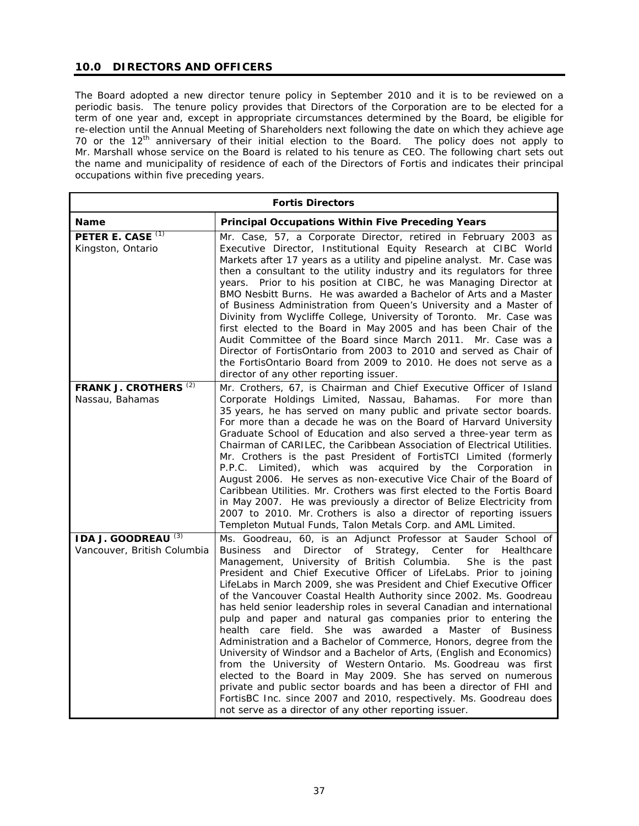# **10.0 DIRECTORS AND OFFICERS**

The Board adopted a new director tenure policy in September 2010 and it is to be reviewed on a periodic basis. The tenure policy provides that Directors of the Corporation are to be elected for a term of one year and, except in appropriate circumstances determined by the Board, be eligible for re-election until the Annual Meeting of Shareholders next following the date on which they achieve age 70 or the 12<sup>th</sup> anniversary of their initial election to the Board. The policy does not apply to Mr. Marshall whose service on the Board is related to his tenure as CEO. The following chart sets out the name and municipality of residence of each of the Directors of Fortis and indicates their principal occupations within five preceding years.

| <b>Fortis Directors</b>                                       |                                                                                                                                                                                                                                                                                                                                                                                                                                                                                                                                                                                                                                                                                                                                                                                                                                                                                                                                                                                                                                                                                                                           |  |
|---------------------------------------------------------------|---------------------------------------------------------------------------------------------------------------------------------------------------------------------------------------------------------------------------------------------------------------------------------------------------------------------------------------------------------------------------------------------------------------------------------------------------------------------------------------------------------------------------------------------------------------------------------------------------------------------------------------------------------------------------------------------------------------------------------------------------------------------------------------------------------------------------------------------------------------------------------------------------------------------------------------------------------------------------------------------------------------------------------------------------------------------------------------------------------------------------|--|
| <b>Name</b>                                                   | <b>Principal Occupations Within Five Preceding Years</b>                                                                                                                                                                                                                                                                                                                                                                                                                                                                                                                                                                                                                                                                                                                                                                                                                                                                                                                                                                                                                                                                  |  |
| PETER E. CASE <sup>(1)</sup><br>Kingston, Ontario             | Mr. Case, 57, a Corporate Director, retired in February 2003 as<br>Executive Director, Institutional Equity Research at CIBC World<br>Markets after 17 years as a utility and pipeline analyst. Mr. Case was<br>then a consultant to the utility industry and its regulators for three<br>years. Prior to his position at CIBC, he was Managing Director at<br>BMO Nesbitt Burns. He was awarded a Bachelor of Arts and a Master<br>of Business Administration from Queen's University and a Master of<br>Divinity from Wycliffe College, University of Toronto. Mr. Case was<br>first elected to the Board in May 2005 and has been Chair of the<br>Audit Committee of the Board since March 2011. Mr. Case was a<br>Director of FortisOntario from 2003 to 2010 and served as Chair of<br>the FortisOntario Board from 2009 to 2010. He does not serve as a<br>director of any other reporting issuer.                                                                                                                                                                                                                  |  |
| FRANK J. CROTHERS <sup>(2)</sup><br>Nassau, Bahamas           | Mr. Crothers, 67, is Chairman and Chief Executive Officer of Island<br>Corporate Holdings Limited, Nassau, Bahamas. For more than<br>35 years, he has served on many public and private sector boards.<br>For more than a decade he was on the Board of Harvard University<br>Graduate School of Education and also served a three-year term as<br>Chairman of CARILEC, the Caribbean Association of Electrical Utilities.<br>Mr. Crothers is the past President of FortisTCI Limited (formerly<br>P.P.C. Limited), which was acquired by the Corporation in<br>August 2006. He serves as non-executive Vice Chair of the Board of<br>Caribbean Utilities. Mr. Crothers was first elected to the Fortis Board<br>in May 2007. He was previously a director of Belize Electricity from<br>2007 to 2010. Mr. Crothers is also a director of reporting issuers<br>Templeton Mutual Funds, Talon Metals Corp. and AML Limited.                                                                                                                                                                                                |  |
| IDA J. GOODREAU <sup>(3)</sup><br>Vancouver, British Columbia | Ms. Goodreau, 60, is an Adjunct Professor at Sauder School of<br>of Strategy, Center for Healthcare<br>Business<br>and Director<br>Management, University of British Columbia.<br>She is the past<br>President and Chief Executive Officer of LifeLabs. Prior to joining<br>LifeLabs in March 2009, she was President and Chief Executive Officer<br>of the Vancouver Coastal Health Authority since 2002. Ms. Goodreau<br>has held senior leadership roles in several Canadian and international<br>pulp and paper and natural gas companies prior to entering the<br>health care field.<br>She was awarded a Master of Business<br>Administration and a Bachelor of Commerce, Honors, degree from the<br>University of Windsor and a Bachelor of Arts, (English and Economics)<br>from the University of Western Ontario. Ms. Goodreau was first<br>elected to the Board in May 2009. She has served on numerous<br>private and public sector boards and has been a director of FHI and<br>FortisBC Inc. since 2007 and 2010, respectively. Ms. Goodreau does<br>not serve as a director of any other reporting issuer. |  |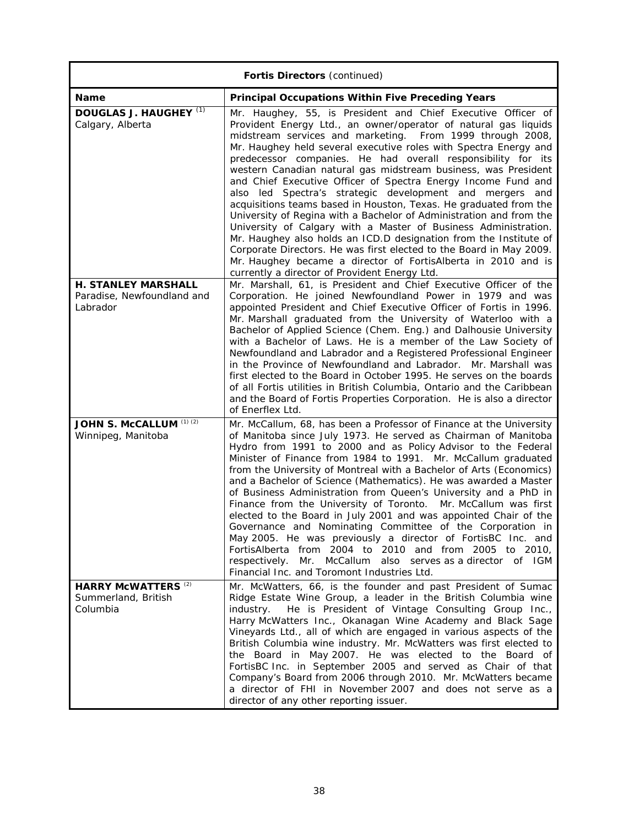| <b>Fortis Directors (continued)</b>                                  |                                                                                                                                                                                                                                                                                                                                                                                                                                                                                                                                                                                                                                                                                                                                                                                                                                                                                                                                                                                                              |  |
|----------------------------------------------------------------------|--------------------------------------------------------------------------------------------------------------------------------------------------------------------------------------------------------------------------------------------------------------------------------------------------------------------------------------------------------------------------------------------------------------------------------------------------------------------------------------------------------------------------------------------------------------------------------------------------------------------------------------------------------------------------------------------------------------------------------------------------------------------------------------------------------------------------------------------------------------------------------------------------------------------------------------------------------------------------------------------------------------|--|
| <b>Name</b>                                                          | <b>Principal Occupations Within Five Preceding Years</b>                                                                                                                                                                                                                                                                                                                                                                                                                                                                                                                                                                                                                                                                                                                                                                                                                                                                                                                                                     |  |
| DOUGLAS J. HAUGHEY <sup>(1)</sup><br>Calgary, Alberta                | Mr. Haughey, 55, is President and Chief Executive Officer of<br>Provident Energy Ltd., an owner/operator of natural gas liquids<br>midstream services and marketing. From 1999 through 2008,<br>Mr. Haughey held several executive roles with Spectra Energy and<br>predecessor companies. He had overall responsibility for its<br>western Canadian natural gas midstream business, was President<br>and Chief Executive Officer of Spectra Energy Income Fund and<br>also led Spectra's strategic development and mergers and<br>acquisitions teams based in Houston, Texas. He graduated from the<br>University of Regina with a Bachelor of Administration and from the<br>University of Calgary with a Master of Business Administration.<br>Mr. Haughey also holds an ICD.D designation from the Institute of<br>Corporate Directors. He was first elected to the Board in May 2009.<br>Mr. Haughey became a director of FortisAlberta in 2010 and is<br>currently a director of Provident Energy Ltd. |  |
| <b>H. STANLEY MARSHALL</b><br>Paradise, Newfoundland and<br>Labrador | Mr. Marshall, 61, is President and Chief Executive Officer of the<br>Corporation. He joined Newfoundland Power in 1979 and was<br>appointed President and Chief Executive Officer of Fortis in 1996.<br>Mr. Marshall graduated from the University of Waterloo with a<br>Bachelor of Applied Science (Chem. Eng.) and Dalhousie University<br>with a Bachelor of Laws. He is a member of the Law Society of<br>Newfoundland and Labrador and a Registered Professional Engineer<br>in the Province of Newfoundland and Labrador. Mr. Marshall was<br>first elected to the Board in October 1995. He serves on the boards<br>of all Fortis utilities in British Columbia, Ontario and the Caribbean<br>and the Board of Fortis Properties Corporation. He is also a director<br>of Enerflex Ltd.                                                                                                                                                                                                              |  |
| JOHN S. McCALLUM (1) (2)<br>Winnipeg, Manitoba                       | Mr. McCallum, 68, has been a Professor of Finance at the University<br>of Manitoba since July 1973. He served as Chairman of Manitoba<br>Hydro from 1991 to 2000 and as Policy Advisor to the Federal<br>Minister of Finance from 1984 to 1991. Mr. McCallum graduated<br>from the University of Montreal with a Bachelor of Arts (Economics)<br>and a Bachelor of Science (Mathematics). He was awarded a Master<br>of Business Administration from Queen's University and a PhD in<br>Finance from the University of Toronto. Mr. McCallum was first<br>elected to the Board in July 2001 and was appointed Chair of the<br>Governance and Nominating Committee of the Corporation in<br>May 2005. He was previously a director of FortisBC Inc. and<br>FortisAlberta from 2004 to 2010 and from 2005 to 2010,<br>McCallum also serves as a director of IGM<br>respectively.<br>Mr.<br>Financial Inc. and Toromont Industries Ltd.                                                                         |  |
| <b>HARRY McWATTERS (2)</b><br>Summerland, British<br>Columbia        | Mr. McWatters, 66, is the founder and past President of Sumac<br>Ridge Estate Wine Group, a leader in the British Columbia wine<br>He is President of Vintage Consulting Group Inc.,<br>industry.<br>Harry McWatters Inc., Okanagan Wine Academy and Black Sage<br>Vineyards Ltd., all of which are engaged in various aspects of the<br>British Columbia wine industry. Mr. McWatters was first elected to<br>the Board in May 2007. He was elected to the Board of<br>FortisBC Inc. in September 2005 and served as Chair of that<br>Company's Board from 2006 through 2010. Mr. McWatters became<br>a director of FHI in November 2007 and does not serve as a<br>director of any other reporting issuer.                                                                                                                                                                                                                                                                                                 |  |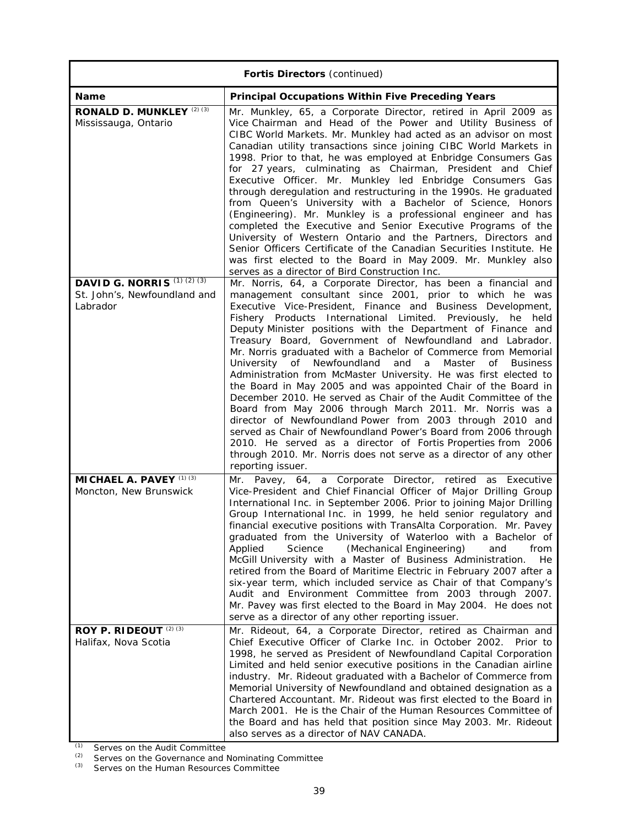| Fortis Directors (continued)                                                     |                                                                                                                                                                                                                                                                                                                                                                                                                                                                                                                                                                                                                                                                                                                                                                                                                                                                                                                                                                                                                                                                                                   |  |
|----------------------------------------------------------------------------------|---------------------------------------------------------------------------------------------------------------------------------------------------------------------------------------------------------------------------------------------------------------------------------------------------------------------------------------------------------------------------------------------------------------------------------------------------------------------------------------------------------------------------------------------------------------------------------------------------------------------------------------------------------------------------------------------------------------------------------------------------------------------------------------------------------------------------------------------------------------------------------------------------------------------------------------------------------------------------------------------------------------------------------------------------------------------------------------------------|--|
| Name                                                                             | <b>Principal Occupations Within Five Preceding Years</b>                                                                                                                                                                                                                                                                                                                                                                                                                                                                                                                                                                                                                                                                                                                                                                                                                                                                                                                                                                                                                                          |  |
| RONALD D. MUNKLEY (2) (3)<br>Mississauga, Ontario                                | Mr. Munkley, 65, a Corporate Director, retired in April 2009 as<br>Vice Chairman and Head of the Power and Utility Business of<br>CIBC World Markets. Mr. Munkley had acted as an advisor on most<br>Canadian utility transactions since joining CIBC World Markets in<br>1998. Prior to that, he was employed at Enbridge Consumers Gas<br>for 27 years, culminating as Chairman, President and Chief<br>Executive Officer. Mr. Munkley led Enbridge Consumers Gas<br>through deregulation and restructuring in the 1990s. He graduated<br>from Queen's University with a Bachelor of Science, Honors<br>(Engineering). Mr. Munkley is a professional engineer and has<br>completed the Executive and Senior Executive Programs of the<br>University of Western Ontario and the Partners, Directors and<br>Senior Officers Certificate of the Canadian Securities Institute. He<br>was first elected to the Board in May 2009. Mr. Munkley also<br>serves as a director of Bird Construction Inc.                                                                                                |  |
| DAVID G. NORRIS <sup>(1)(2)(3)</sup><br>St. John's, Newfoundland and<br>Labrador | Mr. Norris, 64, a Corporate Director, has been a financial and<br>management consultant since 2001, prior to which he was<br>Executive Vice-President, Finance and Business Development,<br>Fishery Products International Limited. Previously, he held<br>Deputy Minister positions with the Department of Finance and<br>Treasury Board, Government of Newfoundland and Labrador.<br>Mr. Norris graduated with a Bachelor of Commerce from Memorial<br>University of Newfoundland<br>and<br>a<br>Master<br>of<br><b>Business</b><br>Administration from McMaster University. He was first elected to<br>the Board in May 2005 and was appointed Chair of the Board in<br>December 2010. He served as Chair of the Audit Committee of the<br>Board from May 2006 through March 2011. Mr. Norris was a<br>director of Newfoundland Power from 2003 through 2010 and<br>served as Chair of Newfoundland Power's Board from 2006 through<br>2010. He served as a director of Fortis Properties from 2006<br>through 2010. Mr. Norris does not serve as a director of any other<br>reporting issuer. |  |
| <b>MICHAEL A. PAVEY</b> (1) (3)<br>Moncton, New Brunswick                        | Pavey, 64, a Corporate Director, retired as Executive<br>Mr.<br>Vice-President and Chief Financial Officer of Major Drilling Group<br>International Inc. in September 2006. Prior to joining Major Drilling<br>Group International Inc. in 1999, he held senior regulatory and<br>financial executive positions with TransAlta Corporation. Mr. Pavey<br>graduated from the University of Waterloo with a Bachelor of<br>(Mechanical Engineering)<br>Applied<br>Science<br>and<br>from<br>McGill University with a Master of Business Administration.<br>He.<br>retired from the Board of Maritime Electric in February 2007 after a<br>six-year term, which included service as Chair of that Company's<br>Audit and Environment Committee from 2003 through 2007.<br>Mr. Pavey was first elected to the Board in May 2004. He does not<br>serve as a director of any other reporting issuer.                                                                                                                                                                                                    |  |
| ROY P. RIDEOUT (2) (3)<br>Halifax, Nova Scotia                                   | Mr. Rideout, 64, a Corporate Director, retired as Chairman and<br>Chief Executive Officer of Clarke Inc. in October 2002.<br>Prior to<br>1998, he served as President of Newfoundland Capital Corporation<br>Limited and held senior executive positions in the Canadian airline<br>industry. Mr. Rideout graduated with a Bachelor of Commerce from<br>Memorial University of Newfoundland and obtained designation as a<br>Chartered Accountant. Mr. Rideout was first elected to the Board in<br>March 2001. He is the Chair of the Human Resources Committee of<br>the Board and has held that position since May 2003. Mr. Rideout<br>also serves as a director of NAV CANADA.                                                                                                                                                                                                                                                                                                                                                                                                               |  |

*(1) Serves on the Audit Committee* 

*(2) Serves on the Governance and Nominating Committee* 

*(3) Serves on the Human Resources Committee*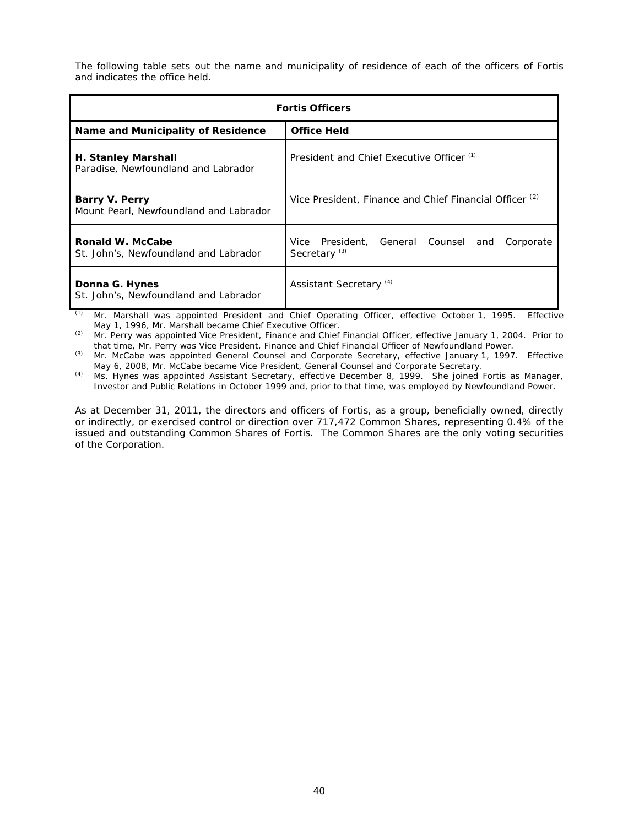The following table sets out the name and municipality of residence of each of the officers of Fortis and indicates the office held.

| <b>Fortis Officers</b>                                            |                                                                                 |  |  |
|-------------------------------------------------------------------|---------------------------------------------------------------------------------|--|--|
| Name and Municipality of Residence                                | <b>Office Held</b>                                                              |  |  |
| <b>H. Stanley Marshall</b><br>Paradise, Newfoundland and Labrador | President and Chief Executive Officer (1)                                       |  |  |
| Barry V. Perry<br>Mount Pearl, Newfoundland and Labrador          | Vice President, Finance and Chief Financial Officer <sup>(2)</sup>              |  |  |
| Ronald W. McCabe<br>St. John's, Newfoundland and Labrador         | Vice President, General Counsel<br>Corporate<br>and<br>Secretary <sup>(3)</sup> |  |  |
| Donna G. Hynes<br>St. John's, Newfoundland and Labrador           | Assistant Secretary <sup>(4)</sup>                                              |  |  |

*(1) Mr. Marshall was appointed President and Chief Operating Officer, effective October 1, 1995. Effective May 1, 1996, Mr. Marshall became Chief Executive Officer.* 

*(2) Mr. Perry was appointed Vice President, Finance and Chief Financial Officer, effective January 1, 2004. Prior to that time, Mr. Perry was Vice President, Finance and Chief Financial Officer of Newfoundland Power.* 

*(3) Mr. McCabe was appointed General Counsel and Corporate Secretary, effective January 1, 1997. Effective May 6, 2008, Mr. McCabe became Vice President, General Counsel and Corporate Secretary.* 

*(4) Ms. Hynes was appointed Assistant Secretary, effective December 8, 1999. She joined Fortis as Manager, Investor and Public Relations in October 1999 and, prior to that time, was employed by Newfoundland Power.*

As at December 31, 2011, the directors and officers of Fortis, as a group, beneficially owned, directly or indirectly, or exercised control or direction over 717,472 Common Shares, representing 0.4% of the issued and outstanding Common Shares of Fortis. The Common Shares are the only voting securities of the Corporation.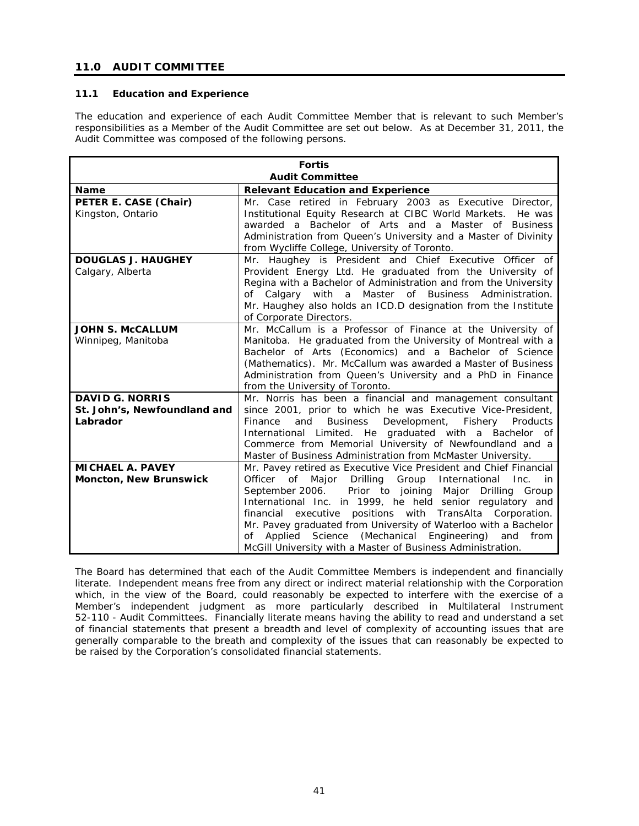# **11.0 AUDIT COMMITTEE**

# **11.1 Education and Experience**

The education and experience of each Audit Committee Member that is relevant to such Member's responsibilities as a Member of the Audit Committee are set out below. As at December 31, 2011, the Audit Committee was composed of the following persons.

| <b>Fortis</b>                 |                                                                                           |  |
|-------------------------------|-------------------------------------------------------------------------------------------|--|
| <b>Audit Committee</b>        |                                                                                           |  |
| <b>Name</b>                   | <b>Relevant Education and Experience</b>                                                  |  |
| PETER E. CASE (Chair)         | Mr. Case retired in February 2003 as Executive Director,                                  |  |
| Kingston, Ontario             | Institutional Equity Research at CIBC World Markets. He was                               |  |
|                               | awarded a Bachelor of Arts and a Master of Business                                       |  |
|                               | Administration from Queen's University and a Master of Divinity                           |  |
|                               | from Wycliffe College, University of Toronto.                                             |  |
| <b>DOUGLAS J. HAUGHEY</b>     | Mr. Haughey is President and Chief Executive Officer of                                   |  |
| Calgary, Alberta              | Provident Energy Ltd. He graduated from the University of                                 |  |
|                               | Regina with a Bachelor of Administration and from the University                          |  |
|                               | of Calgary with a Master of Business Administration.                                      |  |
|                               | Mr. Haughey also holds an ICD.D designation from the Institute<br>of Corporate Directors. |  |
| <b>JOHN S. McCALLUM</b>       | Mr. McCallum is a Professor of Finance at the University of                               |  |
| Winnipeg, Manitoba            | Manitoba. He graduated from the University of Montreal with a                             |  |
|                               | Bachelor of Arts (Economics) and a Bachelor of Science                                    |  |
|                               | (Mathematics). Mr. McCallum was awarded a Master of Business                              |  |
|                               | Administration from Queen's University and a PhD in Finance                               |  |
|                               | from the University of Toronto.                                                           |  |
| <b>DAVID G. NORRIS</b>        | Mr. Norris has been a financial and management consultant                                 |  |
| St. John's, Newfoundland and  | since 2001, prior to which he was Executive Vice-President,                               |  |
| Labrador                      | <b>Business</b><br>Development, Fishery<br>Finance<br>and<br>Products                     |  |
|                               | International Limited. He graduated with a Bachelor of                                    |  |
|                               | Commerce from Memorial University of Newfoundland and a                                   |  |
|                               | Master of Business Administration from McMaster University.                               |  |
| <b>MICHAEL A. PAVEY</b>       | Mr. Pavey retired as Executive Vice President and Chief Financial                         |  |
| <b>Moncton, New Brunswick</b> | Group<br>Officer of<br>Drilling<br>International<br>Major<br>Inc.<br>in                   |  |
|                               | September 2006.<br>Prior to joining Major Drilling Group                                  |  |
|                               | International Inc. in 1999, he held senior regulatory and                                 |  |
|                               | financial executive positions with TransAlta Corporation.                                 |  |
|                               | Mr. Pavey graduated from University of Waterloo with a Bachelor                           |  |
|                               | Applied Science (Mechanical<br>Engineering)<br>and<br>οf<br>from                          |  |
|                               | McGill University with a Master of Business Administration.                               |  |

The Board has determined that each of the Audit Committee Members is independent and financially literate. Independent means free from any direct or indirect material relationship with the Corporation which, in the view of the Board, could reasonably be expected to interfere with the exercise of a Member's independent judgment as more particularly described in Multilateral Instrument 52-110 - *Audit Committees*. Financially literate means having the ability to read and understand a set of financial statements that present a breadth and level of complexity of accounting issues that are generally comparable to the breath and complexity of the issues that can reasonably be expected to be raised by the Corporation's consolidated financial statements.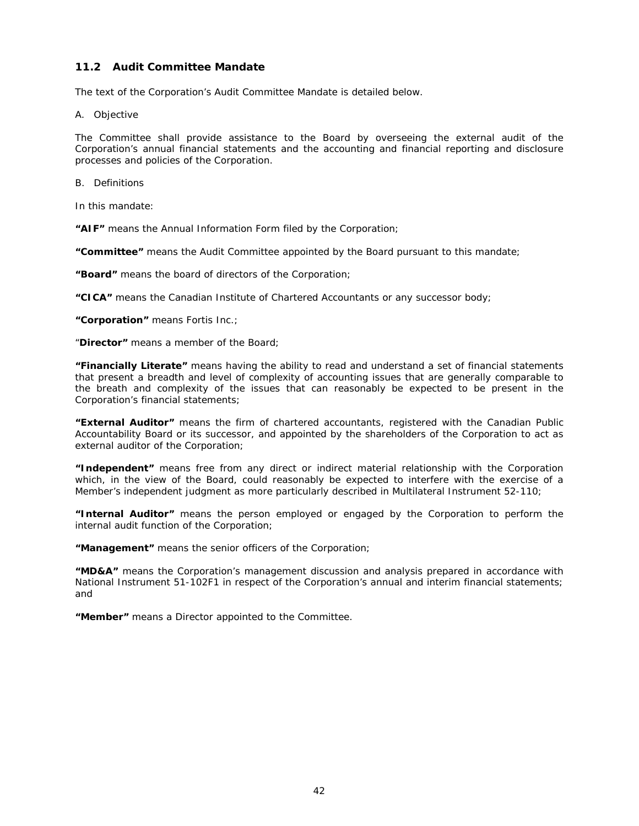# **11.2 Audit Committee Mandate**

The text of the Corporation's Audit Committee Mandate is detailed below.

### *A. Objective*

The Committee shall provide assistance to the Board by overseeing the external audit of the Corporation's annual financial statements and the accounting and financial reporting and disclosure processes and policies of the Corporation.

## *B. Definitions*

In this mandate:

**"AIF"** means the Annual Information Form filed by the Corporation;

**"Committee"** means the Audit Committee appointed by the Board pursuant to this mandate;

**"Board"** means the board of directors of the Corporation;

**"CICA"** means the Canadian Institute of Chartered Accountants or any successor body;

**"Corporation"** means Fortis Inc.;

"**Director"** means a member of the Board;

**"Financially Literate"** means having the ability to read and understand a set of financial statements that present a breadth and level of complexity of accounting issues that are generally comparable to the breath and complexity of the issues that can reasonably be expected to be present in the Corporation's financial statements;

**"External Auditor"** means the firm of chartered accountants, registered with the Canadian Public Accountability Board or its successor, and appointed by the shareholders of the Corporation to act as external auditor of the Corporation;

**"Independent"** means free from any direct or indirect material relationship with the Corporation which, in the view of the Board, could reasonably be expected to interfere with the exercise of a Member's independent judgment as more particularly described in Multilateral Instrument 52-110;

**"Internal Auditor"** means the person employed or engaged by the Corporation to perform the internal audit function of the Corporation;

**"Management"** means the senior officers of the Corporation;

**"MD&A"** means the Corporation's management discussion and analysis prepared in accordance with National Instrument 51-102F1 in respect of the Corporation's annual and interim financial statements; and

**"Member"** means a Director appointed to the Committee.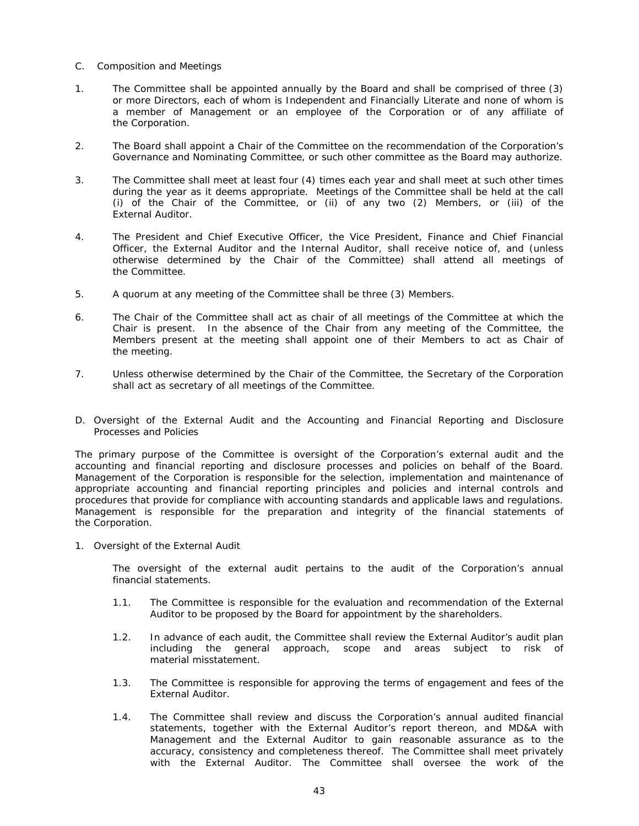- *C.* Composition and Meetings
- 1. The Committee shall be appointed annually by the Board and shall be comprised of three (3) or more Directors, each of whom is Independent and Financially Literate and none of whom is a member of Management or an employee of the Corporation or of any affiliate of the Corporation.
- 2. The Board shall appoint a Chair of the Committee on the recommendation of the Corporation's Governance and Nominating Committee, or such other committee as the Board may authorize.
- 3. The Committee shall meet at least four (4) times each year and shall meet at such other times during the year as it deems appropriate. Meetings of the Committee shall be held at the call (i) of the Chair of the Committee, or (ii) of any two (2) Members, or (iii) of the External Auditor.
- 4. The President and Chief Executive Officer, the Vice President, Finance and Chief Financial Officer, the External Auditor and the Internal Auditor, shall receive notice of, and (unless otherwise determined by the Chair of the Committee) shall attend all meetings of the Committee.
- 5. A quorum at any meeting of the Committee shall be three (3) Members.
- 6. The Chair of the Committee shall act as chair of all meetings of the Committee at which the Chair is present. In the absence of the Chair from any meeting of the Committee, the Members present at the meeting shall appoint one of their Members to act as Chair of the meeting.
- 7. Unless otherwise determined by the Chair of the Committee, the Secretary of the Corporation shall act as secretary of all meetings of the Committee.
- *D. Oversight of the External Audit and the Accounting and Financial Reporting and Disclosure Processes and Policies*

The primary purpose of the Committee is oversight of the Corporation's external audit and the accounting and financial reporting and disclosure processes and policies on behalf of the Board. Management of the Corporation is responsible for the selection, implementation and maintenance of appropriate accounting and financial reporting principles and policies and internal controls and procedures that provide for compliance with accounting standards and applicable laws and regulations. Management is responsible for the preparation and integrity of the financial statements of the Corporation.

1. Oversight of the External Audit

The oversight of the external audit pertains to the audit of the Corporation's annual financial statements.

- 1.1. The Committee is responsible for the evaluation and recommendation of the External Auditor to be proposed by the Board for appointment by the shareholders.
- 1.2. In advance of each audit, the Committee shall review the External Auditor's audit plan including the general approach, scope and areas subject to risk of material misstatement.
- 1.3. The Committee is responsible for approving the terms of engagement and fees of the External Auditor.
- 1.4. The Committee shall review and discuss the Corporation's annual audited financial statements, together with the External Auditor's report thereon, and MD&A with Management and the External Auditor to gain reasonable assurance as to the accuracy, consistency and completeness thereof. The Committee shall meet privately with the External Auditor. The Committee shall oversee the work of the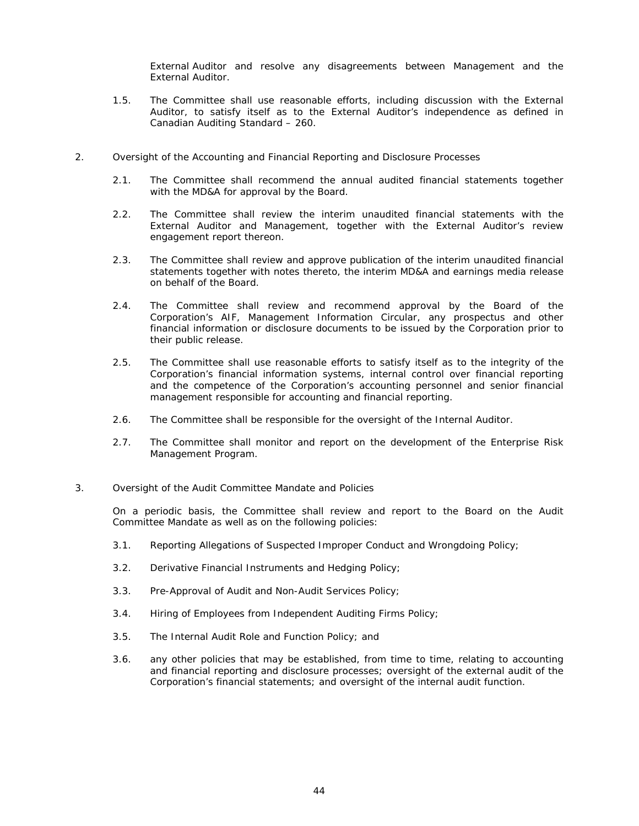External Auditor and resolve any disagreements between Management and the External Auditor.

- 1.5. The Committee shall use reasonable efforts, including discussion with the External Auditor, to satisfy itself as to the External Auditor's independence as defined in Canadian Auditing Standard – 260.
- 2. Oversight of the Accounting and Financial Reporting and Disclosure Processes
	- 2.1. The Committee shall recommend the annual audited financial statements together with the MD&A for approval by the Board.
	- 2.2. The Committee shall review the interim unaudited financial statements with the External Auditor and Management, together with the External Auditor's review engagement report thereon.
	- 2.3. The Committee shall review and approve publication of the interim unaudited financial statements together with notes thereto, the interim MD&A and earnings media release on behalf of the Board.
	- 2.4. The Committee shall review and recommend approval by the Board of the Corporation's AIF, Management Information Circular, any prospectus and other financial information or disclosure documents to be issued by the Corporation prior to their public release.
	- 2.5. The Committee shall use reasonable efforts to satisfy itself as to the integrity of the Corporation's financial information systems, internal control over financial reporting and the competence of the Corporation's accounting personnel and senior financial management responsible for accounting and financial reporting.
	- 2.6. The Committee shall be responsible for the oversight of the Internal Auditor.
	- 2.7. The Committee shall monitor and report on the development of the Enterprise Risk Management Program.
- 3. Oversight of the Audit Committee Mandate and Policies

On a periodic basis, the Committee shall review and report to the Board on the Audit Committee Mandate as well as on the following policies:

- 3.1. Reporting Allegations of Suspected Improper Conduct and Wrongdoing Policy;
- 3.2. Derivative Financial Instruments and Hedging Policy;
- 3.3. Pre-Approval of Audit and Non-Audit Services Policy;
- 3.4. Hiring of Employees from Independent Auditing Firms Policy;
- 3.5. The Internal Audit Role and Function Policy; and
- 3.6. any other policies that may be established, from time to time, relating to accounting and financial reporting and disclosure processes; oversight of the external audit of the Corporation's financial statements; and oversight of the internal audit function.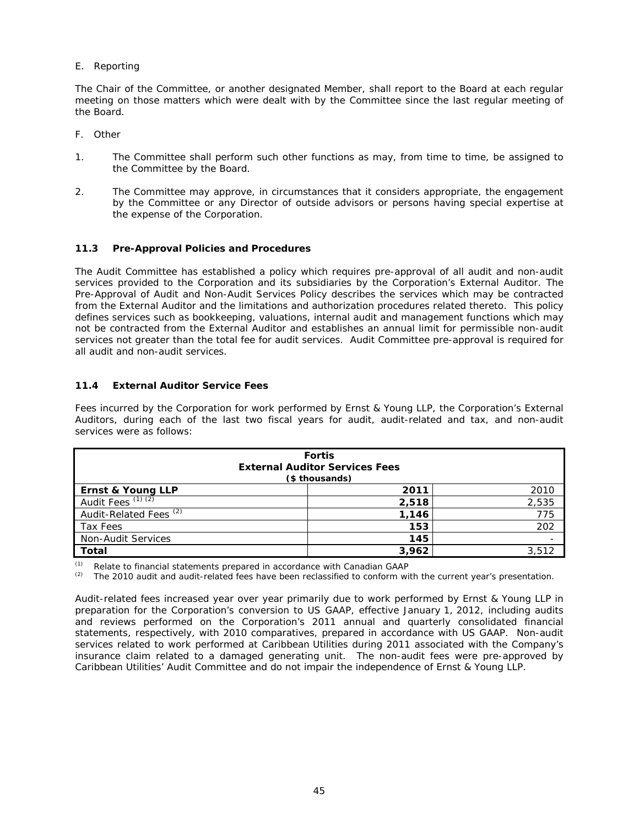# *E. Reporting*

The Chair of the Committee, or another designated Member, shall report to the Board at each regular meeting on those matters which were dealt with by the Committee since the last regular meeting of the Board.

## *F. Other*

- 1. The Committee shall perform such other functions as may, from time to time, be assigned to the Committee by the Board.
- 2. The Committee may approve, in circumstances that it considers appropriate, the engagement by the Committee or any Director of outside advisors or persons having special expertise at the expense of the Corporation.

# **11.3 Pre-Approval Policies and Procedures**

The Audit Committee has established a policy which requires pre-approval of all audit and non-audit services provided to the Corporation and its subsidiaries by the Corporation's External Auditor. The Pre-Approval of Audit and Non-Audit Services Policy describes the services which may be contracted from the External Auditor and the limitations and authorization procedures related thereto. This policy defines services such as bookkeeping, valuations, internal audit and management functions which may not be contracted from the External Auditor and establishes an annual limit for permissible non-audit services not greater than the total fee for audit services. Audit Committee pre-approval is required for all audit and non-audit services.

# **11.4 External Auditor Service Fees**

Fees incurred by the Corporation for work performed by Ernst & Young LLP, the Corporation's External Auditors, during each of the last two fiscal years for audit, audit-related and tax, and non-audit services were as follows:

| <b>Fortis</b><br><b>External Auditor Services Fees</b><br>(\$ thousands) |       |       |
|--------------------------------------------------------------------------|-------|-------|
| Ernst & Young LLP                                                        | 2011  | 2010  |
| Audit Fees $(1)(2)$                                                      | 2,518 | 2,535 |
| Audit-Related Fees <sup>(2)</sup>                                        | 1,146 | 775   |
| Tax Fees                                                                 | 153   | 202   |
| Non-Audit Services                                                       | 145   |       |
| <b>Total</b>                                                             | 3,962 | 3,512 |

*(1) Relate to financial statements prepared in accordance with Canadian GAAP* 

*(2) The 2010 audit and audit-related fees have been reclassified to conform with the current year's presentation.* 

Audit-related fees increased year over year primarily due to work performed by Ernst & Young LLP in preparation for the Corporation's conversion to US GAAP, effective January 1, 2012, including audits and reviews performed on the Corporation's 2011 annual and quarterly consolidated financial statements, respectively, with 2010 comparatives, prepared in accordance with US GAAP. Non-audit services related to work performed at Caribbean Utilities during 2011 associated with the Company's insurance claim related to a damaged generating unit. The non-audit fees were pre-approved by Caribbean Utilities' Audit Committee and do not impair the independence of Ernst & Young LLP.